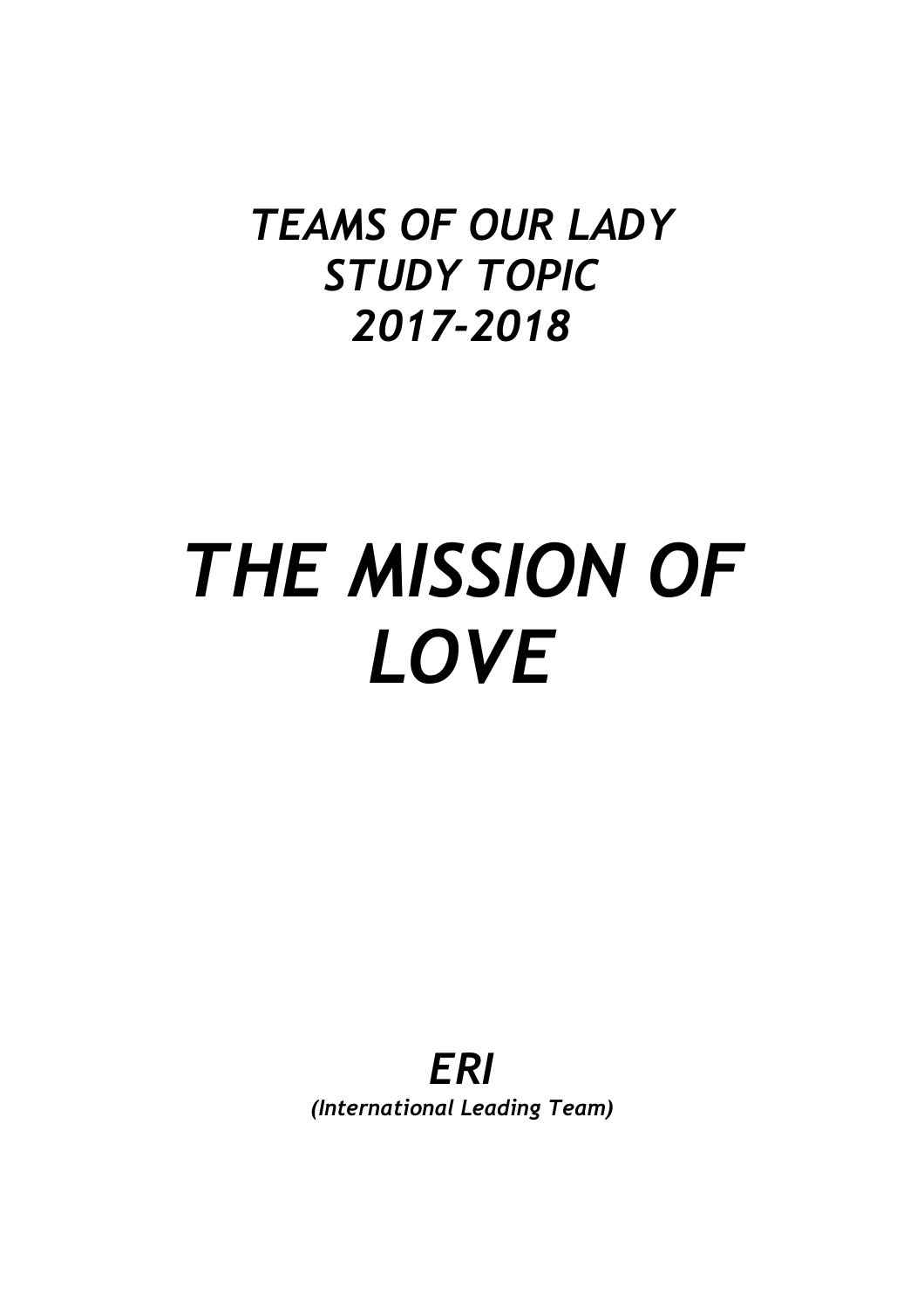# *TEAMS OF OUR LADY STUDY TOPIC 2017-2018*

# *THE MISSION OF LOVE*

*ERI (International Leading Team)*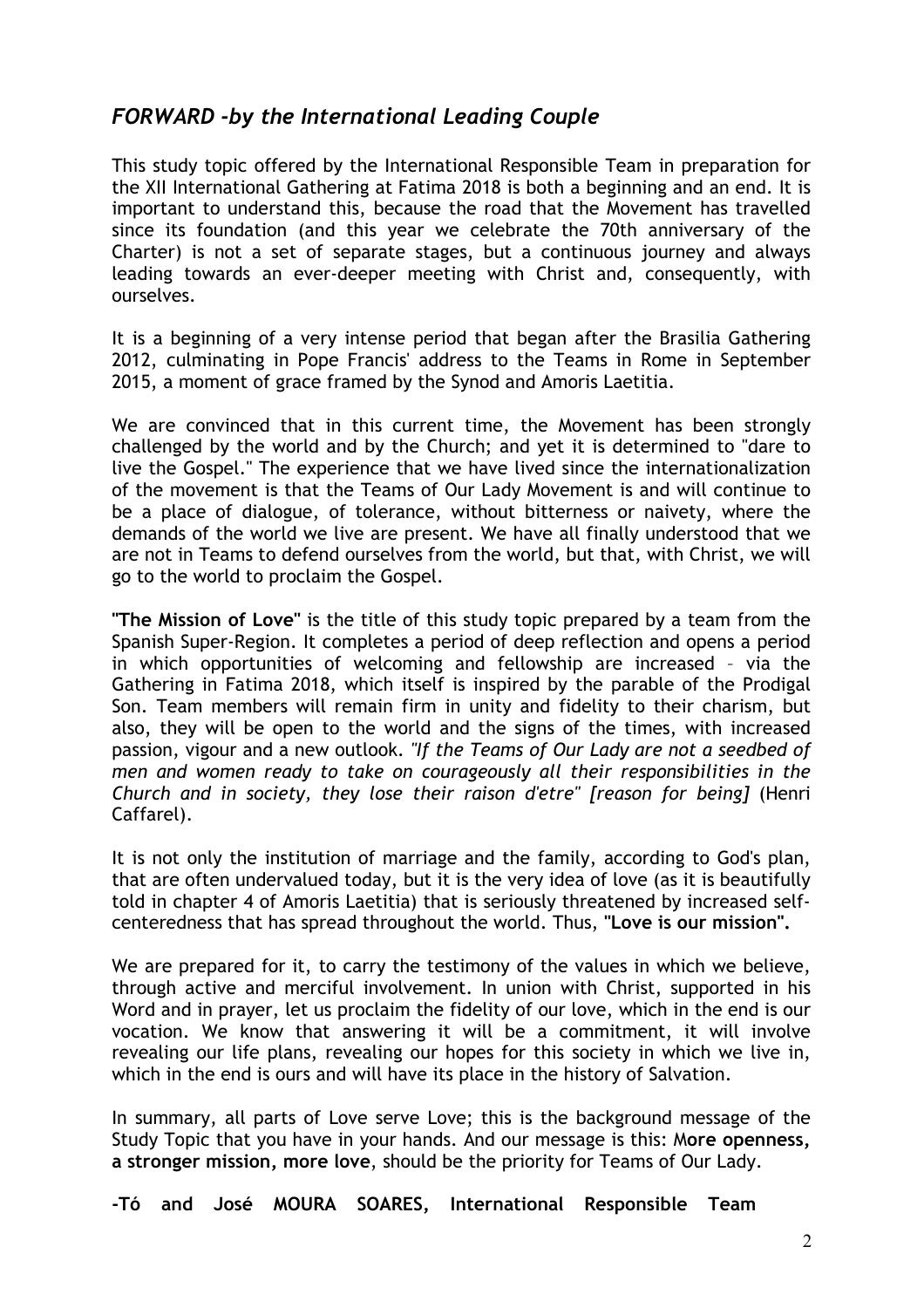# *FORWARD -by the International Leading Couple*

This study topic offered by the International Responsible Team in preparation for the XII International Gathering at Fatima 2018 is both a beginning and an end. It is important to understand this, because the road that the Movement has travelled since its foundation (and this year we celebrate the 70th anniversary of the Charter) is not a set of separate stages, but a continuous journey and always leading towards an ever-deeper meeting with Christ and, consequently, with ourselves.

It is a beginning of a very intense period that began after the Brasilia Gathering 2012, culminating in Pope Francis' address to the Teams in Rome in September 2015, a moment of grace framed by the Synod and Amoris Laetitia.

We are convinced that in this current time, the Movement has been strongly challenged by the world and by the Church; and yet it is determined to "dare to live the Gospel." The experience that we have lived since the internationalization of the movement is that the Teams of Our Lady Movement is and will continue to be a place of dialogue, of tolerance, without bitterness or naivety, where the demands of the world we live are present. We have all finally understood that we are not in Teams to defend ourselves from the world, but that, with Christ, we will go to the world to proclaim the Gospel.

**"The Mission of Love"** is the title of this study topic prepared by a team from the Spanish Super-Region. It completes a period of deep reflection and opens a period in which opportunities of welcoming and fellowship are increased – via the Gathering in Fatima 2018, which itself is inspired by the parable of the Prodigal Son. Team members will remain firm in unity and fidelity to their charism, but also, they will be open to the world and the signs of the times, with increased passion, vigour and a new outlook. *"If the Teams of Our Lady are not a seedbed of men and women ready to take on courageously all their responsibilities in the Church and in society, they lose their raison d'etre" [reason for being]* (Henri Caffarel).

It is not only the institution of marriage and the family, according to God's plan, that are often undervalued today, but it is the very idea of love (as it is beautifully told in chapter 4 of Amoris Laetitia) that is seriously threatened by increased selfcenteredness that has spread throughout the world. Thus, **"Love is our mission".**

We are prepared for it, to carry the testimony of the values in which we believe, through active and merciful involvement. In union with Christ, supported in his Word and in prayer, let us proclaim the fidelity of our love, which in the end is our vocation. We know that answering it will be a commitment, it will involve revealing our life plans, revealing our hopes for this society in which we live in, which in the end is ours and will have its place in the history of Salvation.

In summary, all parts of Love serve Love; this is the background message of the Study Topic that you have in your hands. And our message is this: M**ore openness, a stronger mission, more love**, should be the priority for Teams of Our Lady.

**-Tó and José MOURA SOARES, International Responsible Team**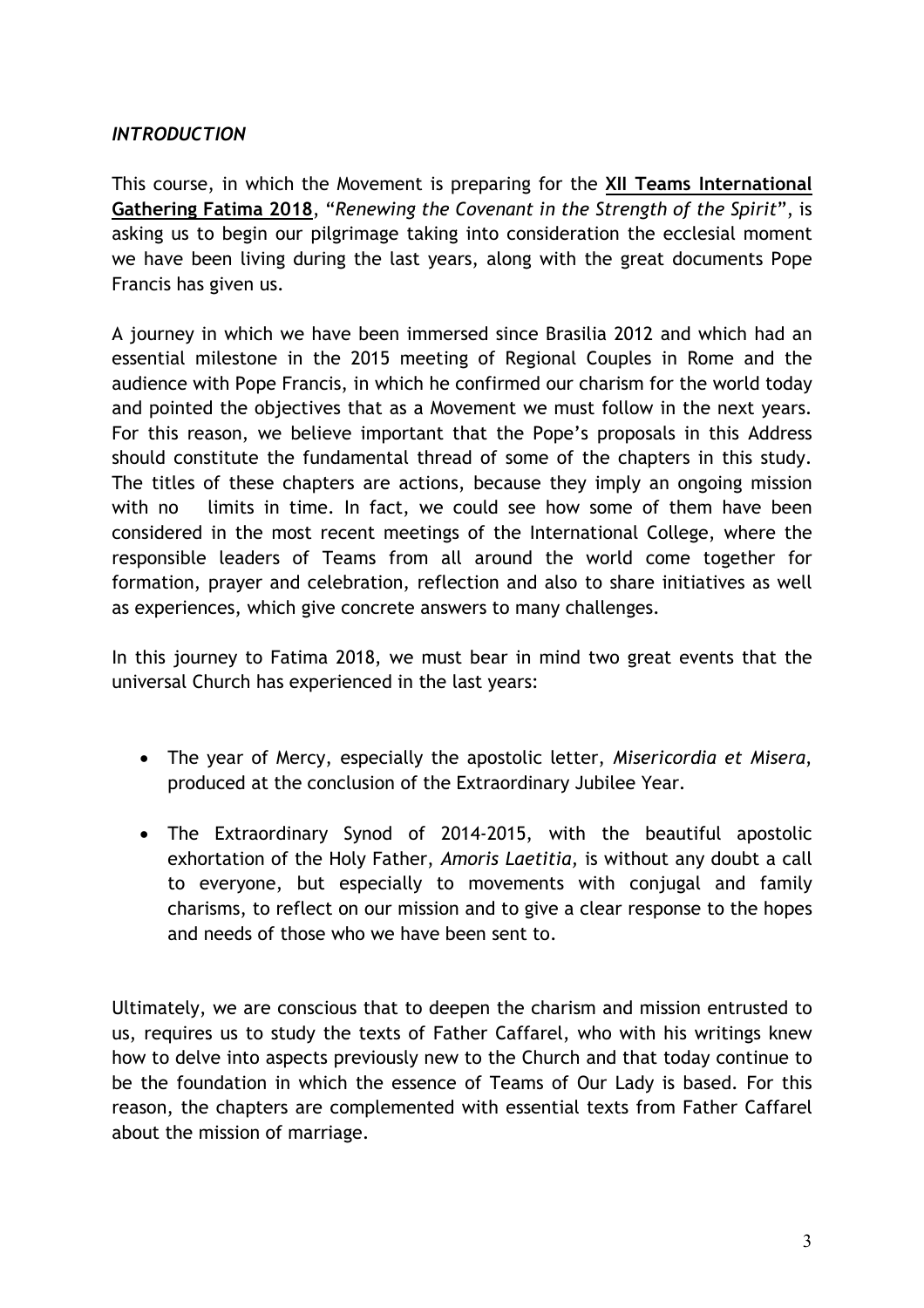# *INTRODUCTION*

This course, in which the Movement is preparing for the **XII Teams International Gathering Fatima 2018**, "*Renewing the Covenant in the Strength of the Spirit*", is asking us to begin our pilgrimage taking into consideration the ecclesial moment we have been living during the last years, along with the great documents Pope Francis has given us.

A journey in which we have been immersed since Brasilia 2012 and which had an essential milestone in the 2015 meeting of Regional Couples in Rome and the audience with Pope Francis, in which he confirmed our charism for the world today and pointed the objectives that as a Movement we must follow in the next years. For this reason, we believe important that the Pope's proposals in this Address should constitute the fundamental thread of some of the chapters in this study. The titles of these chapters are actions, because they imply an ongoing mission with no limits in time. In fact, we could see how some of them have been considered in the most recent meetings of the International College, where the responsible leaders of Teams from all around the world come together for formation, prayer and celebration, reflection and also to share initiatives as well as experiences, which give concrete answers to many challenges.

In this journey to Fatima 2018, we must bear in mind two great events that the universal Church has experienced in the last years:

- The year of Mercy, especially the apostolic letter, *Misericordia et Misera*, produced at the conclusion of the Extraordinary Jubilee Year.
- The Extraordinary Synod of 2014-2015, with the beautiful apostolic exhortation of the Holy Father, *Amoris Laetitia,* is without any doubt a call to everyone, but especially to movements with conjugal and family charisms, to reflect on our mission and to give a clear response to the hopes and needs of those who we have been sent to.

Ultimately, we are conscious that to deepen the charism and mission entrusted to us, requires us to study the texts of Father Caffarel, who with his writings knew how to delve into aspects previously new to the Church and that today continue to be the foundation in which the essence of Teams of Our Lady is based. For this reason, the chapters are complemented with essential texts from Father Caffarel about the mission of marriage.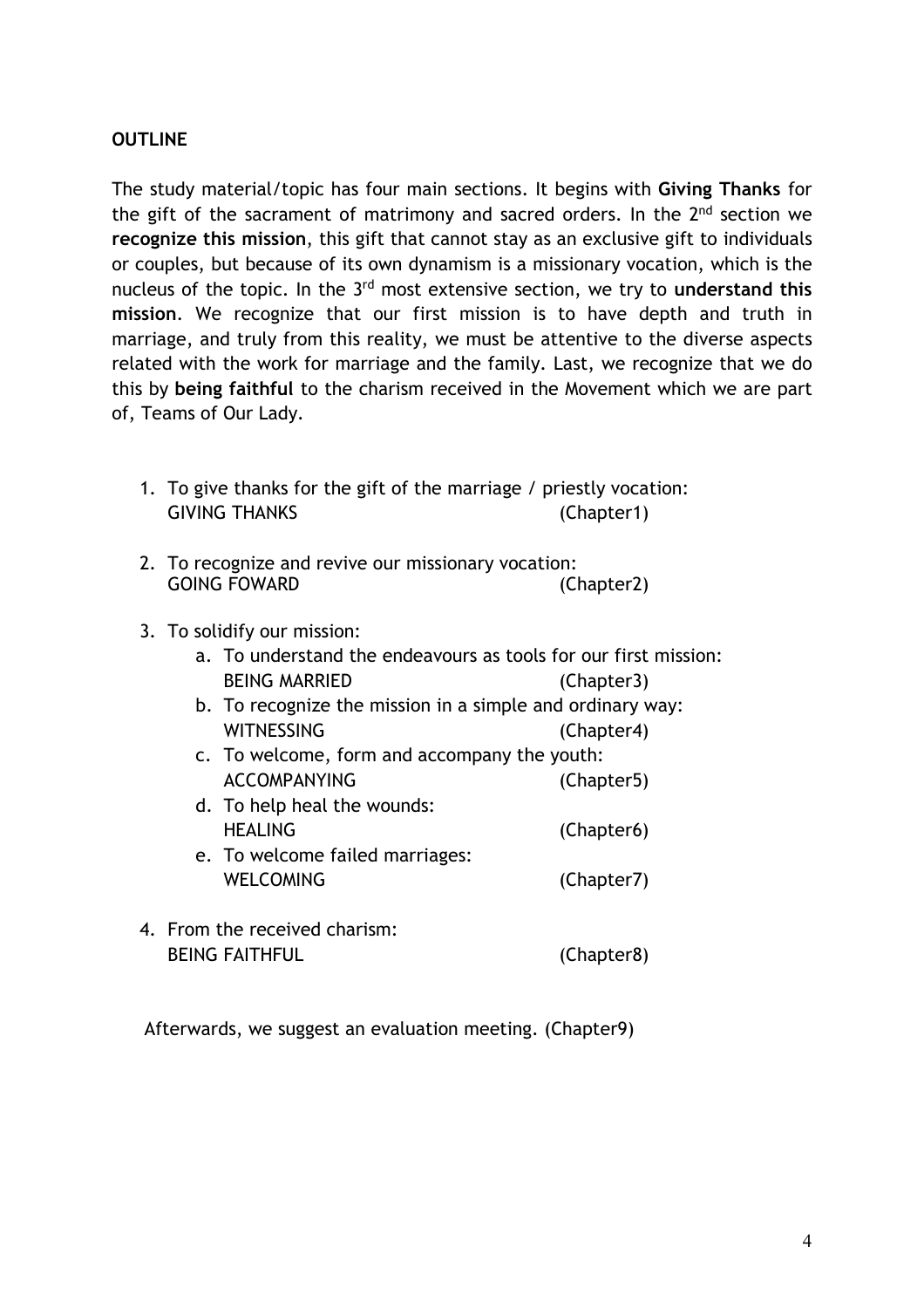#### **OUTLINE**

The study material/topic has four main sections. It begins with **Giving Thanks** for the gift of the sacrament of matrimony and sacred orders. In the 2<sup>nd</sup> section we **recognize this mission**, this gift that cannot stay as an exclusive gift to individuals or couples, but because of its own dynamism is a missionary vocation, which is the nucleus of the topic. In the 3rd most extensive section, we try to **understand this mission**. We recognize that our first mission is to have depth and truth in marriage, and truly from this reality, we must be attentive to the diverse aspects related with the work for marriage and the family. Last, we recognize that we do this by **being faithful** to the charism received in the Movement which we are part of, Teams of Our Lady.

- 1. To give thanks for the gift of the marriage / priestly vocation: GIVING THANKS (Chapter1)
- 2. To recognize and revive our missionary vocation: GOING FOWARD (Chapter2)
- 3. To solidify our mission:
	- a. To understand the endeavours as tools for our first mission: BEING MARRIED (Chapter3)
	- b. To recognize the mission in a simple and ordinary way: WITNESSING (Chapter4)
	- c. To welcome, form and accompany the youth: ACCOMPANYING (Chapter5)
	- d. To help heal the wounds: HEALING (Chapter6)
	- e. To welcome failed marriages: WELCOMING (Chapter7)
- 4. From the received charism: BEING FAITHFUL (Chapter8)

Afterwards, we suggest an evaluation meeting. (Chapter9)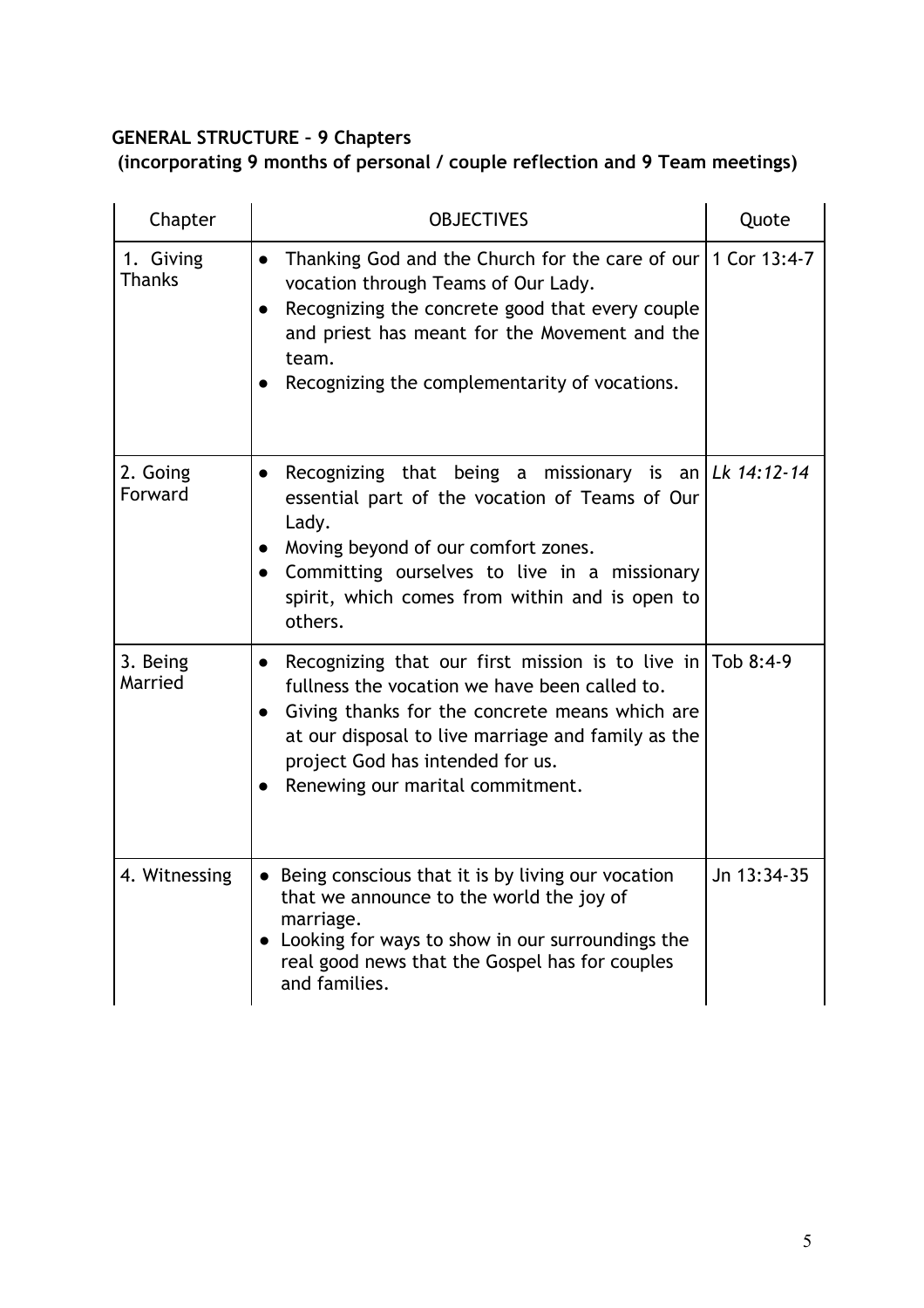# **GENERAL STRUCTURE – 9 Chapters**

**(incorporating 9 months of personal / couple reflection and 9 Team meetings)** 

| Chapter                    | <b>OBJECTIVES</b>                                                                                                                                                                                                                                                                                                          | Quote       |
|----------------------------|----------------------------------------------------------------------------------------------------------------------------------------------------------------------------------------------------------------------------------------------------------------------------------------------------------------------------|-------------|
| 1. Giving<br><b>Thanks</b> | Thanking God and the Church for the care of our 1 Cor 13:4-7<br>$\bullet$<br>vocation through Teams of Our Lady.<br>Recognizing the concrete good that every couple<br>$\bullet$<br>and priest has meant for the Movement and the<br>team.<br>Recognizing the complementarity of vocations.                                |             |
| 2. Going<br>Forward        | Recognizing that being a missionary is an $\lfloor Lk \cdot 14 : 12 - 14 \rfloor$<br>$\bullet$<br>essential part of the vocation of Teams of Our<br>Lady.<br>Moving beyond of our comfort zones.<br>Committing ourselves to live in a missionary<br>$\bullet$<br>spirit, which comes from within and is open to<br>others. |             |
| 3. Being<br>Married        | Recognizing that our first mission is to live in Tob 8:4-9<br>$\bullet$<br>fullness the vocation we have been called to.<br>Giving thanks for the concrete means which are<br>at our disposal to live marriage and family as the<br>project God has intended for us.<br>Renewing our marital commitment.                   |             |
| 4. Witnessing              | • Being conscious that it is by living our vocation<br>that we announce to the world the joy of<br>marriage.<br>• Looking for ways to show in our surroundings the<br>real good news that the Gospel has for couples<br>and families.                                                                                      | Jn 13:34-35 |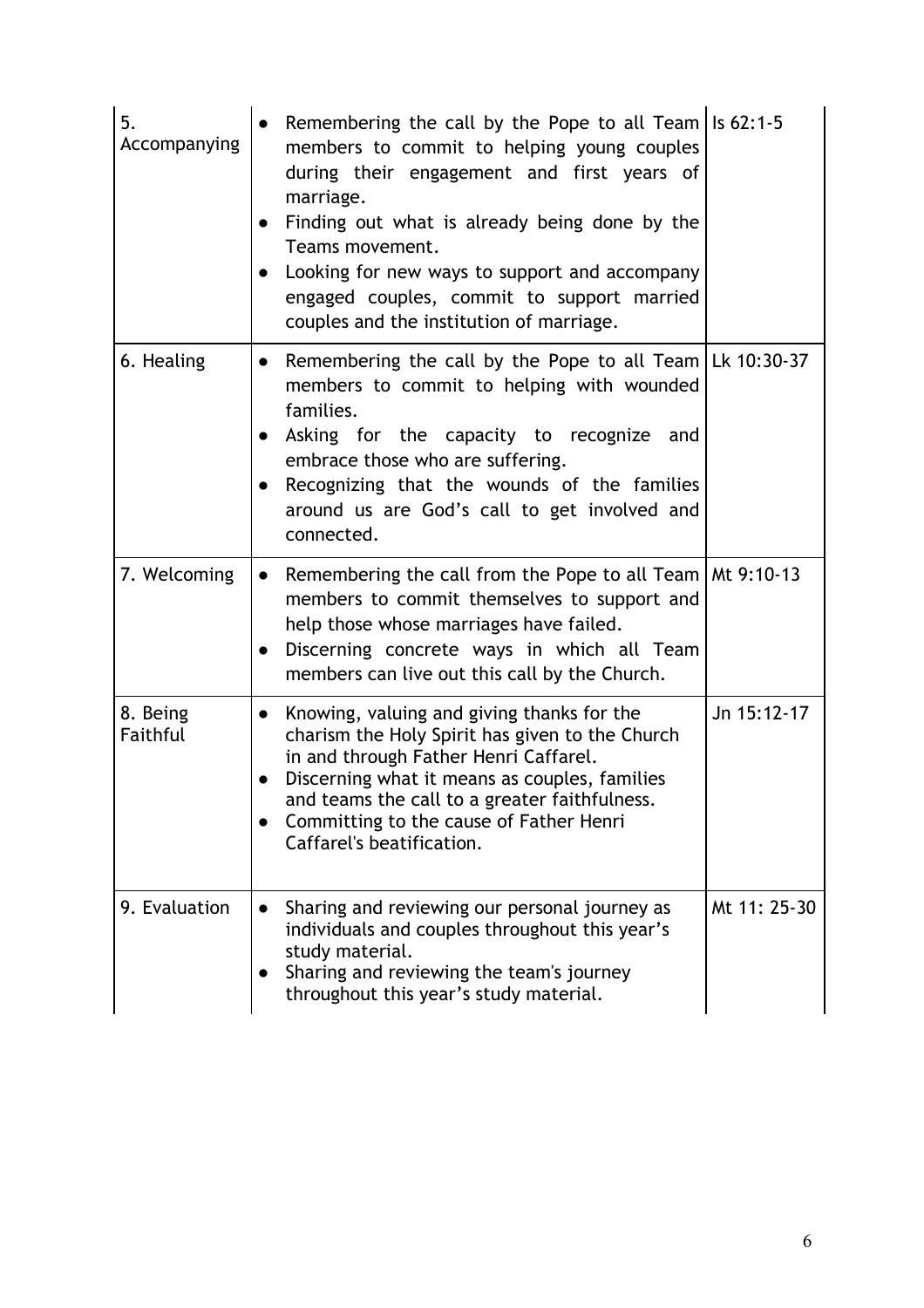| 5.<br>Accompanying   | Remembering the call by the Pope to all Team   Is $62:1-5$<br>members to commit to helping young couples<br>during their engagement and first years of<br>marriage.<br>Finding out what is already being done by the<br>Teams movement.<br>Looking for new ways to support and accompany<br>engaged couples, commit to support married<br>couples and the institution of marriage. |              |
|----------------------|------------------------------------------------------------------------------------------------------------------------------------------------------------------------------------------------------------------------------------------------------------------------------------------------------------------------------------------------------------------------------------|--------------|
| 6. Healing           | Remembering the call by the Pope to all Team   Lk 10:30-37<br>$\bullet$<br>members to commit to helping with wounded<br>families.<br>Asking for the capacity to recognize and<br>embrace those who are suffering.<br>Recognizing that the wounds of the families<br>$\bullet$<br>around us are God's call to get involved and<br>connected.                                        |              |
| 7. Welcoming         | Remembering the call from the Pope to all Team   Mt 9:10-13<br>$\bullet$<br>members to commit themselves to support and<br>help those whose marriages have failed.<br>Discerning concrete ways in which all Team<br>$\bullet$<br>members can live out this call by the Church.                                                                                                     |              |
| 8. Being<br>Faithful | Knowing, valuing and giving thanks for the<br>$\bullet$<br>charism the Holy Spirit has given to the Church<br>in and through Father Henri Caffarel.<br>Discerning what it means as couples, families<br>and teams the call to a greater faithfulness.<br>Committing to the cause of Father Henri<br>Caffarel's beatification.                                                      | Jn 15:12-17  |
| 9. Evaluation        | Sharing and reviewing our personal journey as<br>individuals and couples throughout this year's<br>study material.<br>Sharing and reviewing the team's journey<br>throughout this year's study material.                                                                                                                                                                           | Mt 11: 25-30 |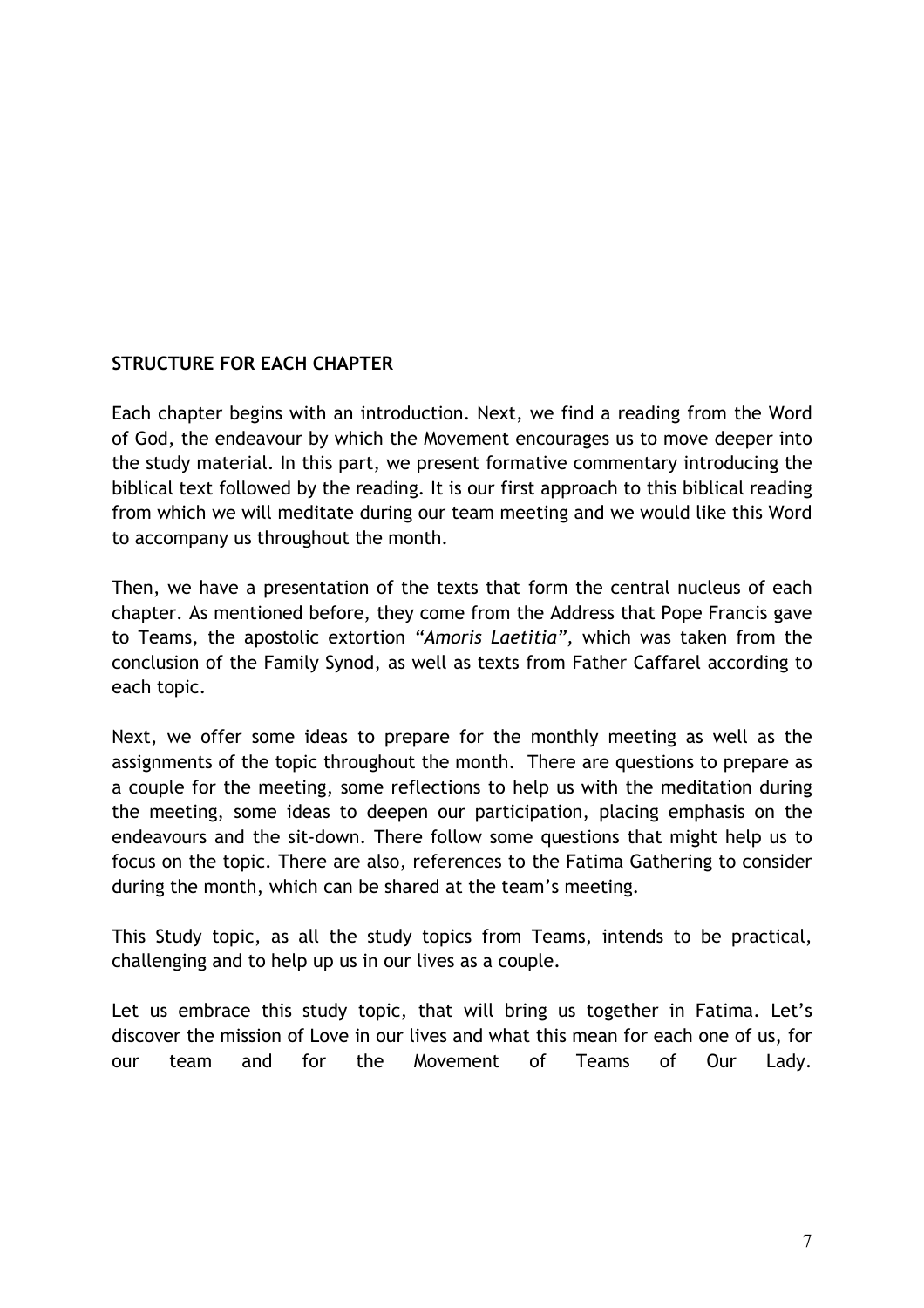# **STRUCTURE FOR EACH CHAPTER**

Each chapter begins with an introduction. Next, we find a reading from the Word of God, the endeavour by which the Movement encourages us to move deeper into the study material. In this part, we present formative commentary introducing the biblical text followed by the reading. It is our first approach to this biblical reading from which we will meditate during our team meeting and we would like this Word to accompany us throughout the month.

Then, we have a presentation of the texts that form the central nucleus of each chapter. As mentioned before, they come from the Address that Pope Francis gave to Teams, the apostolic extortion *"Amoris Laetitia",* which was taken from the conclusion of the Family Synod, as well as texts from Father Caffarel according to each topic.

Next, we offer some ideas to prepare for the monthly meeting as well as the assignments of the topic throughout the month. There are questions to prepare as a couple for the meeting, some reflections to help us with the meditation during the meeting, some ideas to deepen our participation, placing emphasis on the endeavours and the sit-down. There follow some questions that might help us to focus on the topic. There are also, references to the Fatima Gathering to consider during the month, which can be shared at the team's meeting.

This Study topic, as all the study topics from Teams, intends to be practical, challenging and to help up us in our lives as a couple.

Let us embrace this study topic, that will bring us together in Fatima. Let's discover the mission of Love in our lives and what this mean for each one of us, for our team and for the Movement of Teams of Our Lady.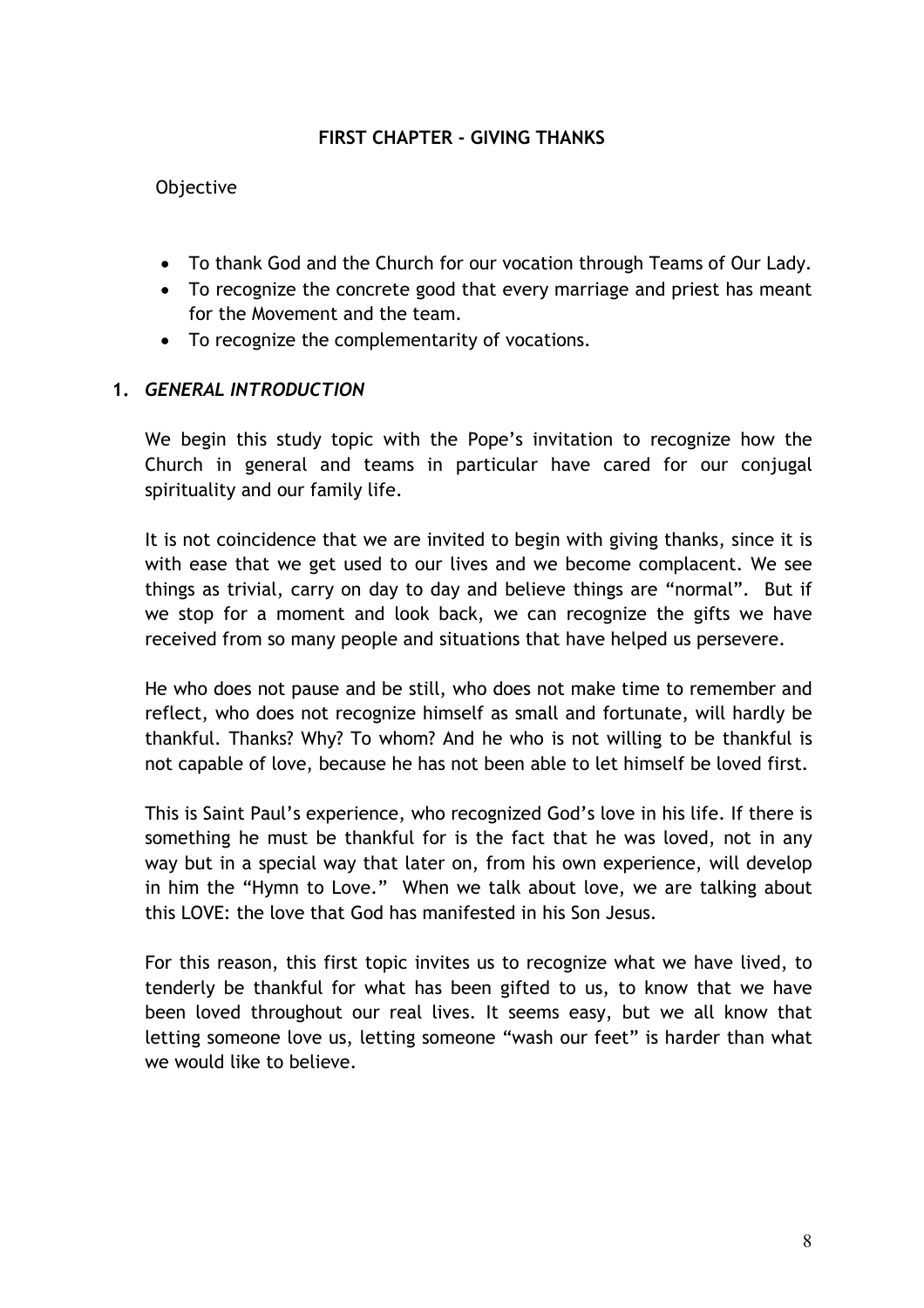#### **FIRST CHAPTER - GIVING THANKS**

#### **Objective**

- To thank God and the Church for our vocation through Teams of Our Lady.
- To recognize the concrete good that every marriage and priest has meant for the Movement and the team.
- To recognize the complementarity of vocations.

# **1.** *GENERAL INTRODUCTION*

We begin this study topic with the Pope's invitation to recognize how the Church in general and teams in particular have cared for our conjugal spirituality and our family life.

It is not coincidence that we are invited to begin with giving thanks, since it is with ease that we get used to our lives and we become complacent. We see things as trivial, carry on day to day and believe things are "normal". But if we stop for a moment and look back, we can recognize the gifts we have received from so many people and situations that have helped us persevere.

He who does not pause and be still, who does not make time to remember and reflect, who does not recognize himself as small and fortunate, will hardly be thankful. Thanks? Why? To whom? And he who is not willing to be thankful is not capable of love, because he has not been able to let himself be loved first.

This is Saint Paul's experience, who recognized God's love in his life. If there is something he must be thankful for is the fact that he was loved, not in any way but in a special way that later on, from his own experience, will develop in him the "Hymn to Love." When we talk about love, we are talking about this LOVE: the love that God has manifested in his Son Jesus.

For this reason, this first topic invites us to recognize what we have lived, to tenderly be thankful for what has been gifted to us, to know that we have been loved throughout our real lives. It seems easy, but we all know that letting someone love us, letting someone "wash our feet" is harder than what we would like to believe.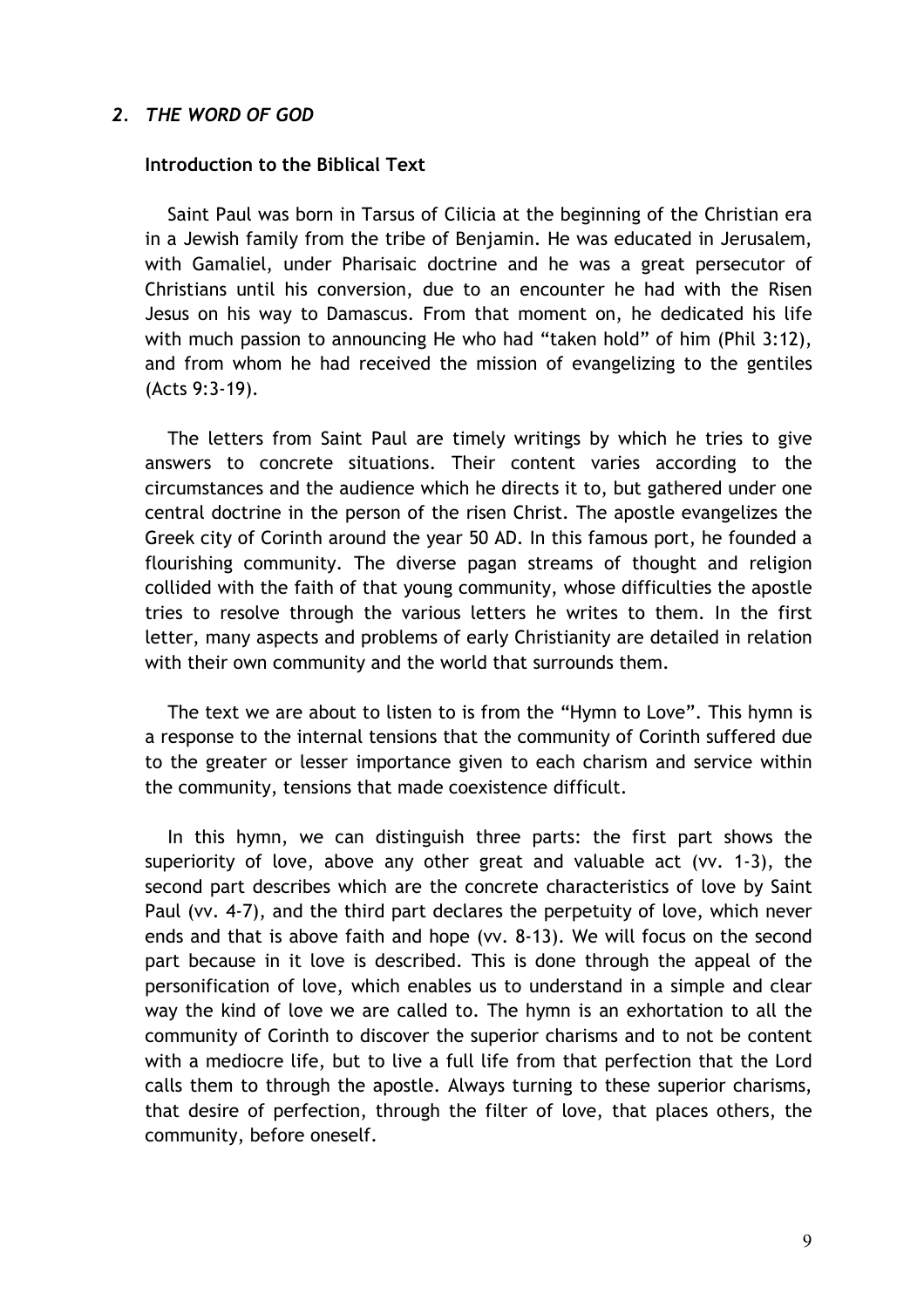#### *2. THE WORD OF GOD*

#### **Introduction to the Biblical Text**

Saint Paul was born in Tarsus of Cilicia at the beginning of the Christian era in a Jewish family from the tribe of Benjamin. He was educated in Jerusalem, with Gamaliel, under Pharisaic doctrine and he was a great persecutor of Christians until his conversion, due to an encounter he had with the Risen Jesus on his way to Damascus. From that moment on, he dedicated his life with much passion to announcing He who had "taken hold" of him (Phil 3:12), and from whom he had received the mission of evangelizing to the gentiles (Acts 9:3-19).

The letters from Saint Paul are timely writings by which he tries to give answers to concrete situations. Their content varies according to the circumstances and the audience which he directs it to, but gathered under one central doctrine in the person of the risen Christ. The apostle evangelizes the Greek city of Corinth around the year 50 AD. In this famous port, he founded a flourishing community. The diverse pagan streams of thought and religion collided with the faith of that young community, whose difficulties the apostle tries to resolve through the various letters he writes to them. In the first letter, many aspects and problems of early Christianity are detailed in relation with their own community and the world that surrounds them.

The text we are about to listen to is from the "Hymn to Love". This hymn is a response to the internal tensions that the community of Corinth suffered due to the greater or lesser importance given to each charism and service within the community, tensions that made coexistence difficult.

In this hymn, we can distinguish three parts: the first part shows the superiority of love, above any other great and valuable act (vv. 1-3), the second part describes which are the concrete characteristics of love by Saint Paul (vv. 4-7), and the third part declares the perpetuity of love, which never ends and that is above faith and hope (vv. 8-13). We will focus on the second part because in it love is described. This is done through the appeal of the personification of love, which enables us to understand in a simple and clear way the kind of love we are called to. The hymn is an exhortation to all the community of Corinth to discover the superior charisms and to not be content with a mediocre life, but to live a full life from that perfection that the Lord calls them to through the apostle. Always turning to these superior charisms, that desire of perfection, through the filter of love, that places others, the community, before oneself.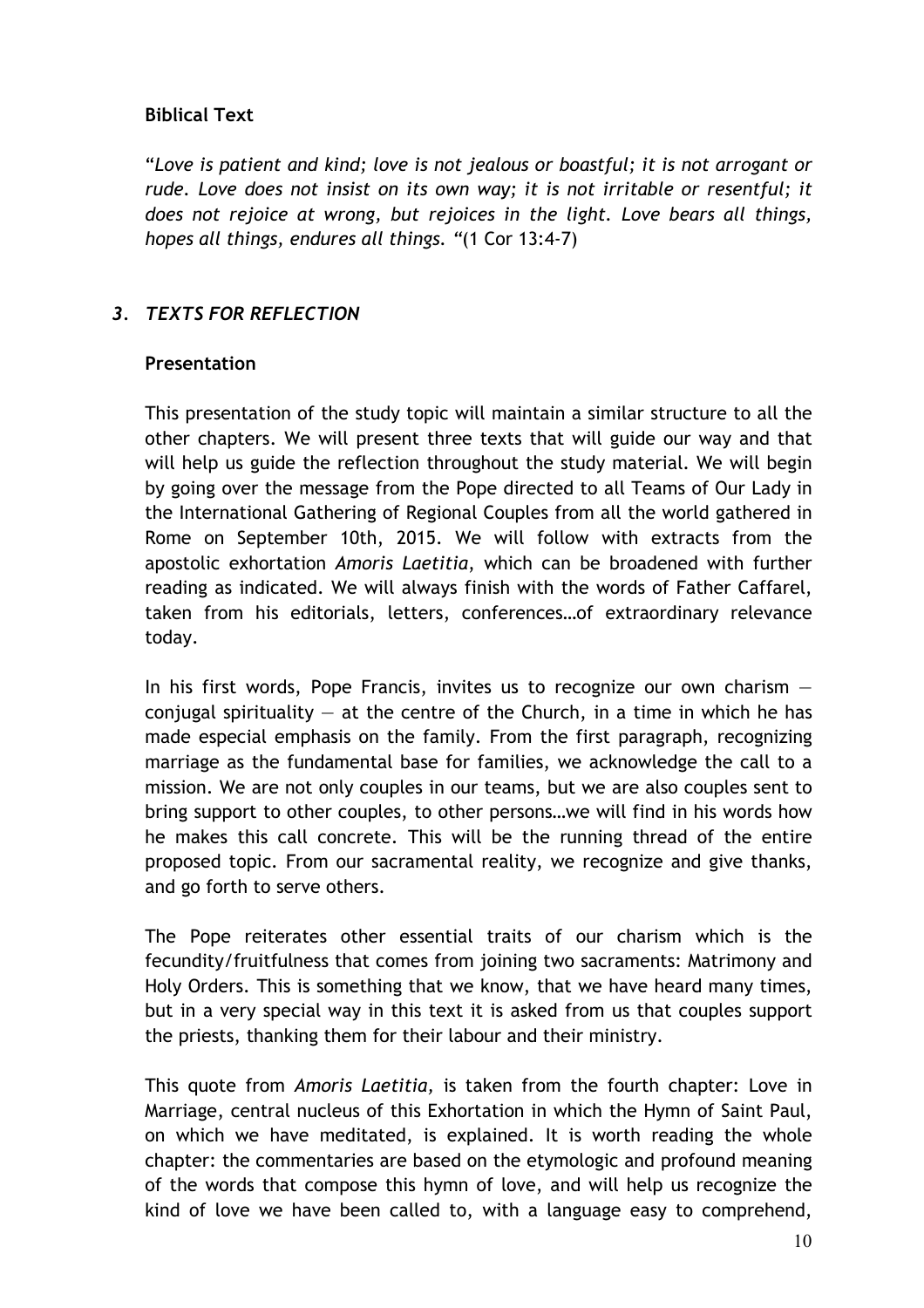# **Biblical Text**

"*Love is patient and kind; love is not jealous or boastful; it is not arrogant or rude. Love does not insist on its own way; it is not irritable or resentful; it does not rejoice at wrong, but rejoices in the light. Love bears all things, hopes all things, endures all things. "*(1 Cor 13:4-7)

# *3. TEXTS FOR REFLECTION*

#### **Presentation**

This presentation of the study topic will maintain a similar structure to all the other chapters. We will present three texts that will guide our way and that will help us guide the reflection throughout the study material. We will begin by going over the message from the Pope directed to all Teams of Our Lady in the International Gathering of Regional Couples from all the world gathered in Rome on September 10th, 2015. We will follow with extracts from the apostolic exhortation *Amoris Laetitia*, which can be broadened with further reading as indicated. We will always finish with the words of Father Caffarel, taken from his editorials, letters, conferences…of extraordinary relevance today.

In his first words, Pope Francis, invites us to recognize our own charism  $$ conjugal spirituality  $-$  at the centre of the Church, in a time in which he has made especial emphasis on the family. From the first paragraph, recognizing marriage as the fundamental base for families, we acknowledge the call to a mission. We are not only couples in our teams, but we are also couples sent to bring support to other couples, to other persons…we will find in his words how he makes this call concrete. This will be the running thread of the entire proposed topic. From our sacramental reality, we recognize and give thanks, and go forth to serve others.

The Pope reiterates other essential traits of our charism which is the fecundity/fruitfulness that comes from joining two sacraments: Matrimony and Holy Orders. This is something that we know, that we have heard many times, but in a very special way in this text it is asked from us that couples support the priests, thanking them for their labour and their ministry.

This quote from *Amoris Laetitia,* is taken from the fourth chapter: Love in Marriage, central nucleus of this Exhortation in which the Hymn of Saint Paul, on which we have meditated, is explained. It is worth reading the whole chapter: the commentaries are based on the etymologic and profound meaning of the words that compose this hymn of love, and will help us recognize the kind of love we have been called to, with a language easy to comprehend,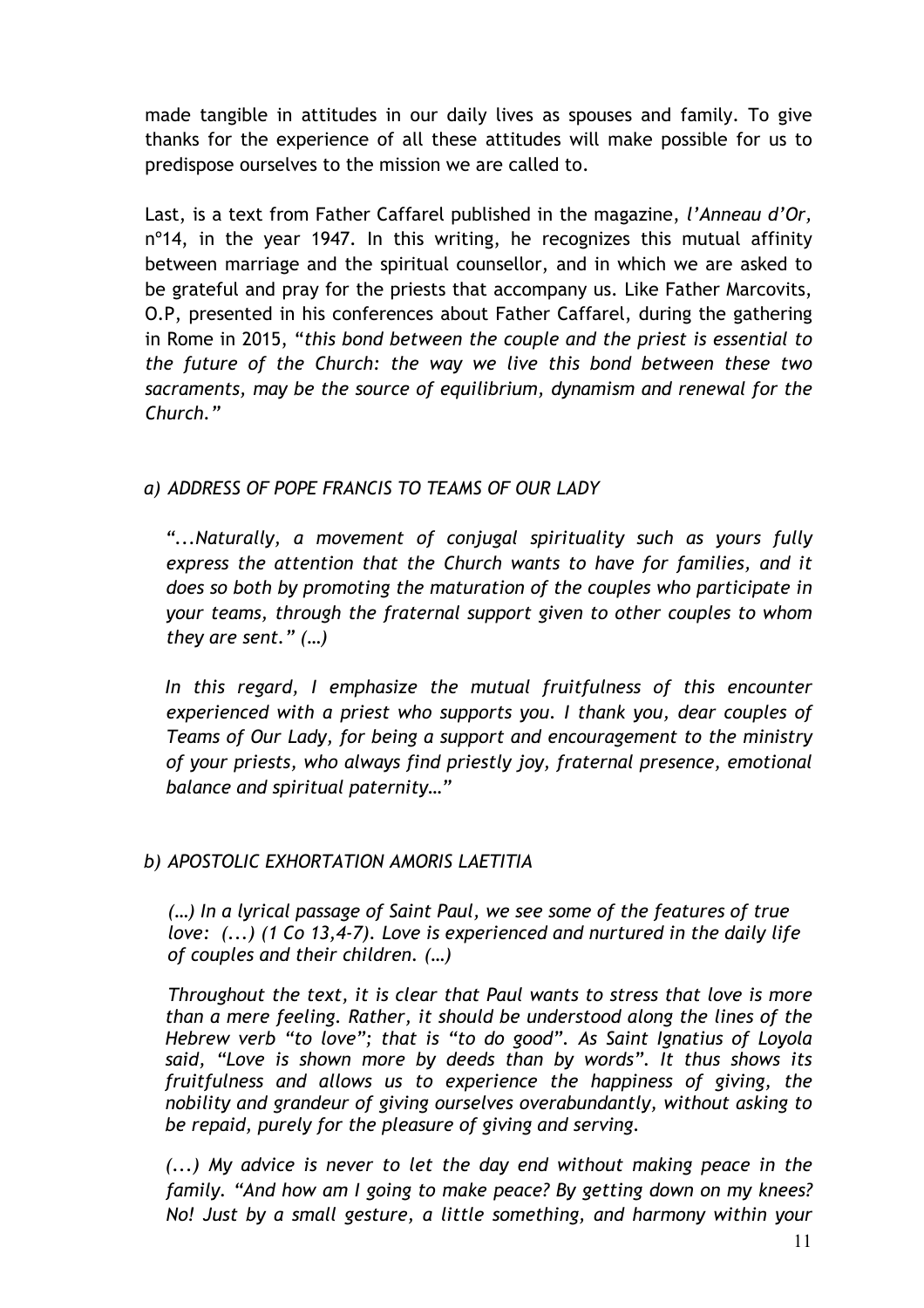made tangible in attitudes in our daily lives as spouses and family. To give thanks for the experience of all these attitudes will make possible for us to predispose ourselves to the mission we are called to.

Last, is a text from Father Caffarel published in the magazine, *l'Anneau d'Or,* n<sup>o</sup>14, in the year 1947. In this writing, he recognizes this mutual affinity between marriage and the spiritual counsellor, and in which we are asked to be grateful and pray for the priests that accompany us. Like Father Marcovits, O.P, presented in his conferences about Father Caffarel, during the gathering in Rome in 2015, "*this bond between the couple and the priest is essential to the future of the Church: the way we live this bond between these two sacraments, may be the source of equilibrium, dynamism and renewal for the Church."* 

# *a) ADDRESS OF POPE FRANCIS TO TEAMS OF OUR LADY*

*"...Naturally, a movement of conjugal spirituality such as yours fully express the attention that the Church wants to have for families, and it does so both by promoting the maturation of the couples who participate in your teams, through the fraternal support given to other couples to whom they are sent." (…)*

*In this regard, I emphasize the mutual fruitfulness of this encounter experienced with a priest who supports you. I thank you, dear couples of Teams of Our Lady, for being a support and encouragement to the ministry of your priests, who always find priestly joy, fraternal presence, emotional balance and spiritual paternity…"*

# *b) APOSTOLIC EXHORTATION AMORIS LAETITIA*

*(…) In a lyrical passage of Saint Paul, we see some of the features of true love: (...) (1 Co 13,4-7). Love is experienced and nurtured in the daily life of couples and their children. (…)*

*Throughout the text, it is clear that Paul wants to stress that love is more than a mere feeling. Rather, it should be understood along the lines of the Hebrew verb "to love"; that is "to do good". As Saint Ignatius of Loyola said, "Love is shown more by deeds than by words". It thus shows its fruitfulness and allows us to experience the happiness of giving, the nobility and grandeur of giving ourselves overabundantly, without asking to be repaid, purely for the pleasure of giving and serving.* 

*(...) My advice is never to let the day end without making peace in the family. "And how am I going to make peace? By getting down on my knees? No! Just by a small gesture, a little something, and harmony within your*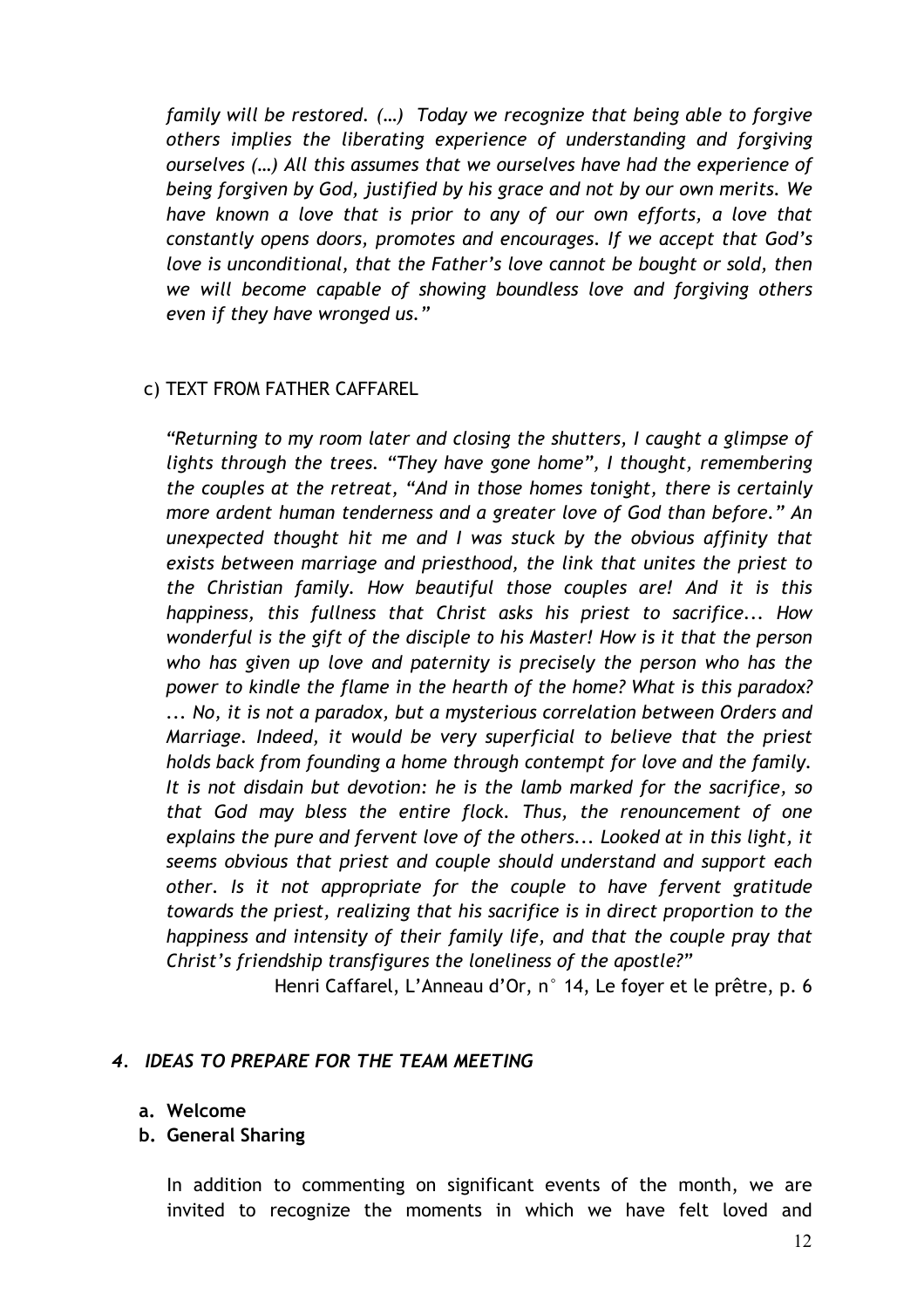*family will be restored. (…) Today we recognize that being able to forgive others implies the liberating experience of understanding and forgiving ourselves (…) All this assumes that we ourselves have had the experience of being forgiven by God, justified by his grace and not by our own merits. We have known a love that is prior to any of our own efforts, a love that constantly opens doors, promotes and encourages. If we accept that God's love is unconditional, that the Father's love cannot be bought or sold, then we will become capable of showing boundless love and forgiving others even if they have wronged us."*

#### c) TEXT FROM FATHER CAFFAREL

*"Returning to my room later and closing the shutters, I caught a glimpse of lights through the trees. "They have gone home", I thought, remembering the couples at the retreat, "And in those homes tonight, there is certainly more ardent human tenderness and a greater love of God than before." An unexpected thought hit me and I was stuck by the obvious affinity that exists between marriage and priesthood, the link that unites the priest to the Christian family. How beautiful those couples are! And it is this happiness, this fullness that Christ asks his priest to sacrifice... How wonderful is the gift of the disciple to his Master! How is it that the person who has given up love and paternity is precisely the person who has the power to kindle the flame in the hearth of the home? What is this paradox? ... No, it is not a paradox, but a mysterious correlation between Orders and Marriage. Indeed, it would be very superficial to believe that the priest holds back from founding a home through contempt for love and the family. It is not disdain but devotion: he is the lamb marked for the sacrifice, so that God may bless the entire flock. Thus, the renouncement of one explains the pure and fervent love of the others... Looked at in this light, it seems obvious that priest and couple should understand and support each other. Is it not appropriate for the couple to have fervent gratitude towards the priest, realizing that his sacrifice is in direct proportion to the happiness and intensity of their family life, and that the couple pray that Christ's friendship transfigures the loneliness of the apostle?"*

Henri Caffarel, L'Anneau d'Or, n° 14, Le foyer et le prêtre, p. 6

# *4. IDEAS TO PREPARE FOR THE TEAM MEETING*

- **a. Welcome**
- **b. General Sharing**

In addition to commenting on significant events of the month, we are invited to recognize the moments in which we have felt loved and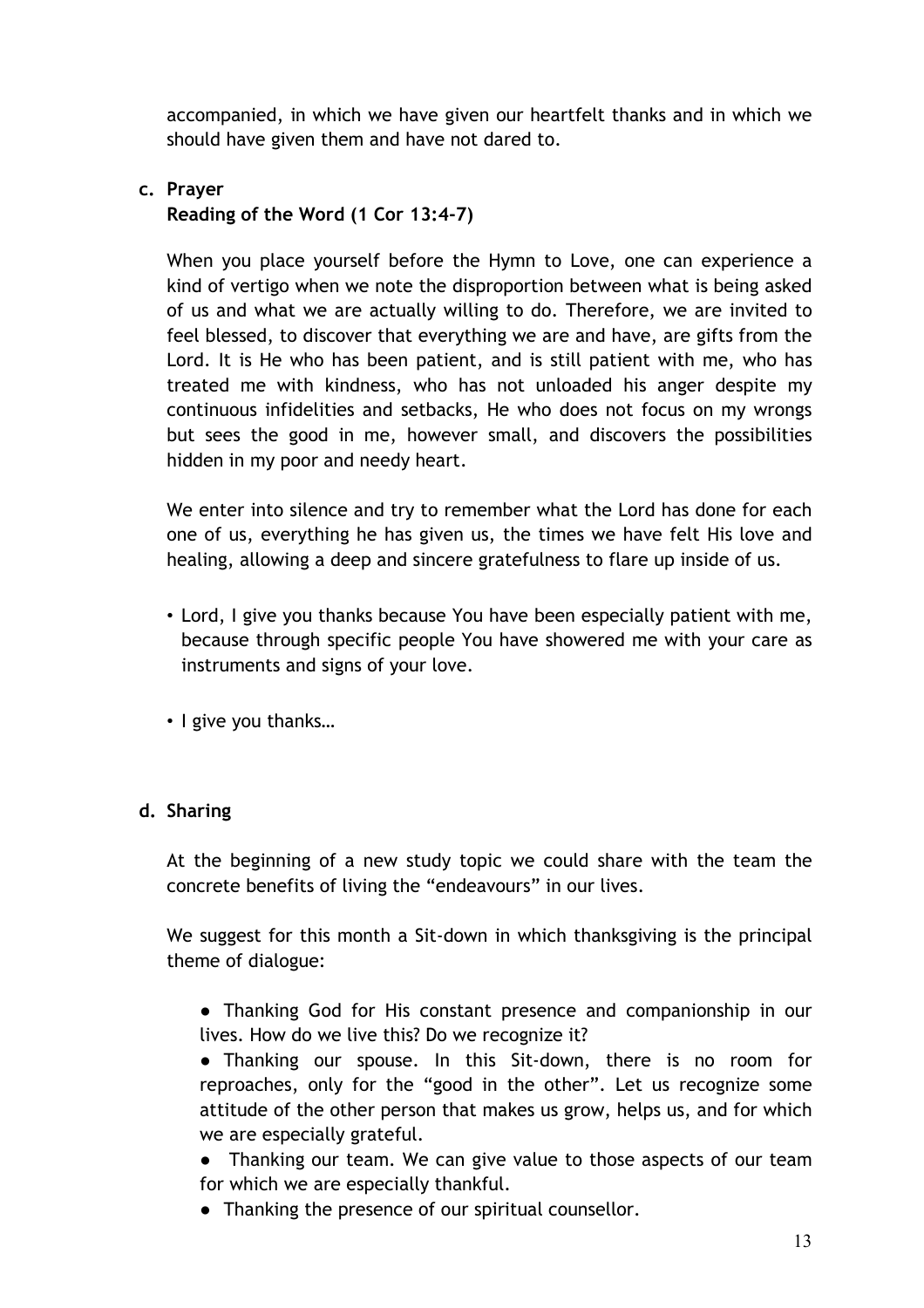accompanied, in which we have given our heartfelt thanks and in which we should have given them and have not dared to.

# **c. Prayer**

**Reading of the Word (1 Cor 13:4-7)**

When you place yourself before the Hymn to Love, one can experience a kind of vertigo when we note the disproportion between what is being asked of us and what we are actually willing to do. Therefore, we are invited to feel blessed, to discover that everything we are and have, are gifts from the Lord. It is He who has been patient, and is still patient with me, who has treated me with kindness, who has not unloaded his anger despite my continuous infidelities and setbacks, He who does not focus on my wrongs but sees the good in me, however small, and discovers the possibilities hidden in my poor and needy heart.

We enter into silence and try to remember what the Lord has done for each one of us, everything he has given us, the times we have felt His love and healing, allowing a deep and sincere gratefulness to flare up inside of us.

- Lord, I give you thanks because You have been especially patient with me, because through specific people You have showered me with your care as instruments and signs of your love.
- I give you thanks…

# **d. Sharing**

At the beginning of a new study topic we could share with the team the concrete benefits of living the "endeavours" in our lives.

We suggest for this month a Sit-down in which thanksgiving is the principal theme of dialogue:

● Thanking God for His constant presence and companionship in our lives. How do we live this? Do we recognize it?

● Thanking our spouse. In this Sit-down, there is no room for reproaches, only for the "good in the other". Let us recognize some attitude of the other person that makes us grow, helps us, and for which we are especially grateful.

• Thanking our team. We can give value to those aspects of our team for which we are especially thankful.

● Thanking the presence of our spiritual counsellor.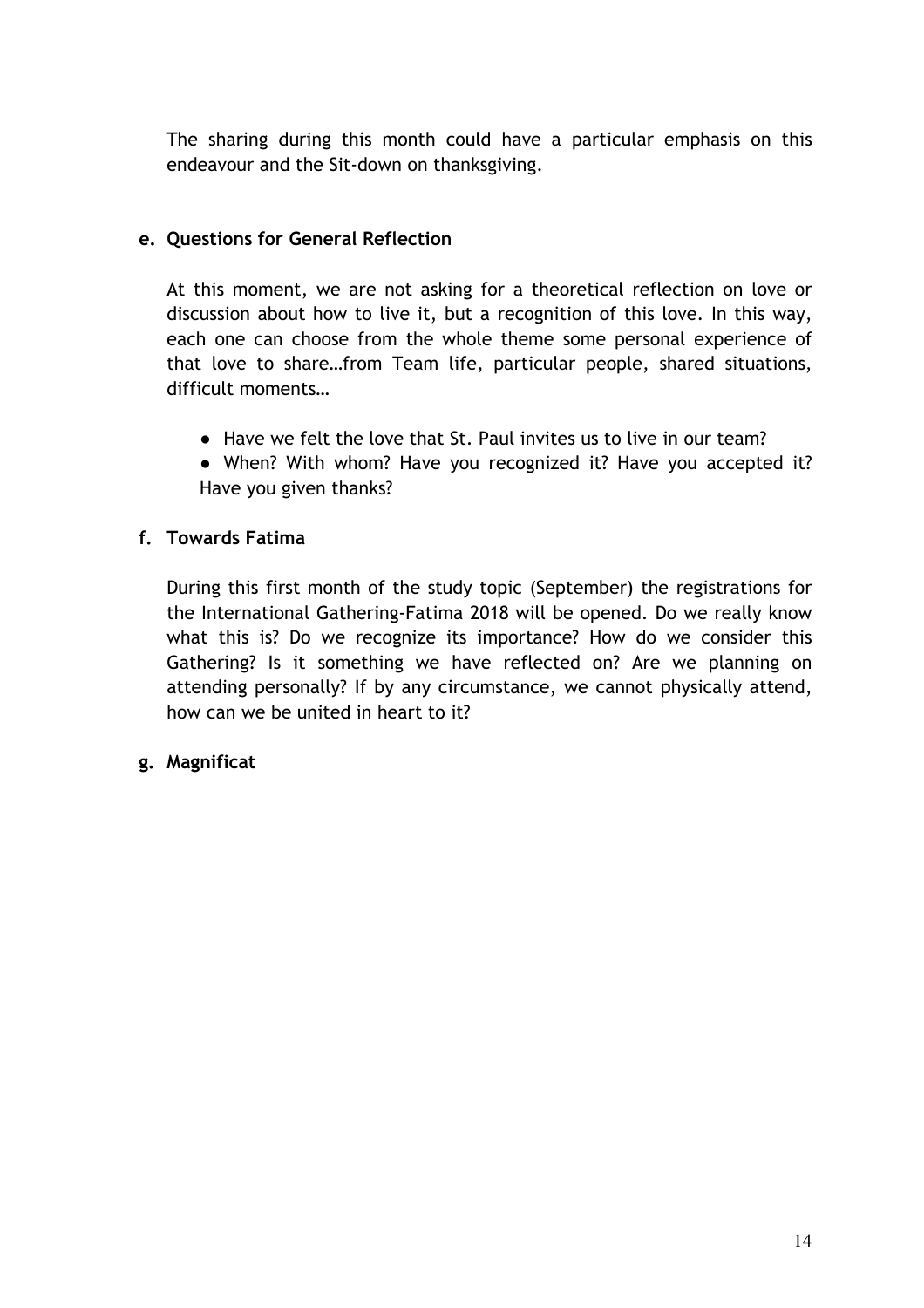The sharing during this month could have a particular emphasis on this endeavour and the Sit-down on thanksgiving.

# **e. Questions for General Reflection**

At this moment, we are not asking for a theoretical reflection on love or discussion about how to live it, but a recognition of this love. In this way, each one can choose from the whole theme some personal experience of that love to share…from Team life, particular people, shared situations, difficult moments…

- Have we felt the love that St. Paul invites us to live in our team?
- When? With whom? Have you recognized it? Have you accepted it? Have you given thanks?

# **f. Towards Fatima**

During this first month of the study topic (September) the registrations for the International Gathering-Fatima 2018 will be opened. Do we really know what this is? Do we recognize its importance? How do we consider this Gathering? Is it something we have reflected on? Are we planning on attending personally? If by any circumstance, we cannot physically attend, how can we be united in heart to it?

# **g. Magnificat**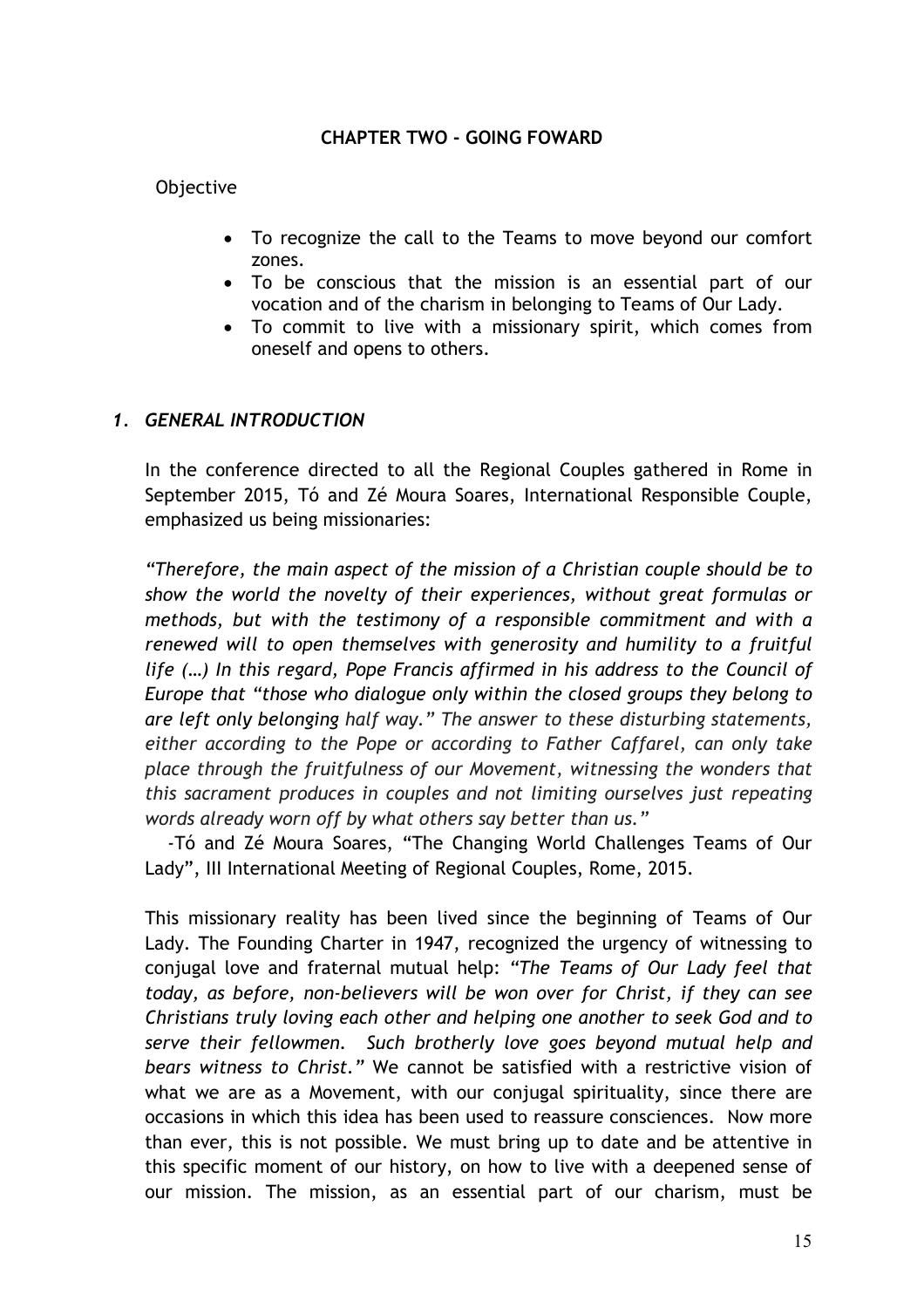#### **CHAPTER TWO - GOING FOWARD**

#### Objective

- To recognize the call to the Teams to move beyond our comfort zones.
- To be conscious that the mission is an essential part of our vocation and of the charism in belonging to Teams of Our Lady.
- To commit to live with a missionary spirit, which comes from oneself and opens to others.

#### *1. GENERAL INTRODUCTION*

In the conference directed to all the Regional Couples gathered in Rome in September 2015, Tó and Zé Moura Soares, International Responsible Couple, emphasized us being missionaries:

*"Therefore, the main aspect of the mission of a Christian couple should be to show the world the novelty of their experiences, without great formulas or methods, but with the testimony of a responsible commitment and with a renewed will to open themselves with generosity and humility to a fruitful life (…) In this regard, Pope Francis affirmed in his address to the Council of Europe that "those who dialogue only within the closed groups they belong to are left only belonging half way." The answer to these disturbing statements, either according to the Pope or according to Father Caffarel, can only take place through the fruitfulness of our Movement, witnessing the wonders that this sacrament produces in couples and not limiting ourselves just repeating words already worn off by what others say better than us."* 

-Tó and Zé Moura Soares, "The Changing World Challenges Teams of Our Lady", III International Meeting of Regional Couples, Rome, 2015.

This missionary reality has been lived since the beginning of Teams of Our Lady. The Founding Charter in 1947, recognized the urgency of witnessing to conjugal love and fraternal mutual help: *"The Teams of Our Lady feel that today, as before, non-believers will be won over for Christ, if they can see Christians truly loving each other and helping one another to seek God and to serve their fellowmen. Such brotherly love goes beyond mutual help and bears witness to Christ."* We cannot be satisfied with a restrictive vision of what we are as a Movement, with our conjugal spirituality, since there are occasions in which this idea has been used to reassure consciences. Now more than ever, this is not possible. We must bring up to date and be attentive in this specific moment of our history, on how to live with a deepened sense of our mission. The mission, as an essential part of our charism, must be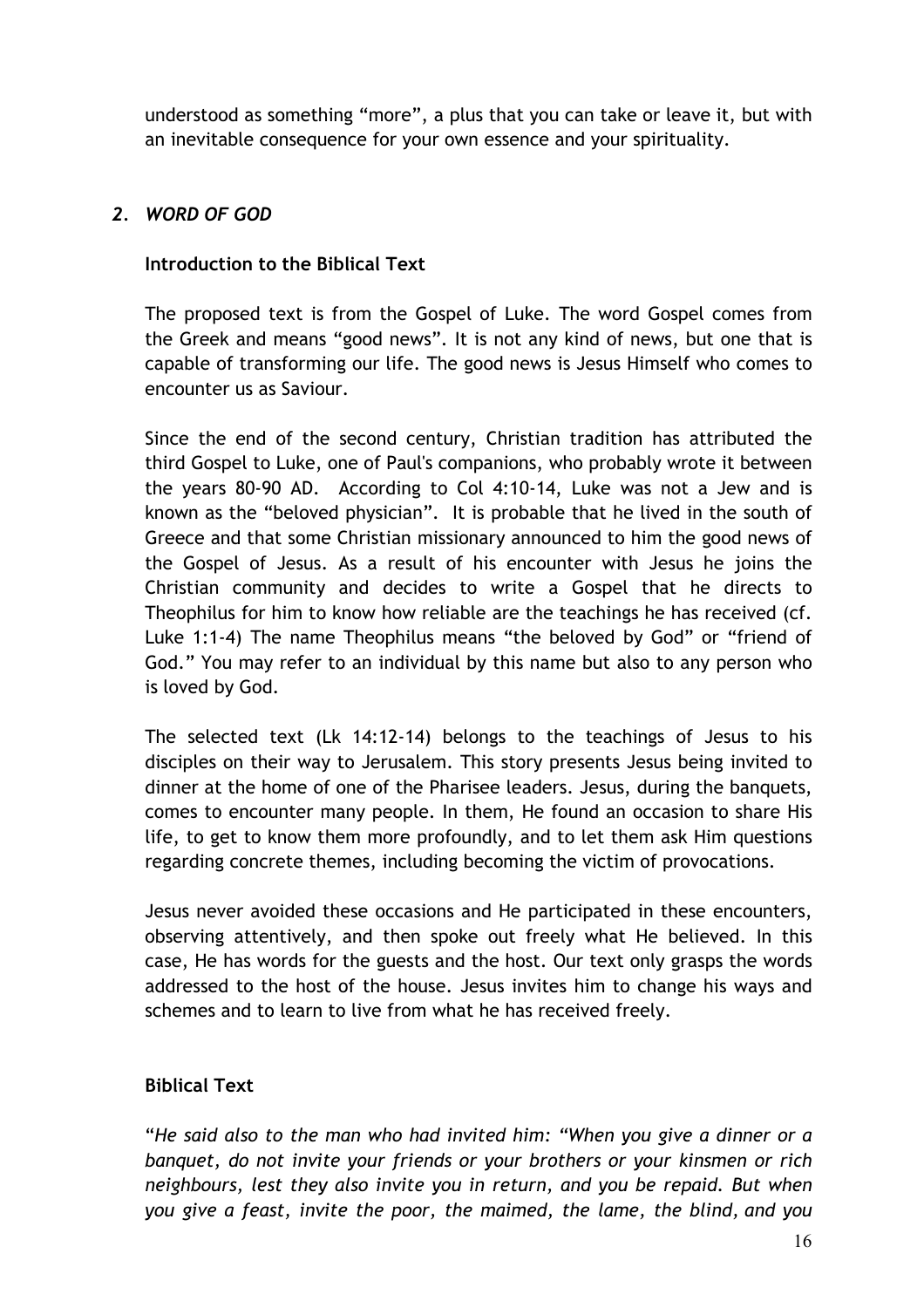understood as something "more", a plus that you can take or leave it, but with an inevitable consequence for your own essence and your spirituality.

# *2. WORD OF GOD*

# **Introduction to the Biblical Text**

The proposed text is from the Gospel of Luke. The word Gospel comes from the Greek and means "good news". It is not any kind of news, but one that is capable of transforming our life. The good news is Jesus Himself who comes to encounter us as Saviour.

Since the end of the second century, Christian tradition has attributed the third Gospel to Luke, one of Paul's companions, who probably wrote it between the years 80-90 AD. According to Col 4:10-14, Luke was not a Jew and is known as the "beloved physician". It is probable that he lived in the south of Greece and that some Christian missionary announced to him the good news of the Gospel of Jesus. As a result of his encounter with Jesus he joins the Christian community and decides to write a Gospel that he directs to Theophilus for him to know how reliable are the teachings he has received (cf. Luke 1:1-4) The name Theophilus means "the beloved by God" or "friend of God." You may refer to an individual by this name but also to any person who is loved by God.

The selected text (Lk 14:12-14) belongs to the teachings of Jesus to his disciples on their way to Jerusalem. This story presents Jesus being invited to dinner at the home of one of the Pharisee leaders. Jesus, during the banquets, comes to encounter many people. In them, He found an occasion to share His life, to get to know them more profoundly, and to let them ask Him questions regarding concrete themes, including becoming the victim of provocations.

Jesus never avoided these occasions and He participated in these encounters, observing attentively, and then spoke out freely what He believed. In this case, He has words for the guests and the host. Our text only grasps the words addressed to the host of the house. Jesus invites him to change his ways and schemes and to learn to live from what he has received freely.

# **Biblical Text**

"*He said also to the man who had invited him: "When you give a dinner or a banquet, do not invite your friends or your brothers or your kinsmen or rich neighbours, lest they also invite you in return, and you be repaid. But when you give a feast, invite the poor, the maimed, the lame, the blind, and you*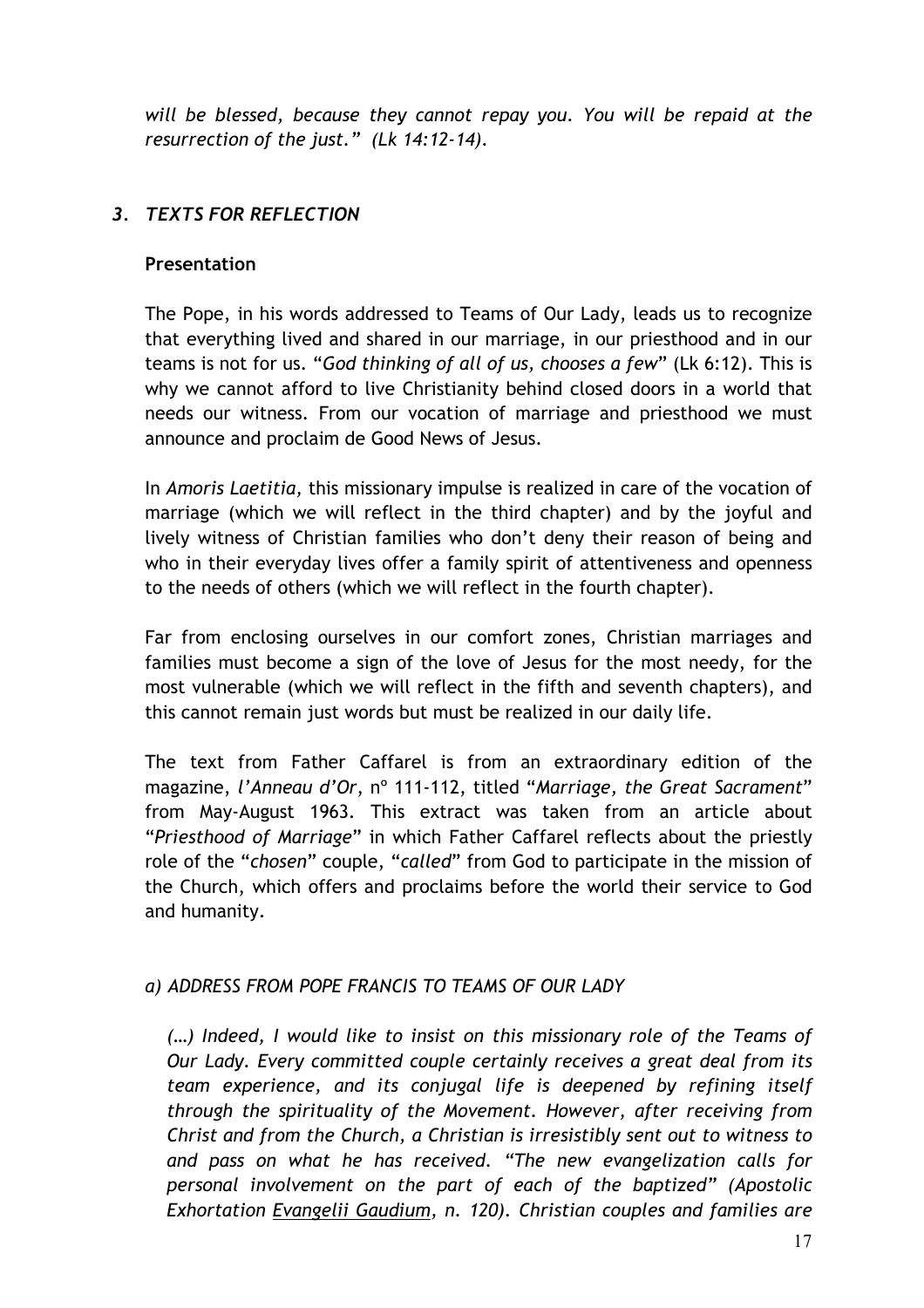*will be blessed, because they cannot repay you. You will be repaid at the resurrection of the just." (Lk 14:12-14).*

# *3. TEXTS FOR REFLECTION*

# **Presentation**

The Pope, in his words addressed to Teams of Our Lady, leads us to recognize that everything lived and shared in our marriage, in our priesthood and in our teams is not for us. "*God thinking of all of us, chooses a few*" (Lk 6:12). This is why we cannot afford to live Christianity behind closed doors in a world that needs our witness. From our vocation of marriage and priesthood we must announce and proclaim de Good News of Jesus.

In *Amoris Laetitia,* this missionary impulse is realized in care of the vocation of marriage (which we will reflect in the third chapter) and by the joyful and lively witness of Christian families who don't deny their reason of being and who in their everyday lives offer a family spirit of attentiveness and openness to the needs of others (which we will reflect in the fourth chapter).

Far from enclosing ourselves in our comfort zones, Christian marriages and families must become a sign of the love of Jesus for the most needy, for the most vulnerable (which we will reflect in the fifth and seventh chapters), and this cannot remain just words but must be realized in our daily life.

The text from Father Caffarel is from an extraordinary edition of the magazine, *l'Anneau d'Or*, nº 111-112, titled "*Marriage, the Great Sacrament*" from May-August 1963. This extract was taken from an article about "*Priesthood of Marriage*" in which Father Caffarel reflects about the priestly role of the "*chosen*" couple, "*called*" from God to participate in the mission of the Church, which offers and proclaims before the world their service to God and humanity.

# *a) ADDRESS FROM POPE FRANCIS TO TEAMS OF OUR LADY*

*(…) Indeed, I would like to insist on this missionary role of the Teams of Our Lady. Every committed couple certainly receives a great deal from its team experience, and its conjugal life is deepened by refining itself through the spirituality of the Movement. However, after receiving from Christ and from the Church, a Christian is irresistibly sent out to witness to and pass on what he has received. "The new evangelization calls for personal involvement on the part of each of the baptized" (Apostolic Exhortation [Evangelii Gaudium,](http://w2.vatican.va/content/francesco/en/apost_exhortations/documents/papa-francesco_esortazione-ap_20131124_evangelii-gaudium.html) n. 120). Christian couples and families are*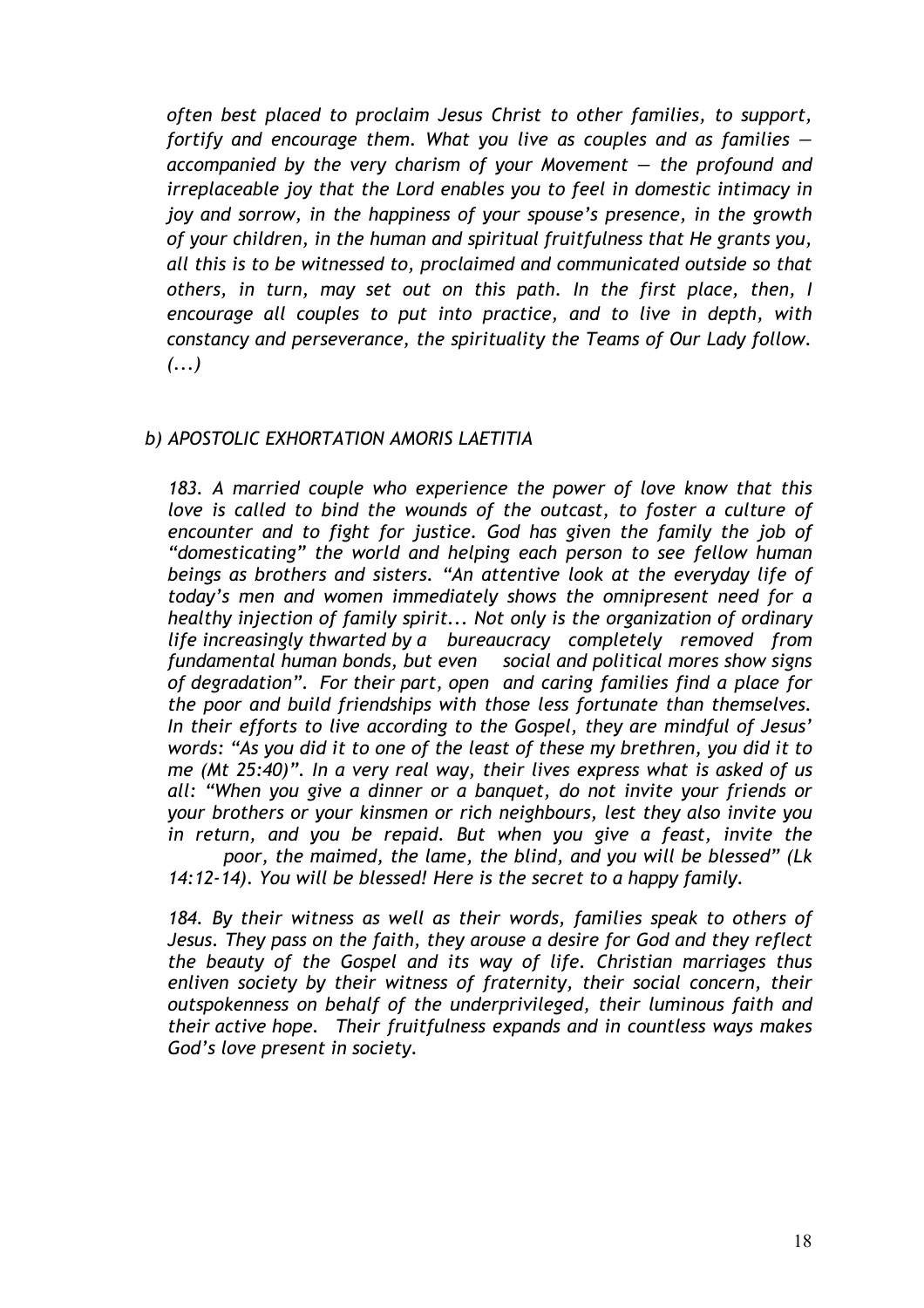*often best placed to proclaim Jesus Christ to other families, to support, fortify and encourage them. What you live as couples and as families accompanied by the very charism of your Movement — the profound and irreplaceable joy that the Lord enables you to feel in domestic intimacy in joy and sorrow, in the happiness of your spouse's presence, in the growth of your children, in the human and spiritual fruitfulness that He grants you, all this is to be witnessed to, proclaimed and communicated outside so that others, in turn, may set out on this path. In the first place, then, I encourage all couples to put into practice, and to live in depth, with constancy and perseverance, the spirituality the Teams of Our Lady follow. (...)*

#### *b) APOSTOLIC EXHORTATION AMORIS LAETITIA*

*183. A married couple who experience the power of love know that this love is called to bind the wounds of the outcast, to foster a culture of encounter and to fight for justice. God has given the family the job of "domesticating" the world and helping each person to see fellow human beings as brothers and sisters. "An attentive look at the everyday life of today's men and women immediately shows the omnipresent need for a healthy injection of family spirit... Not only is the organization of ordinary life increasingly thwarted by a bureaucracy completely removed from fundamental human bonds, but even social and political mores show signs of degradation". For their part, open and caring families find a place for the poor and build friendships with those less fortunate than themselves. In their efforts to live according to the Gospel, they are mindful of Jesus' words: "As you did it to one of the least of these my brethren, you did it to me (Mt 25:40)". In a very real way, their lives express what is asked of us all: "When you give a dinner or a banquet, do not invite your friends or your brothers or your kinsmen or rich neighbours, lest they also invite you in return, and you be repaid. But when you give a feast, invite the poor, the maimed, the lame, the blind, and you will be blessed" (Lk* 

*14:12-14). You will be blessed! Here is the secret to a happy family.* 

*184. By their witness as well as their words, families speak to others of Jesus. They pass on the faith, they arouse a desire for God and they reflect the beauty of the Gospel and its way of life. Christian marriages thus enliven society by their witness of fraternity, their social concern, their outspokenness on behalf of the underprivileged, their luminous faith and their active hope. Their fruitfulness expands and in countless ways makes God's love present in society.*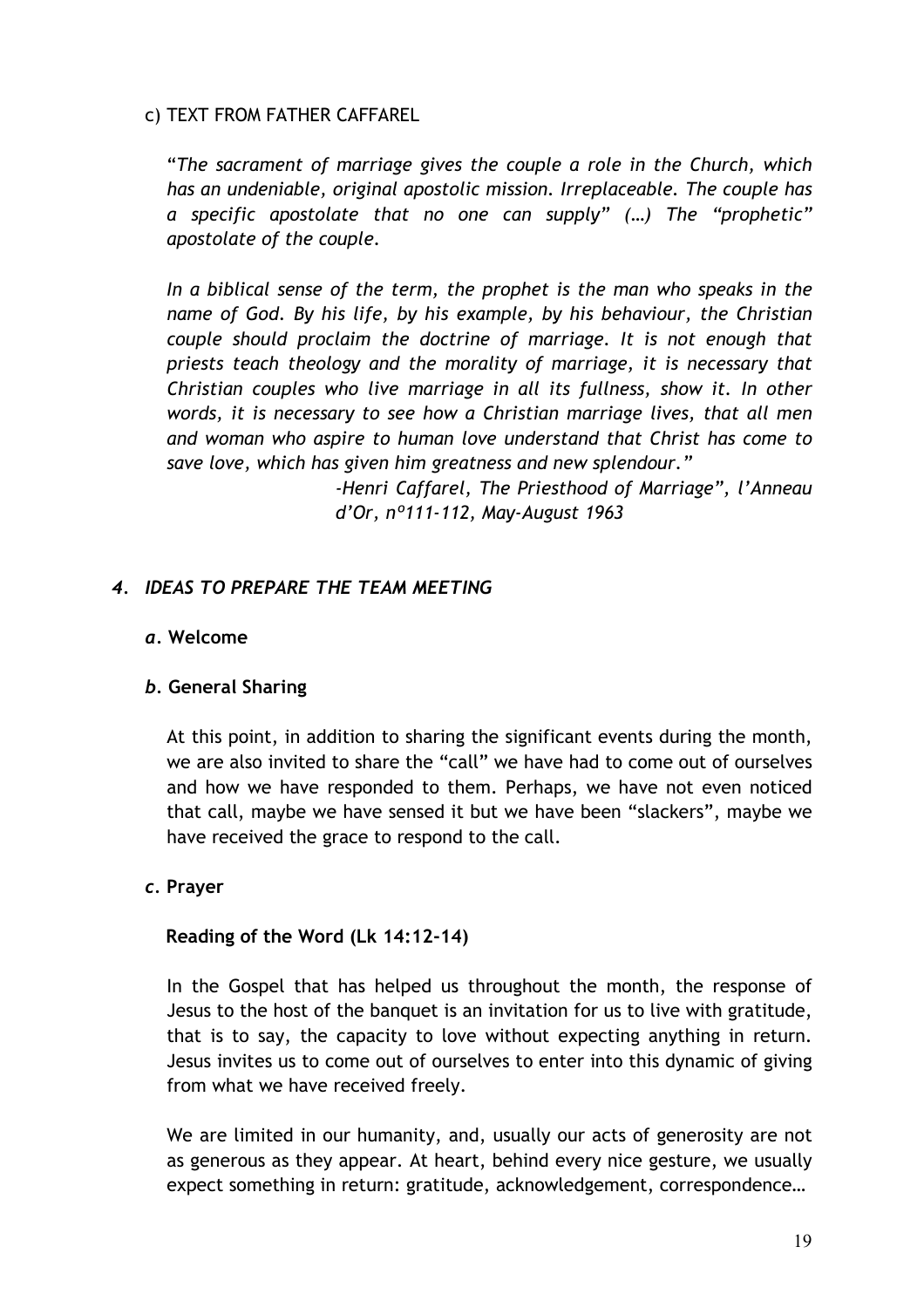#### c) TEXT FROM FATHER CAFFAREL

"*The sacrament of marriage gives the couple a role in the Church, which has an undeniable, original apostolic mission. Irreplaceable. The couple has a specific apostolate that no one can supply" (…) The "prophetic" apostolate of the couple.*

*In a biblical sense of the term, the prophet is the man who speaks in the name of God. By his life, by his example, by his behaviour, the Christian couple should proclaim the doctrine of marriage. It is not enough that priests teach theology and the morality of marriage, it is necessary that Christian couples who live marriage in all its fullness, show it. In other words, it is necessary to see how a Christian marriage lives, that all men and woman who aspire to human love understand that Christ has come to save love, which has given him greatness and new splendour."*

> *-Henri Caffarel, The Priesthood of Marriage", l'Anneau d'Or, nº111-112, May-August 1963*

# *4. IDEAS TO PREPARE THE TEAM MEETING*

#### *a.* **Welcome**

# *b.* **General Sharing**

At this point, in addition to sharing the significant events during the month, we are also invited to share the "call" we have had to come out of ourselves and how we have responded to them. Perhaps, we have not even noticed that call, maybe we have sensed it but we have been "slackers", maybe we have received the grace to respond to the call.

#### *c.* **Prayer**

# **Reading of the Word (Lk 14:12-14)**

In the Gospel that has helped us throughout the month, the response of Jesus to the host of the banquet is an invitation for us to live with gratitude, that is to say, the capacity to love without expecting anything in return. Jesus invites us to come out of ourselves to enter into this dynamic of giving from what we have received freely.

We are limited in our humanity, and, usually our acts of generosity are not as generous as they appear. At heart, behind every nice gesture, we usually expect something in return: gratitude, acknowledgement, correspondence…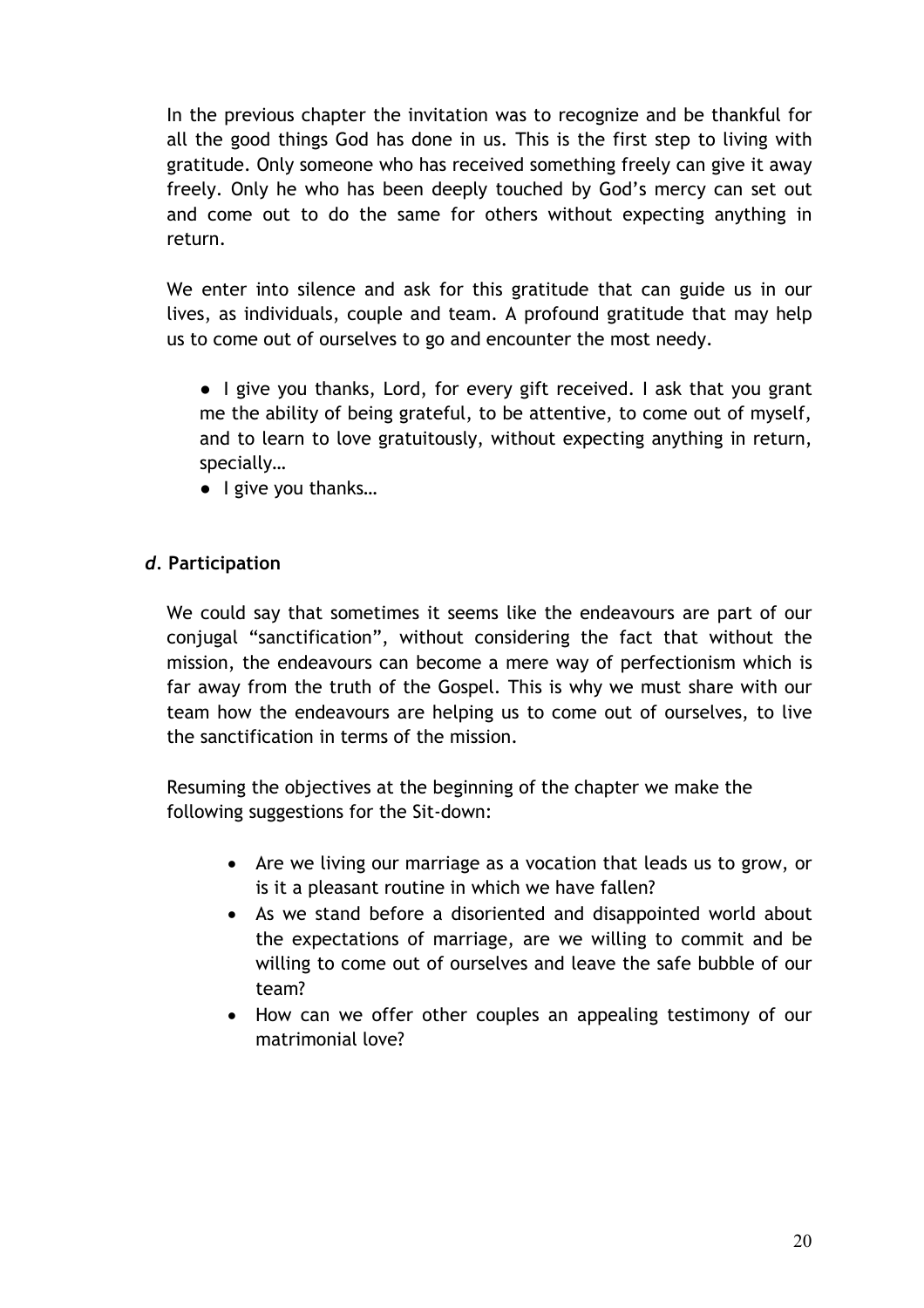In the previous chapter the invitation was to recognize and be thankful for all the good things God has done in us. This is the first step to living with gratitude. Only someone who has received something freely can give it away freely. Only he who has been deeply touched by God's mercy can set out and come out to do the same for others without expecting anything in return.

We enter into silence and ask for this gratitude that can guide us in our lives, as individuals, couple and team. A profound gratitude that may help us to come out of ourselves to go and encounter the most needy.

• I give you thanks, Lord, for every gift received. I ask that you grant me the ability of being grateful, to be attentive, to come out of myself, and to learn to love gratuitously, without expecting anything in return, specially…

● I give you thanks…

# *d.* **Participation**

We could say that sometimes it seems like the endeavours are part of our conjugal "sanctification", without considering the fact that without the mission, the endeavours can become a mere way of perfectionism which is far away from the truth of the Gospel. This is why we must share with our team how the endeavours are helping us to come out of ourselves, to live the sanctification in terms of the mission.

Resuming the objectives at the beginning of the chapter we make the following suggestions for the Sit-down:

- Are we living our marriage as a vocation that leads us to grow, or is it a pleasant routine in which we have fallen?
- As we stand before a disoriented and disappointed world about the expectations of marriage, are we willing to commit and be willing to come out of ourselves and leave the safe bubble of our team?
- How can we offer other couples an appealing testimony of our matrimonial love?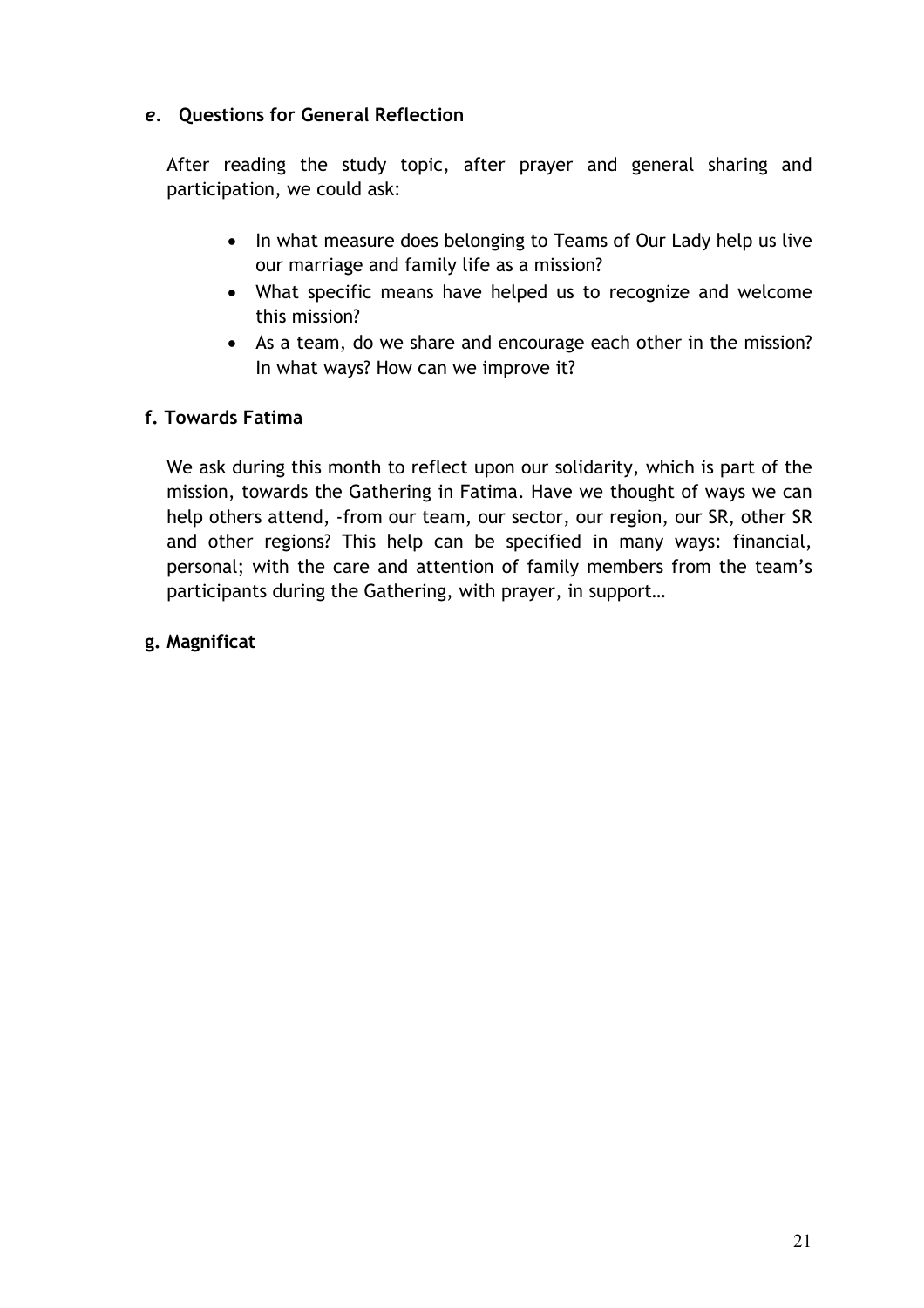# *e.* **Questions for General Reflection**

After reading the study topic, after prayer and general sharing and participation, we could ask:

- In what measure does belonging to Teams of Our Lady help us live our marriage and family life as a mission?
- What specific means have helped us to recognize and welcome this mission?
- As a team, do we share and encourage each other in the mission? In what ways? How can we improve it?

# **f. Towards Fatima**

We ask during this month to reflect upon our solidarity, which is part of the mission, towards the Gathering in Fatima. Have we thought of ways we can help others attend, -from our team, our sector, our region, our SR, other SR and other regions? This help can be specified in many ways: financial, personal; with the care and attention of family members from the team's participants during the Gathering, with prayer, in support…

# **g. Magnificat**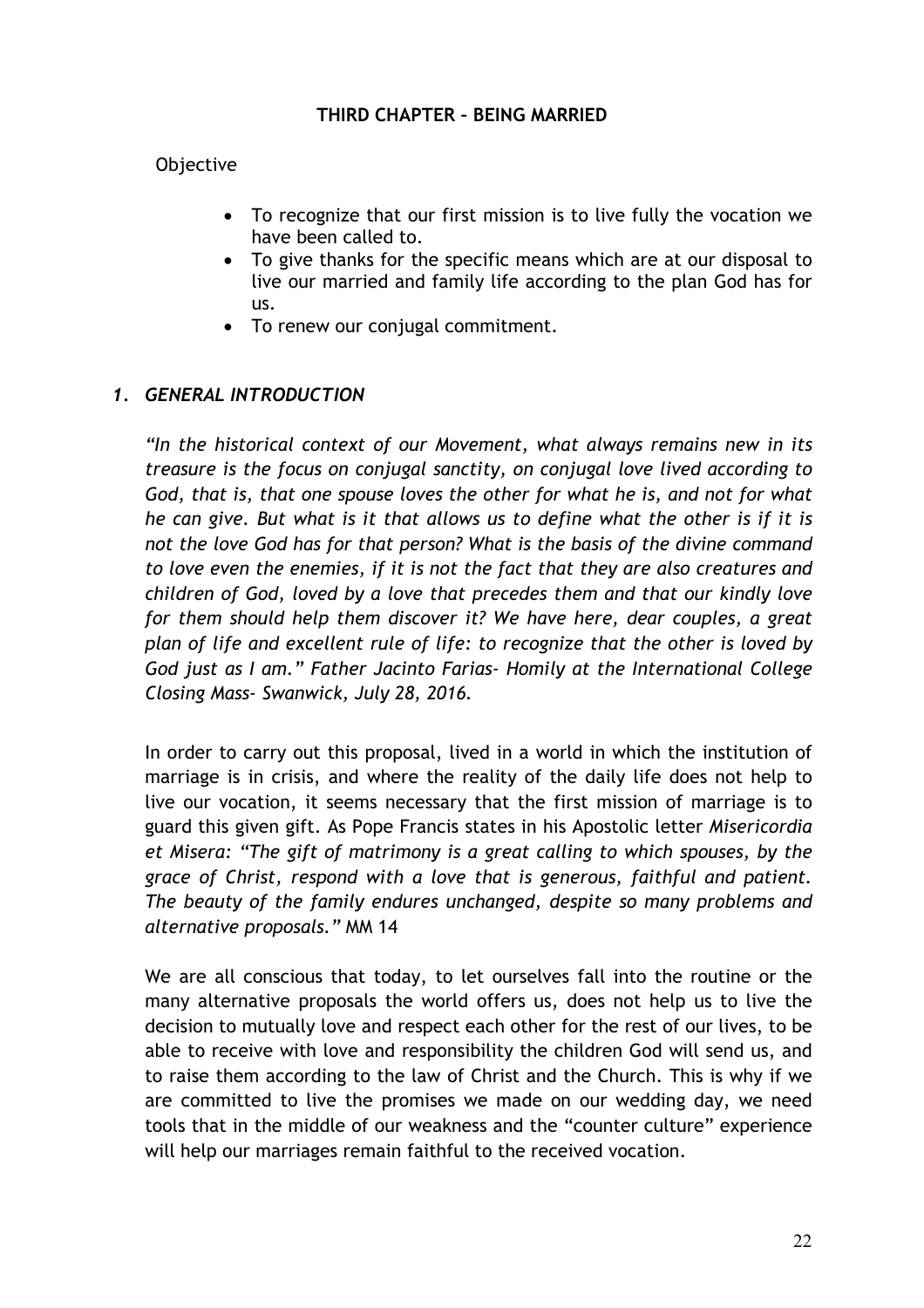#### **THIRD CHAPTER – BEING MARRIED**

#### Objective

- To recognize that our first mission is to live fully the vocation we have been called to.
- To give thanks for the specific means which are at our disposal to live our married and family life according to the plan God has for us.
- To renew our conjugal commitment.

#### *1. GENERAL INTRODUCTION*

*"In the historical context of our Movement, what always remains new in its treasure is the focus on conjugal sanctity, on conjugal love lived according to God, that is, that one spouse loves the other for what he is, and not for what he can give. But what is it that allows us to define what the other is if it is not the love God has for that person? What is the basis of the divine command to love even the enemies, if it is not the fact that they are also creatures and children of God, loved by a love that precedes them and that our kindly love for them should help them discover it? We have here, dear couples, a great plan of life and excellent rule of life: to recognize that the other is loved by God just as I am." Father Jacinto Farias- Homily at the International College Closing Mass- Swanwick, July 28, 2016.*

In order to carry out this proposal, lived in a world in which the institution of marriage is in crisis, and where the reality of the daily life does not help to live our vocation, it seems necessary that the first mission of marriage is to guard this given gift. As Pope Francis states in his Apostolic letter *Misericordia et Misera: "The gift of matrimony is a great calling to which spouses, by the grace of Christ, respond with a love that is generous, faithful and patient. The beauty of the family endures unchanged, despite so many problems and alternative proposals."* MM 14

We are all conscious that today, to let ourselves fall into the routine or the many alternative proposals the world offers us, does not help us to live the decision to mutually love and respect each other for the rest of our lives, to be able to receive with love and responsibility the children God will send us, and to raise them according to the law of Christ and the Church. This is why if we are committed to live the promises we made on our wedding day, we need tools that in the middle of our weakness and the "counter culture" experience will help our marriages remain faithful to the received vocation.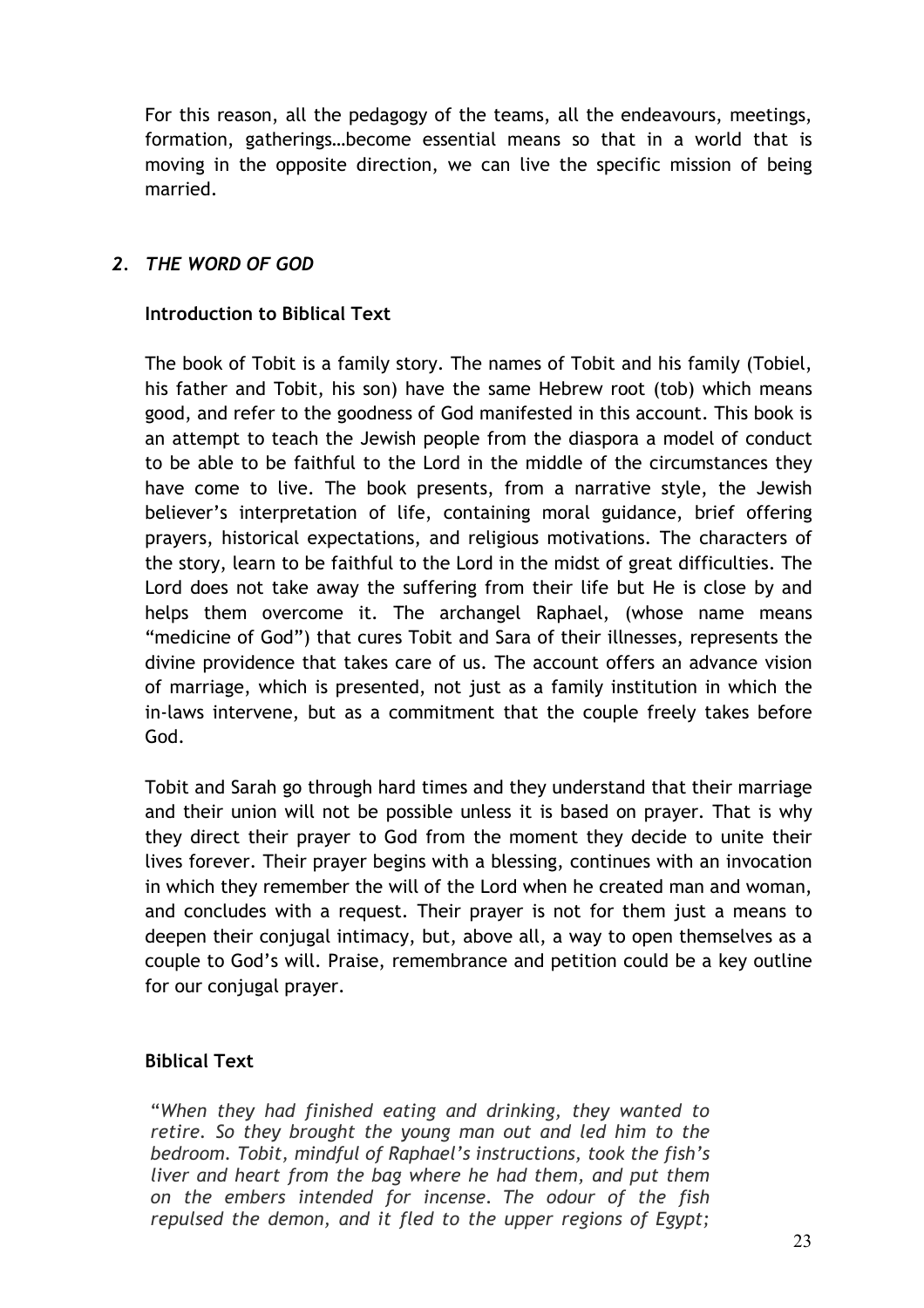For this reason, all the pedagogy of the teams, all the endeavours, meetings, formation, gatherings…become essential means so that in a world that is moving in the opposite direction, we can live the specific mission of being married.

# *2. THE WORD OF GOD*

#### **Introduction to Biblical Text**

The book of Tobit is a family story. The names of Tobit and his family (Tobiel, his father and Tobit, his son) have the same Hebrew root (tob) which means good, and refer to the goodness of God manifested in this account. This book is an attempt to teach the Jewish people from the diaspora a model of conduct to be able to be faithful to the Lord in the middle of the circumstances they have come to live. The book presents, from a narrative style, the Jewish believer's interpretation of life, containing moral guidance, brief offering prayers, historical expectations, and religious motivations. The characters of the story, learn to be faithful to the Lord in the midst of great difficulties. The Lord does not take away the suffering from their life but He is close by and helps them overcome it. The archangel Raphael, (whose name means "medicine of God") that cures Tobit and Sara of their illnesses, represents the divine providence that takes care of us. The account offers an advance vision of marriage, which is presented, not just as a family institution in which the in-laws intervene, but as a commitment that the couple freely takes before God.

Tobit and Sarah go through hard times and they understand that their marriage and their union will not be possible unless it is based on prayer. That is why they direct their prayer to God from the moment they decide to unite their lives forever. Their prayer begins with a blessing, continues with an invocation in which they remember the will of the Lord when he created man and woman, and concludes with a request. Their prayer is not for them just a means to deepen their conjugal intimacy, but, above all, a way to open themselves as a couple to God's will. Praise, remembrance and petition could be a key outline for our conjugal prayer.

# **Biblical Text**

"*When they had finished eating and drinking, they wanted to retire. So they brought the young man out and led him to the bedroom. Tobit, mindful of Raphael's instructions, took the fish's liver and heart from the bag where he had them, and put them on the embers intended for incense. The odour of the fish repulsed the demon, and it fled to the upper regions of Egypt;*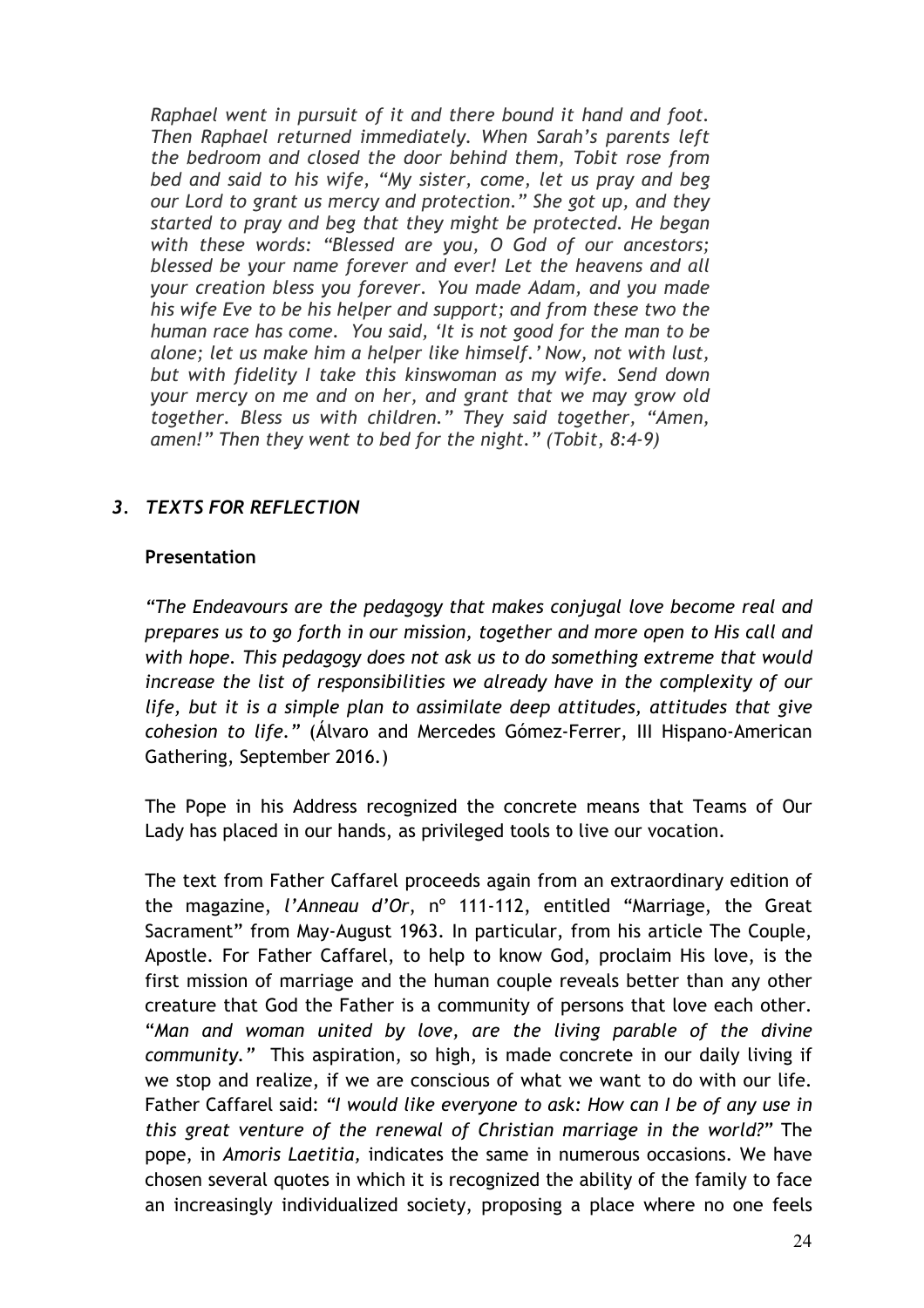*Raphael went in pursuit of it and there bound it hand and foot. Then Raphael returned immediately. When Sarah's parents left the bedroom and closed the door behind them, Tobit rose from bed and said to his wife, "My sister, come, let us pray and beg our Lord to grant us mercy and protection." She got up, and they started to pray and beg that they might be protected. He began with these words: "Blessed are you, O God of our ancestors; blessed be your name forever and ever! Let the heavens and all your creation bless you forever. You made Adam, and you made his wife Eve to be his helper and support; and from these two the human race has come. You said, 'It is not good for the man to be alone; let us make him a helper like himself.' Now, not with lust, but with fidelity I take this kinswoman as my wife. Send down your mercy on me and on her, and grant that we may grow old together. Bless us with children." They said together, "Amen, amen!" Then they went to bed for the night." (Tobit, 8:4-9)*

# *3. TEXTS FOR REFLECTION*

#### **Presentation**

*"The Endeavours are the pedagogy that makes conjugal love become real and prepares us to go forth in our mission, together and more open to His call and with hope. This pedagogy does not ask us to do something extreme that would*  increase the list of responsibilities we already have in the complexity of our *life, but it is a simple plan to assimilate deep attitudes, attitudes that give cohesion to life."* (Álvaro and Mercedes Gómez-Ferrer, III Hispano-American Gathering, September 2016.)

The Pope in his Address recognized the concrete means that Teams of Our Lady has placed in our hands, as privileged tools to live our vocation.

The text from Father Caffarel proceeds again from an extraordinary edition of the magazine, *l'Anneau d'Or*, nº 111-112, entitled "Marriage, the Great Sacrament" from May-August 1963. In particular, from his article The Couple, Apostle. For Father Caffarel, to help to know God, proclaim His love, is the first mission of marriage and the human couple reveals better than any other creature that God the Father is a community of persons that love each other. "*Man and woman united by love, are the living parable of the divine community."* This aspiration, so high, is made concrete in our daily living if we stop and realize, if we are conscious of what we want to do with our life. Father Caffarel said: *"I would like everyone to ask: How can I be of any use in this great venture of the renewal of Christian marriage in the world?"* The pope, in *Amoris Laetitia,* indicates the same in numerous occasions. We have chosen several quotes in which it is recognized the ability of the family to face an increasingly individualized society, proposing a place where no one feels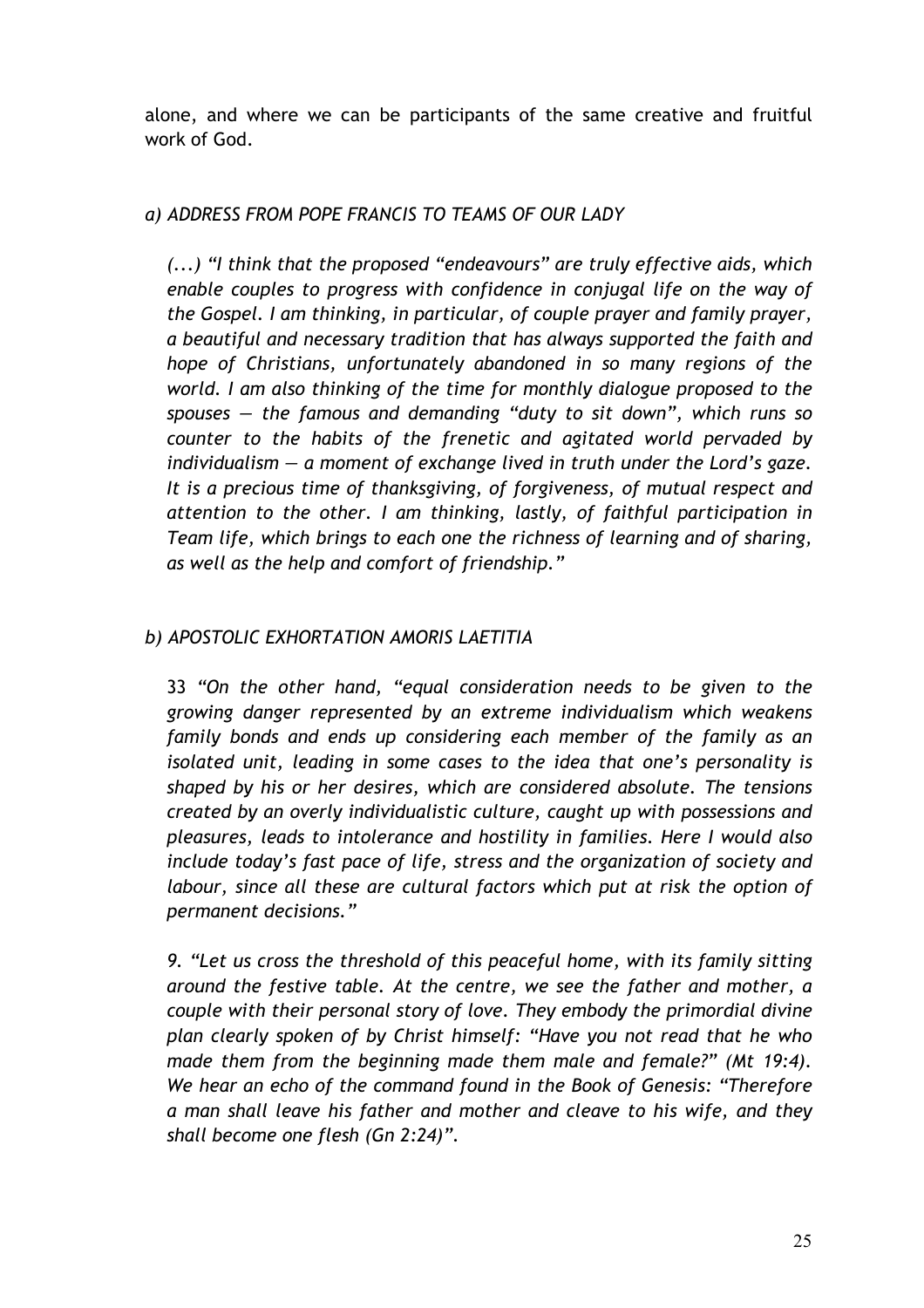alone, and where we can be participants of the same creative and fruitful work of God.

# *a) ADDRESS FROM POPE FRANCIS TO TEAMS OF OUR LADY*

*(...) "I think that the proposed "endeavours" are truly effective aids, which enable couples to progress with confidence in conjugal life on the way of the Gospel. I am thinking, in particular, of couple prayer and family prayer, a beautiful and necessary tradition that has always supported the faith and hope of Christians, unfortunately abandoned in so many regions of the world. I am also thinking of the time for monthly dialogue proposed to the spouses — the famous and demanding "duty to sit down", which runs so counter to the habits of the frenetic and agitated world pervaded by individualism — a moment of exchange lived in truth under the Lord's gaze. It is a precious time of thanksgiving, of forgiveness, of mutual respect and attention to the other. I am thinking, lastly, of faithful participation in Team life, which brings to each one the richness of learning and of sharing, as well as the help and comfort of friendship."*

# *b) APOSTOLIC EXHORTATION AMORIS LAETITIA*

33 *"On the other hand, "equal consideration needs to be given to the growing danger represented by an extreme individualism which weakens family bonds and ends up considering each member of the family as an isolated unit, leading in some cases to the idea that one's personality is shaped by his or her desires, which are considered absolute. The tensions created by an overly individualistic culture, caught up with possessions and pleasures, leads to intolerance and hostility in families. Here I would also include today's fast pace of life, stress and the organization of society and labour, since all these are cultural factors which put at risk the option of permanent decisions."*

*9. "Let us cross the threshold of this peaceful home, with its family sitting around the festive table. At the centre, we see the father and mother, a couple with their personal story of love. They embody the primordial divine plan clearly spoken of by Christ himself: "Have you not read that he who made them from the beginning made them male and female?" (Mt 19:4). We hear an echo of the command found in the Book of Genesis: "Therefore a man shall leave his father and mother and cleave to his wife, and they shall become one flesh (Gn 2:24)".*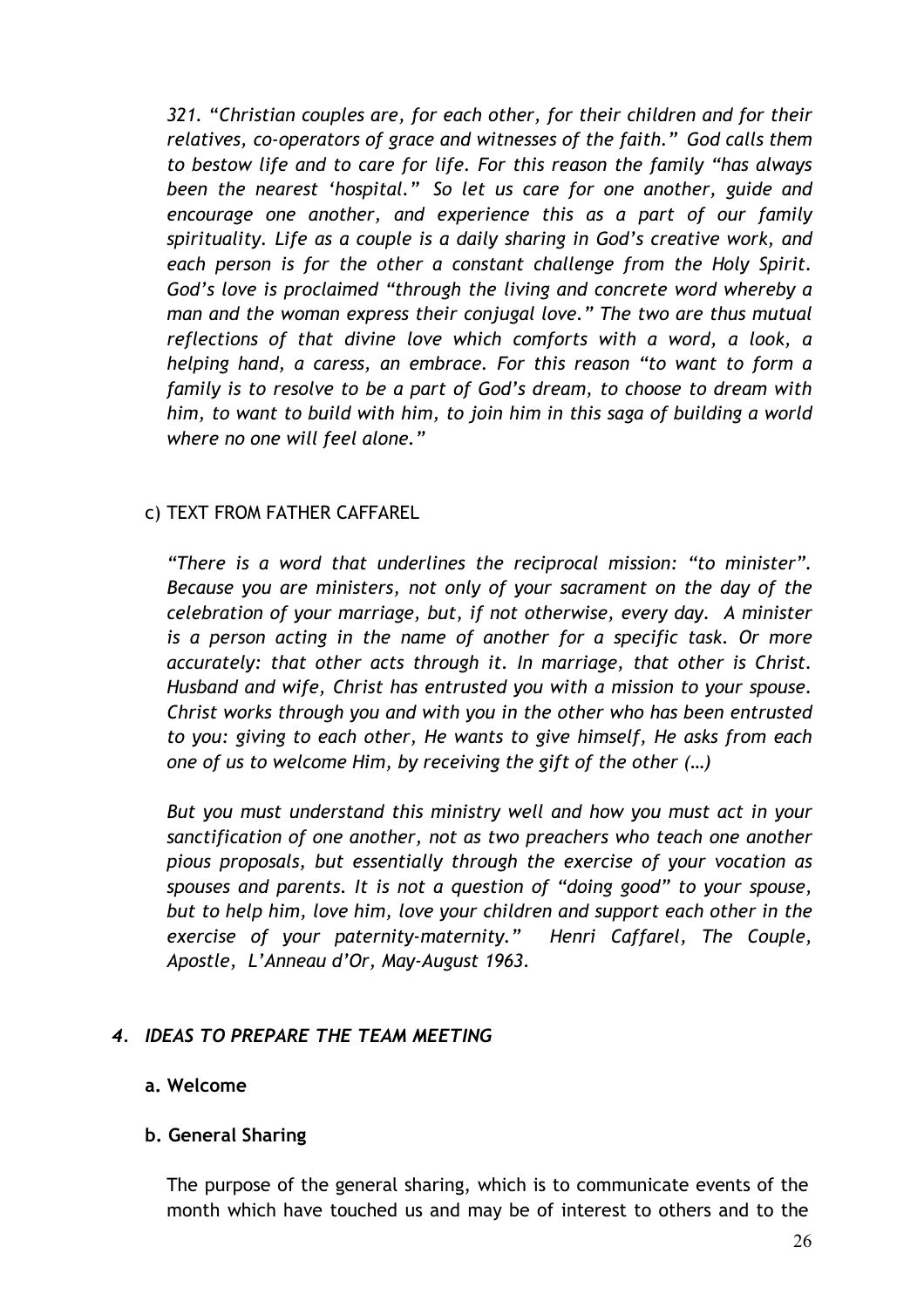*321.* "*Christian couples are, for each other, for their children and for their relatives, co-operators of grace and witnesses of the faith." God calls them to bestow life and to care for life. For this reason the family "has always been the nearest 'hospital." So let us care for one another, guide and encourage one another, and experience this as a part of our family spirituality. Life as a couple is a daily sharing in God's creative work, and each person is for the other a constant challenge from the Holy Spirit. God's love is proclaimed "through the living and concrete word whereby a man and the woman express their conjugal love." The two are thus mutual reflections of that divine love which comforts with a word, a look, a helping hand, a caress, an embrace. For this reason "to want to form a family is to resolve to be a part of God's dream, to choose to dream with him, to want to build with him, to join him in this saga of building a world where no one will feel alone."*

# c) TEXT FROM FATHER CAFFAREL

*"There is a word that underlines the reciprocal mission: "to minister". Because you are ministers, not only of your sacrament on the day of the celebration of your marriage, but, if not otherwise, every day. A minister is a person acting in the name of another for a specific task. Or more accurately: that other acts through it. In marriage, that other is Christ. Husband and wife, Christ has entrusted you with a mission to your spouse. Christ works through you and with you in the other who has been entrusted to you: giving to each other, He wants to give himself, He asks from each one of us to welcome Him, by receiving the gift of the other (…)*

*But you must understand this ministry well and how you must act in your sanctification of one another, not as two preachers who teach one another pious proposals, but essentially through the exercise of your vocation as spouses and parents. It is not a question of "doing good" to your spouse, but to help him, love him, love your children and support each other in the exercise of your paternity-maternity." Henri Caffarel, The Couple, Apostle, L'Anneau d'Or, May-August 1963.*

# *4. IDEAS TO PREPARE THE TEAM MEETING*

#### **a. Welcome**

#### **b. General Sharing**

The purpose of the general sharing, which is to communicate events of the month which have touched us and may be of interest to others and to the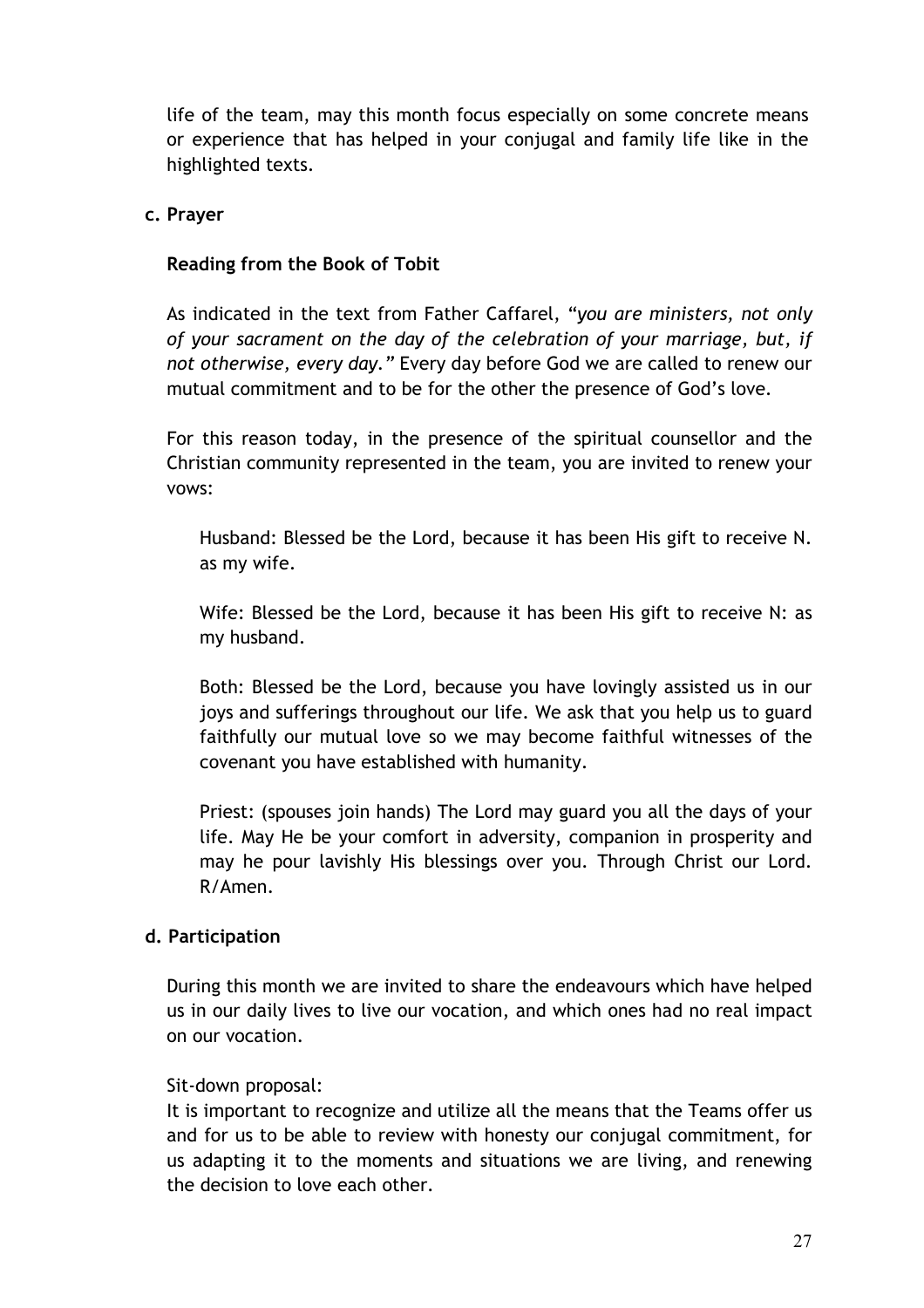life of the team, may this month focus especially on some concrete means or experience that has helped in your conjugal and family life like in the highlighted texts.

#### **c. Prayer**

# **Reading from the Book of Tobit**

As indicated in the text from Father Caffarel, "*you are ministers, not only of your sacrament on the day of the celebration of your marriage, but, if not otherwise, every day."* Every day before God we are called to renew our mutual commitment and to be for the other the presence of God's love*.*

For this reason today, in the presence of the spiritual counsellor and the Christian community represented in the team, you are invited to renew your vows:

Husband: Blessed be the Lord, because it has been His gift to receive N. as my wife.

Wife: Blessed be the Lord, because it has been His gift to receive N: as my husband.

Both: Blessed be the Lord, because you have lovingly assisted us in our joys and sufferings throughout our life. We ask that you help us to guard faithfully our mutual love so we may become faithful witnesses of the covenant you have established with humanity.

Priest: (spouses join hands) The Lord may guard you all the days of your life. May He be your comfort in adversity, companion in prosperity and may he pour lavishly His blessings over you. Through Christ our Lord. R/Amen.

# **d. Participation**

During this month we are invited to share the endeavours which have helped us in our daily lives to live our vocation, and which ones had no real impact on our vocation.

# Sit-down proposal:

It is important to recognize and utilize all the means that the Teams offer us and for us to be able to review with honesty our conjugal commitment, for us adapting it to the moments and situations we are living, and renewing the decision to love each other.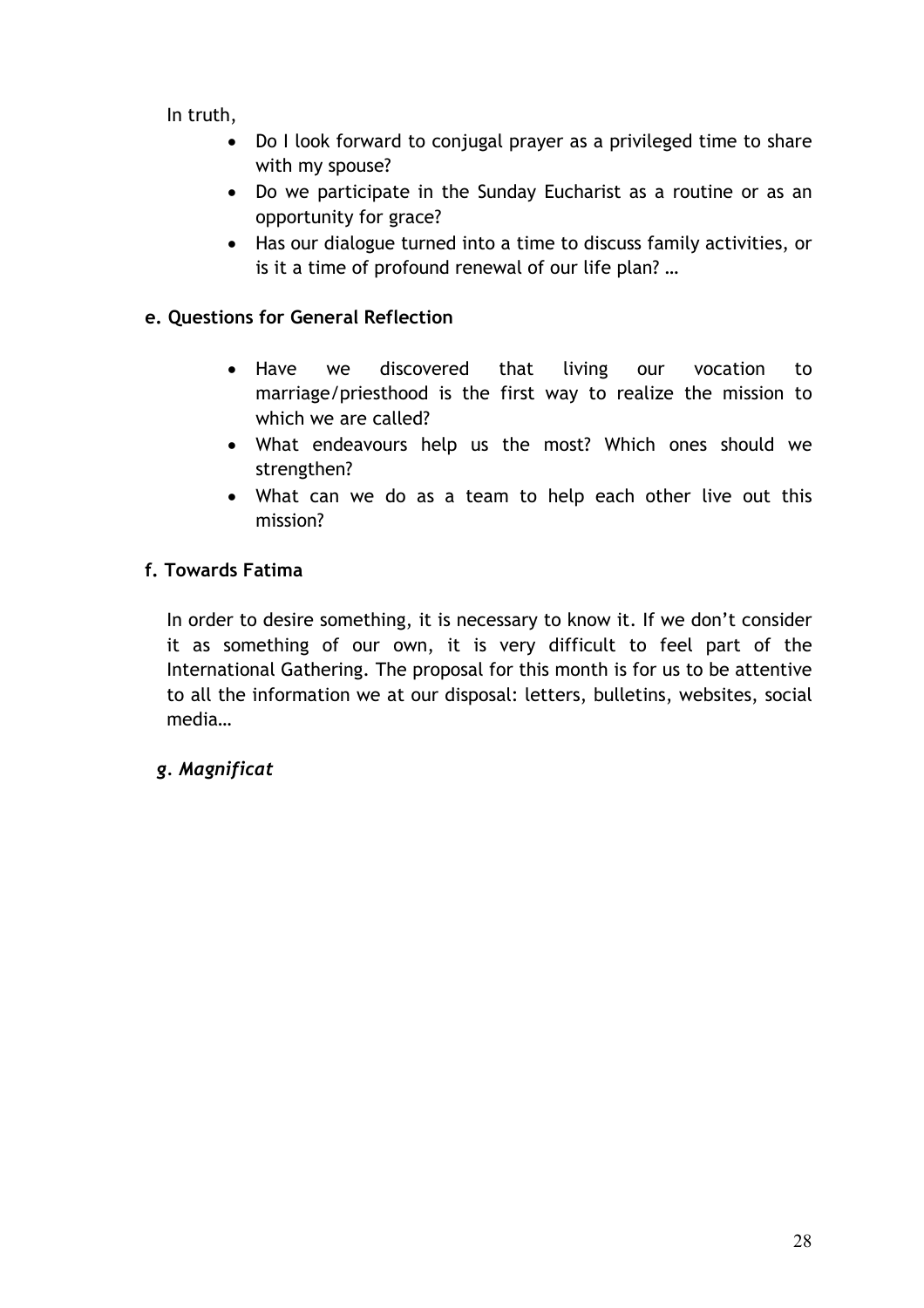In truth,

- Do I look forward to conjugal prayer as a privileged time to share with my spouse?
- Do we participate in the Sunday Eucharist as a routine or as an opportunity for grace?
- Has our dialogue turned into a time to discuss family activities, or is it a time of profound renewal of our life plan? …

# **e. Questions for General Reflection**

- Have we discovered that living our vocation to marriage/priesthood is the first way to realize the mission to which we are called?
- What endeavours help us the most? Which ones should we strengthen?
- What can we do as a team to help each other live out this mission?

# **f. Towards Fatima**

In order to desire something, it is necessary to know it. If we don't consider it as something of our own, it is very difficult to feel part of the International Gathering. The proposal for this month is for us to be attentive to all the information we at our disposal: letters, bulletins, websites, social media…

# *g. Magnificat*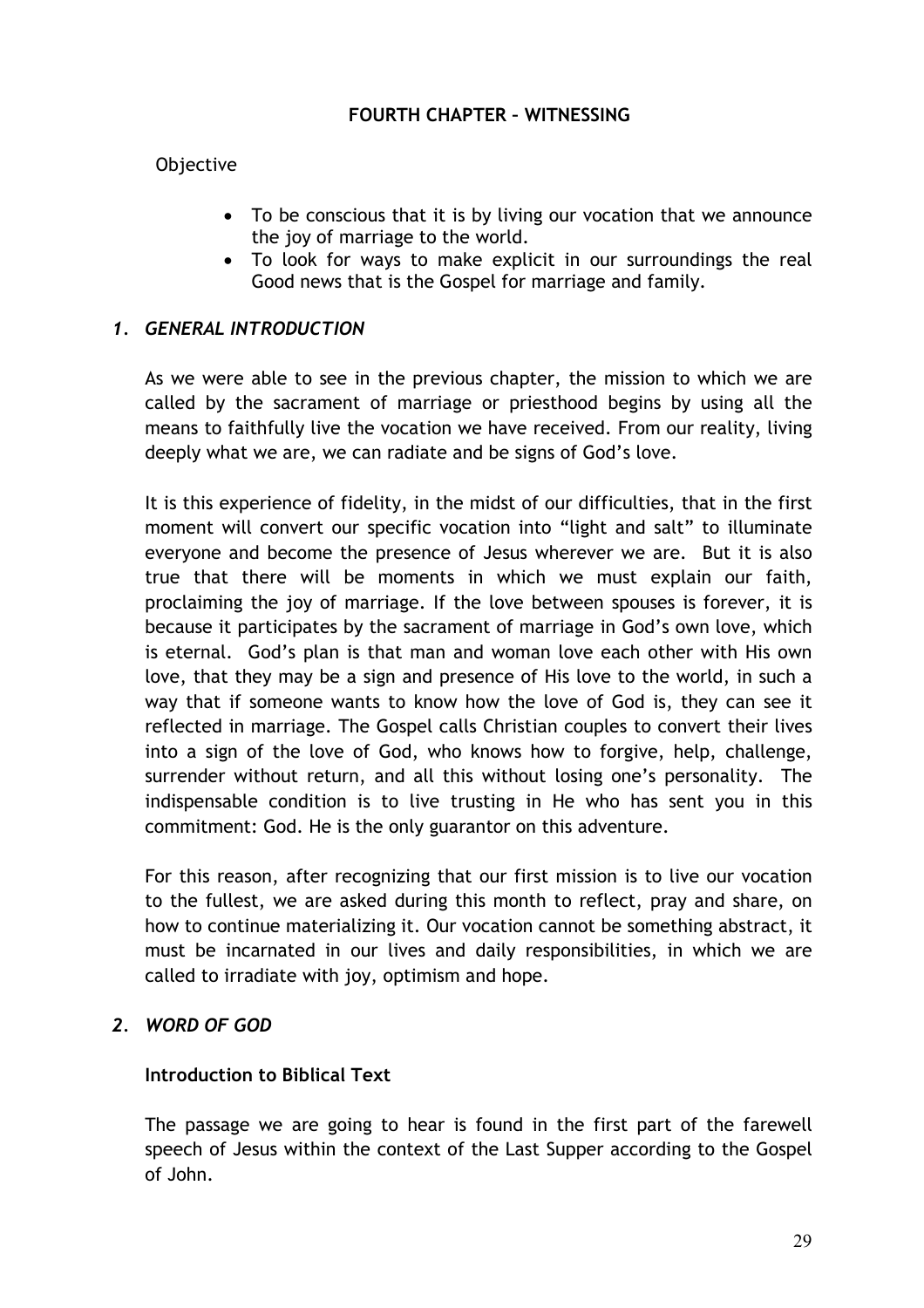#### **FOURTH CHAPTER – WITNESSING**

# Objective

- To be conscious that it is by living our vocation that we announce the joy of marriage to the world.
- To look for ways to make explicit in our surroundings the real Good news that is the Gospel for marriage and family.

#### *1. GENERAL INTRODUCTION*

As we were able to see in the previous chapter, the mission to which we are called by the sacrament of marriage or priesthood begins by using all the means to faithfully live the vocation we have received. From our reality, living deeply what we are, we can radiate and be signs of God's love.

It is this experience of fidelity, in the midst of our difficulties, that in the first moment will convert our specific vocation into "light and salt" to illuminate everyone and become the presence of Jesus wherever we are. But it is also true that there will be moments in which we must explain our faith, proclaiming the joy of marriage. If the love between spouses is forever, it is because it participates by the sacrament of marriage in God's own love, which is eternal. God's plan is that man and woman love each other with His own love, that they may be a sign and presence of His love to the world, in such a way that if someone wants to know how the love of God is, they can see it reflected in marriage. The Gospel calls Christian couples to convert their lives into a sign of the love of God, who knows how to forgive, help, challenge, surrender without return, and all this without losing one's personality. The indispensable condition is to live trusting in He who has sent you in this commitment: God. He is the only guarantor on this adventure.

For this reason, after recognizing that our first mission is to live our vocation to the fullest, we are asked during this month to reflect, pray and share, on how to continue materializing it. Our vocation cannot be something abstract, it must be incarnated in our lives and daily responsibilities, in which we are called to irradiate with joy, optimism and hope.

# *2. WORD OF GOD*

#### **Introduction to Biblical Text**

The passage we are going to hear is found in the first part of the farewell speech of Jesus within the context of the Last Supper according to the Gospel of John.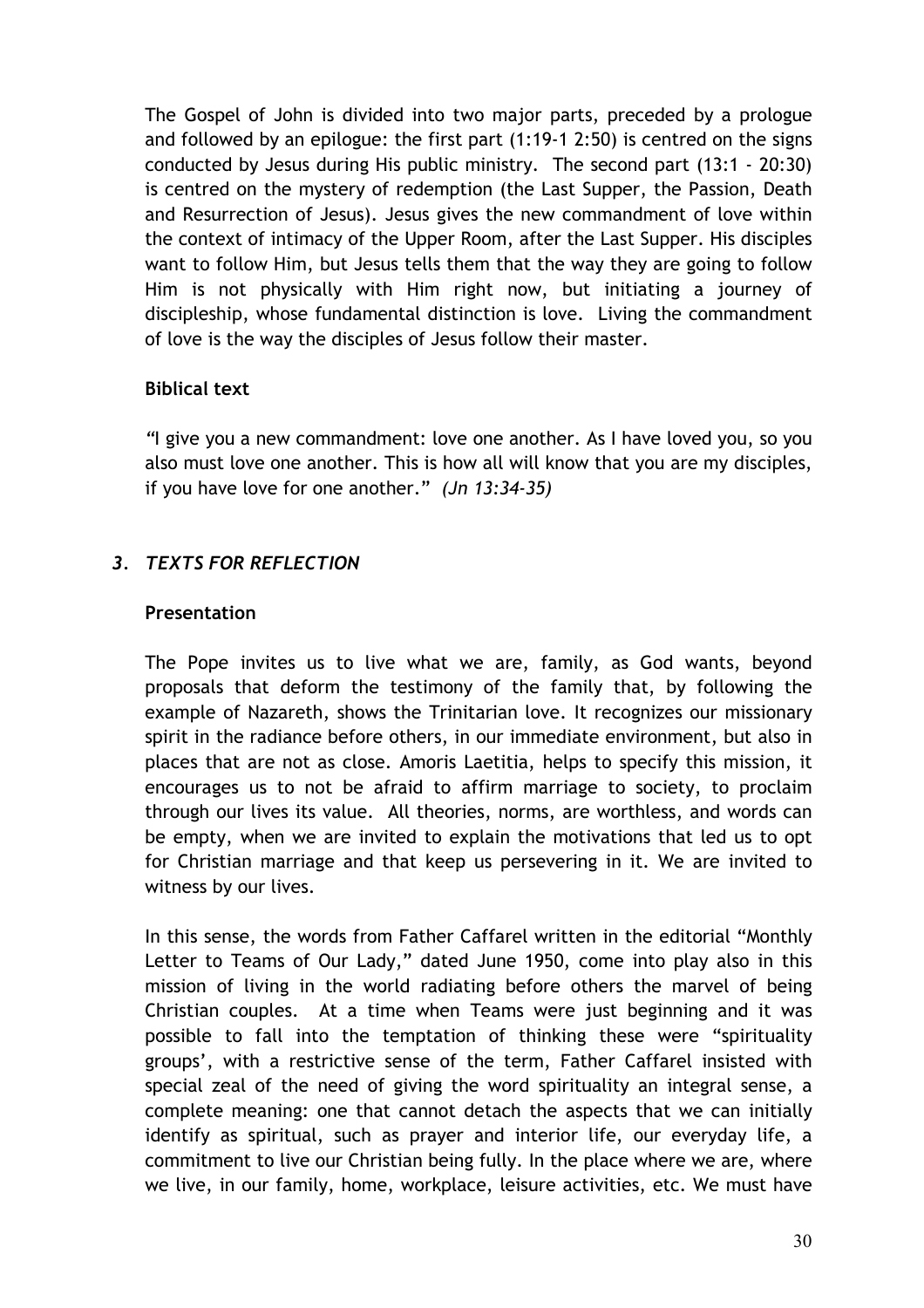The Gospel of John is divided into two major parts, preceded by a prologue and followed by an epilogue: the first part (1:19-1 2:50) is centred on the signs conducted by Jesus during His public ministry. The second part (13:1 - 20:30) is centred on the mystery of redemption (the Last Supper, the Passion, Death and Resurrection of Jesus). Jesus gives the new commandment of love within the context of intimacy of the Upper Room, after the Last Supper. His disciples want to follow Him, but Jesus tells them that the way they are going to follow Him is not physically with Him right now, but initiating a journey of discipleship, whose fundamental distinction is love. Living the commandment of love is the way the disciples of Jesus follow their master.

# **Biblical text**

*"*I give you a new commandment: love one another. As I have loved you, so you also must love one another. This is how all will know that you are my disciples, if you have love for one another." *(Jn 13:34-35)*

# *3. TEXTS FOR REFLECTION*

# **Presentation**

The Pope invites us to live what we are, family, as God wants, beyond proposals that deform the testimony of the family that, by following the example of Nazareth, shows the Trinitarian love. It recognizes our missionary spirit in the radiance before others, in our immediate environment, but also in places that are not as close. Amoris Laetitia, helps to specify this mission, it encourages us to not be afraid to affirm marriage to society, to proclaim through our lives its value. All theories, norms, are worthless, and words can be empty, when we are invited to explain the motivations that led us to opt for Christian marriage and that keep us persevering in it. We are invited to witness by our lives.

In this sense, the words from Father Caffarel written in the editorial "Monthly Letter to Teams of Our Lady," dated June 1950, come into play also in this mission of living in the world radiating before others the marvel of being Christian couples. At a time when Teams were just beginning and it was possible to fall into the temptation of thinking these were "spirituality groups', with a restrictive sense of the term, Father Caffarel insisted with special zeal of the need of giving the word spirituality an integral sense, a complete meaning: one that cannot detach the aspects that we can initially identify as spiritual, such as prayer and interior life, our everyday life, a commitment to live our Christian being fully. In the place where we are, where we live, in our family, home, workplace, leisure activities, etc. We must have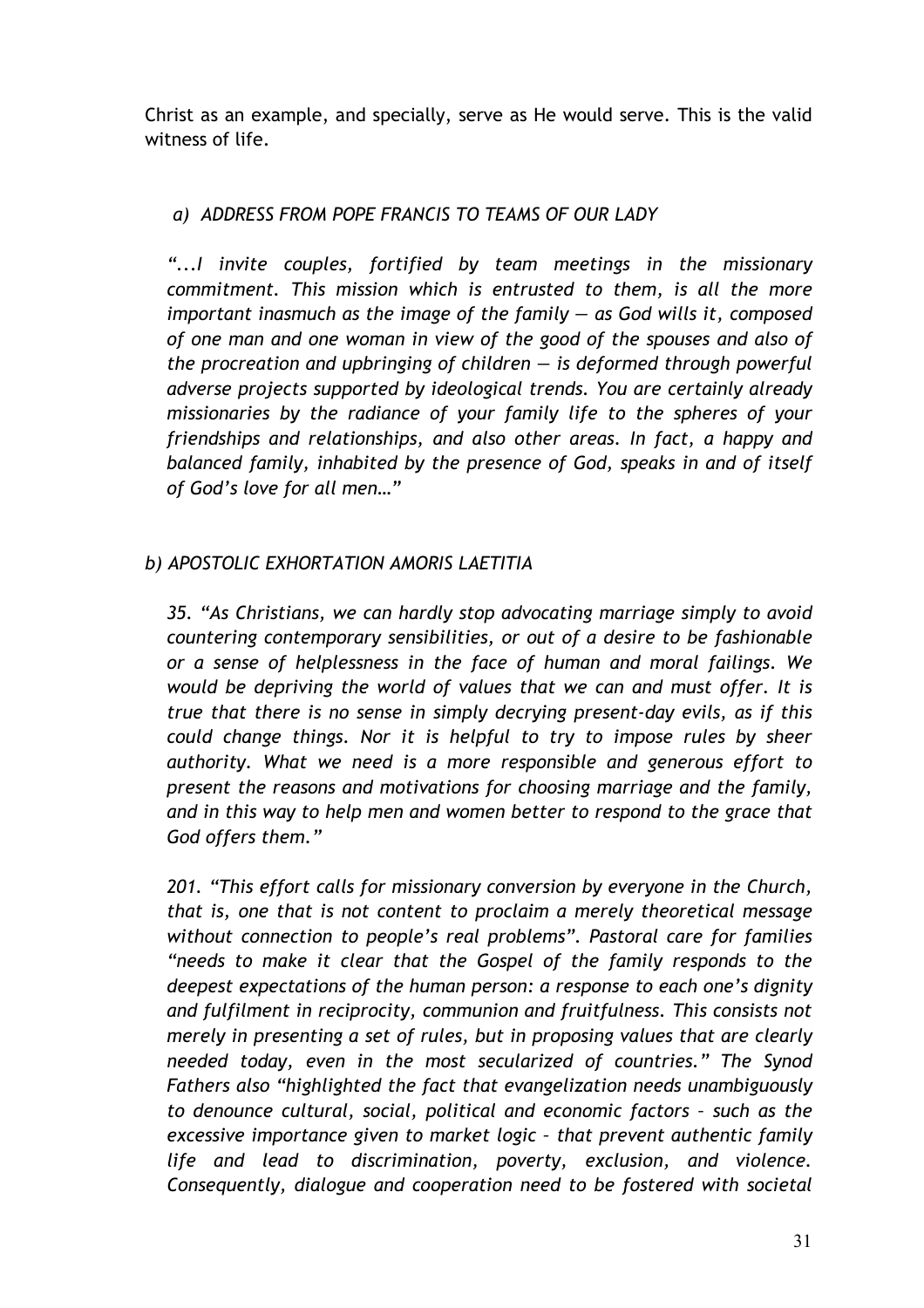Christ as an example, and specially, serve as He would serve. This is the valid witness of life.

# *a) ADDRESS FROM POPE FRANCIS TO TEAMS OF OUR LADY*

"...I invite couples, fortified by team meetings in the missionary *commitment. This mission which is entrusted to them, is all the more important inasmuch as the image of the family — as God wills it, composed of one man and one woman in view of the good of the spouses and also of the procreation and upbringing of children — is deformed through powerful adverse projects supported by ideological trends. You are certainly already missionaries by the radiance of your family life to the spheres of your friendships and relationships, and also other areas. In fact, a happy and balanced family, inhabited by the presence of God, speaks in and of itself of God's love for all men…"*

# *b) APOSTOLIC EXHORTATION AMORIS LAETITIA*

*35. "As Christians, we can hardly stop advocating marriage simply to avoid countering contemporary sensibilities, or out of a desire to be fashionable or a sense of helplessness in the face of human and moral failings. We would be depriving the world of values that we can and must offer. It is true that there is no sense in simply decrying present-day evils, as if this could change things. Nor it is helpful to try to impose rules by sheer authority. What we need is a more responsible and generous effort to present the reasons and motivations for choosing marriage and the family, and in this way to help men and women better to respond to the grace that God offers them."*

*201. "This effort calls for missionary conversion by everyone in the Church, that is, one that is not content to proclaim a merely theoretical message without connection to people's real problems". Pastoral care for families "needs to make it clear that the Gospel of the family responds to the deepest expectations of the human person: a response to each one's dignity and fulfilment in reciprocity, communion and fruitfulness. This consists not merely in presenting a set of rules, but in proposing values that are clearly needed today, even in the most secularized of countries." The Synod Fathers also "highlighted the fact that evangelization needs unambiguously to denounce cultural, social, political and economic factors – such as the excessive importance given to market logic – that prevent authentic family life and lead to discrimination, poverty, exclusion, and violence. Consequently, dialogue and cooperation need to be fostered with societal*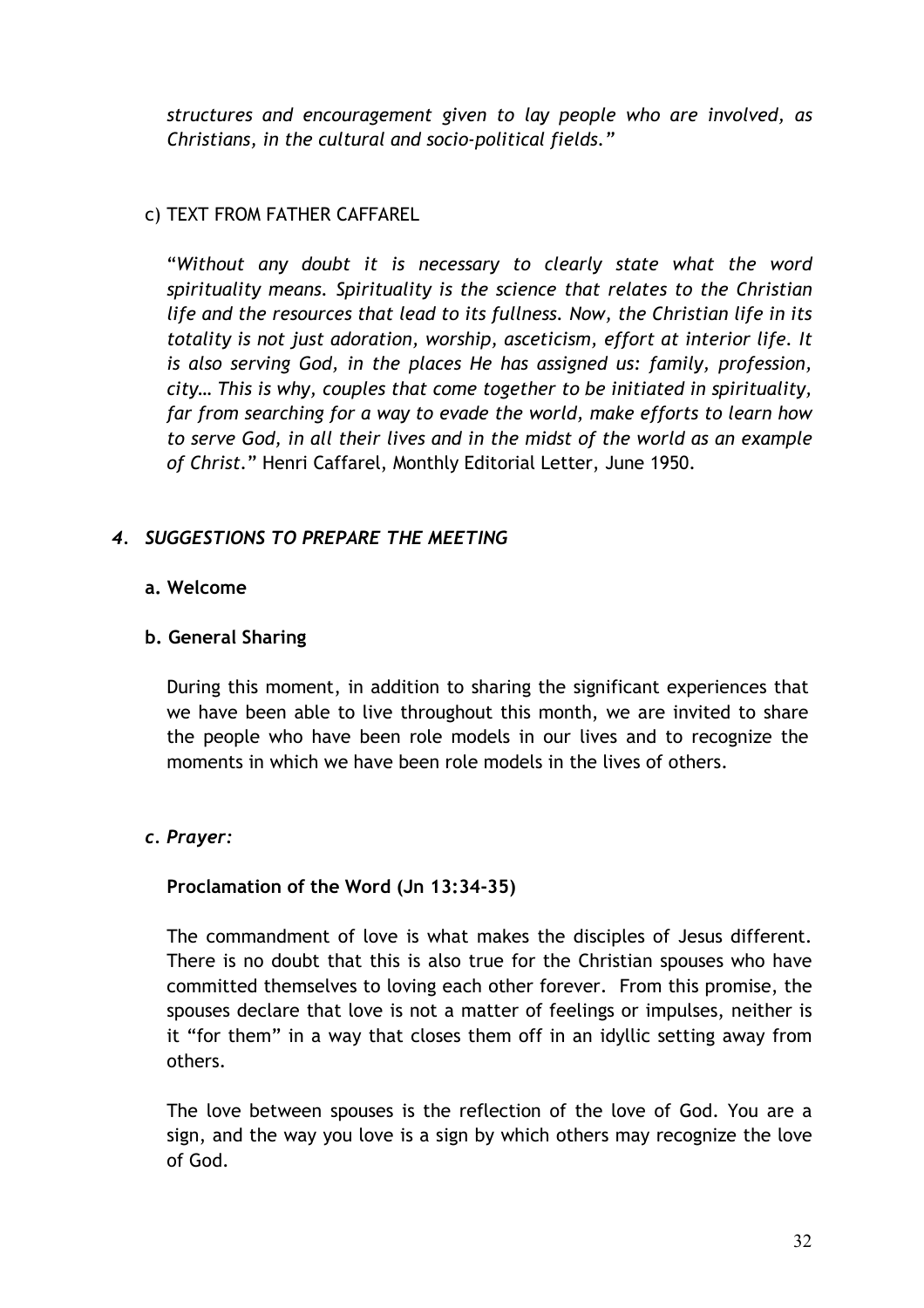*structures and encouragement given to lay people who are involved, as Christians, in the cultural and socio-political fields."*

# c) TEXT FROM FATHER CAFFAREL

"*Without any doubt it is necessary to clearly state what the word spirituality means. Spirituality is the science that relates to the Christian life and the resources that lead to its fullness. Now, the Christian life in its totality is not just adoration, worship, asceticism, effort at interior life. It is also serving God, in the places He has assigned us: family, profession, city… This is why, couples that come together to be initiated in spirituality, far from searching for a way to evade the world, make efforts to learn how to serve God, in all their lives and in the midst of the world as an example of Christ.*" Henri Caffarel, Monthly Editorial Letter, June 1950.

# *4. SUGGESTIONS TO PREPARE THE MEETING*

#### **a. Welcome**

#### **b. General Sharing**

During this moment, in addition to sharing the significant experiences that we have been able to live throughout this month, we are invited to share the people who have been role models in our lives and to recognize the moments in which we have been role models in the lives of others.

# *c. Prayer:*

# **Proclamation of the Word (Jn 13:34-35)**

The commandment of love is what makes the disciples of Jesus different. There is no doubt that this is also true for the Christian spouses who have committed themselves to loving each other forever. From this promise, the spouses declare that love is not a matter of feelings or impulses, neither is it "for them" in a way that closes them off in an idyllic setting away from others.

The love between spouses is the reflection of the love of God. You are a sign, and the way you love is a sign by which others may recognize the love of God.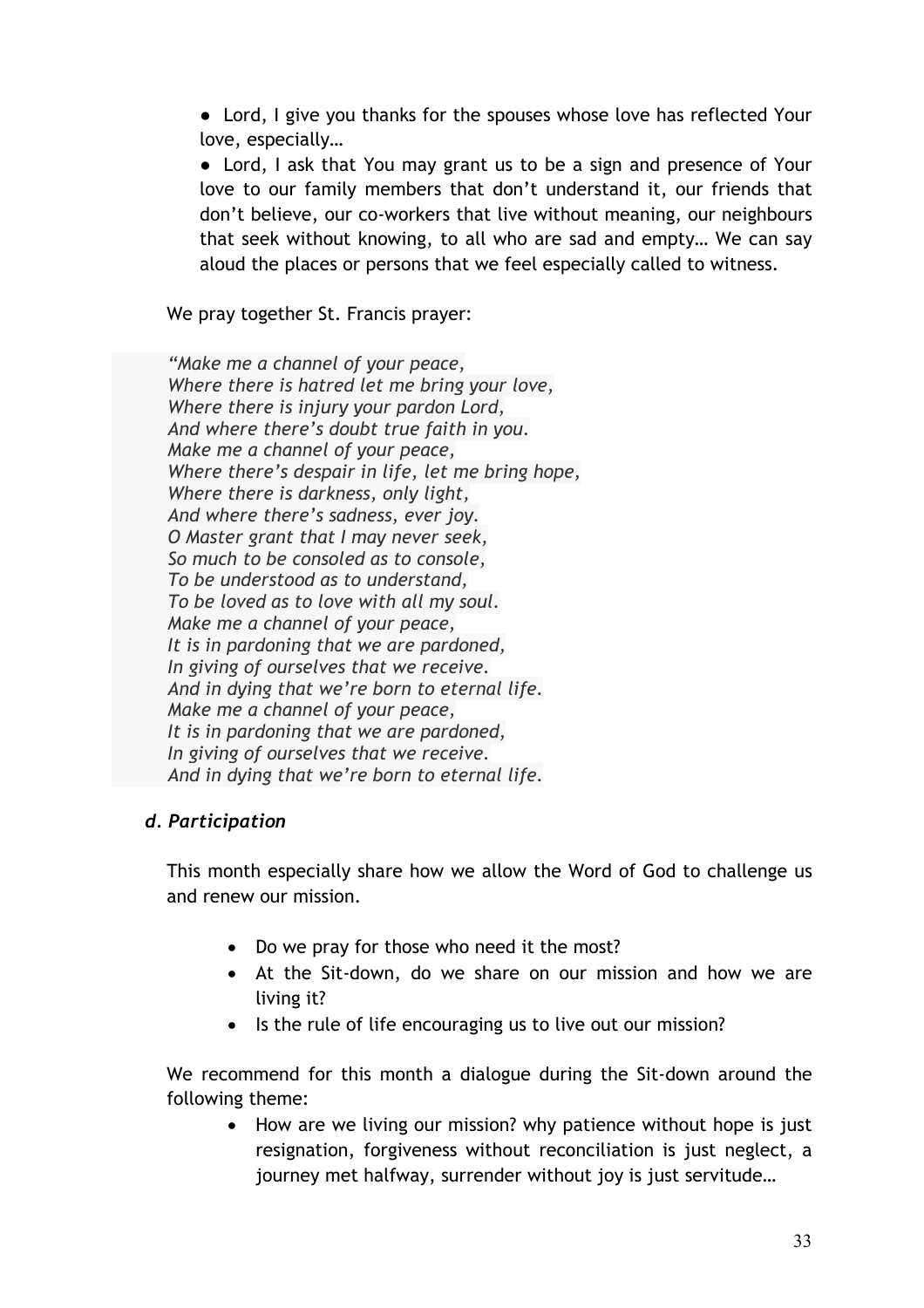• Lord, I give you thanks for the spouses whose love has reflected Your love, especially…

• Lord, I ask that You may grant us to be a sign and presence of Your love to our family members that don't understand it, our friends that don't believe, our co-workers that live without meaning, our neighbours that seek without knowing, to all who are sad and empty… We can say aloud the places or persons that we feel especially called to witness.

We pray together St. Francis prayer:

*"Make me a channel of your peace, Where there is hatred let me bring your love, Where there is injury your pardon Lord, And where there's doubt true faith in you. Make me a channel of your peace, Where there's despair in life, let me bring hope, Where there is darkness, only light, And where there's sadness, ever joy. O Master grant that I may never seek, So much to be consoled as to console, To be understood as to understand, To be loved as to love with all my soul. Make me a channel of your peace, It is in pardoning that we are pardoned, In giving of ourselves that we receive. And in dying that we're born to eternal life. Make me a channel of your peace, It is in pardoning that we are pardoned, In giving of ourselves that we receive. And in dying that we're born to eternal life.*

# *d. Participation*

This month especially share how we allow the Word of God to challenge us and renew our mission.

- Do we pray for those who need it the most?
- At the Sit-down, do we share on our mission and how we are living it?
- Is the rule of life encouraging us to live out our mission?

We recommend for this month a dialogue during the Sit-down around the following theme:

• How are we living our mission? why patience without hope is just resignation, forgiveness without reconciliation is just neglect, a journey met halfway, surrender without joy is just servitude…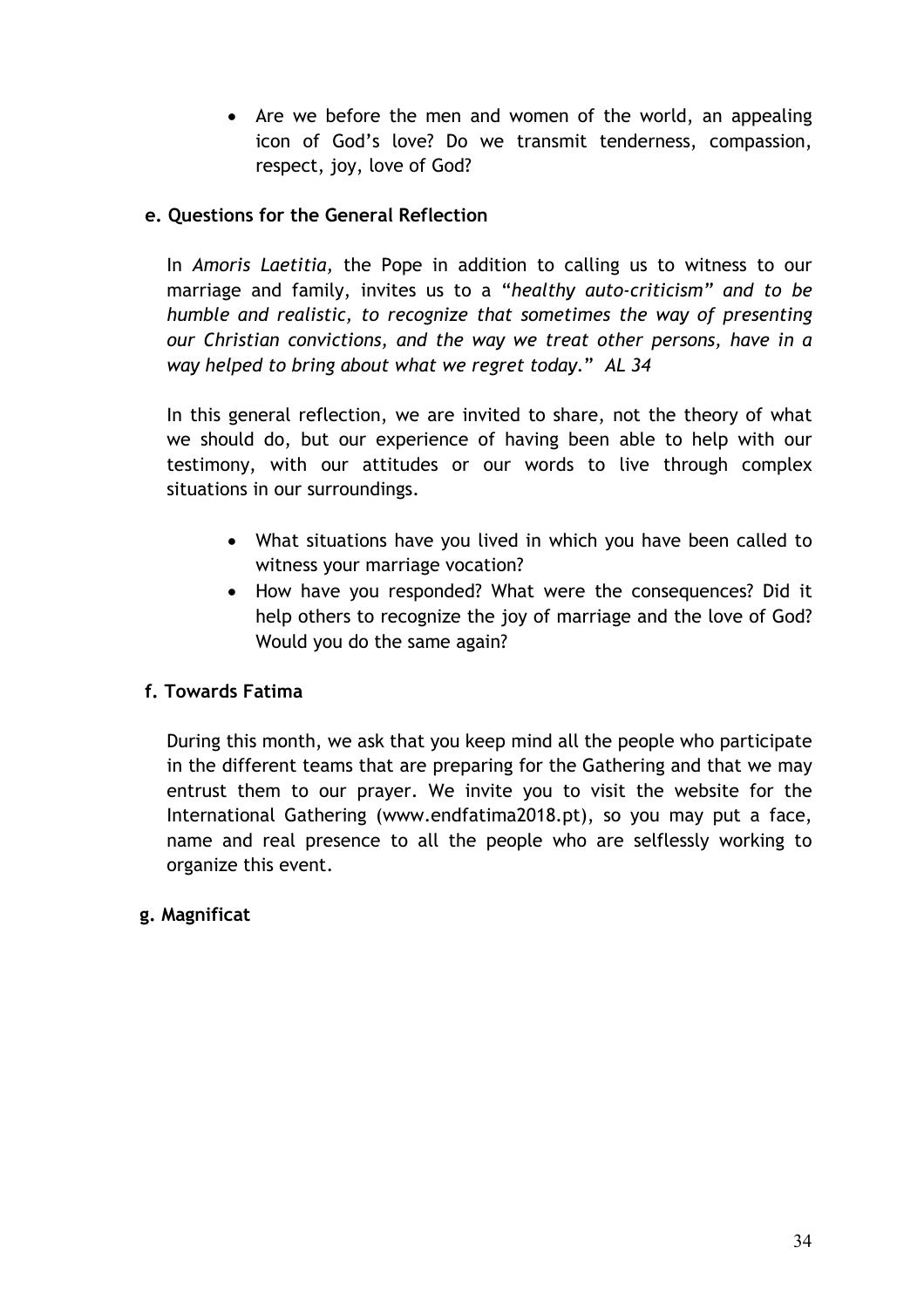• Are we before the men and women of the world, an appealing icon of God's love? Do we transmit tenderness, compassion, respect, joy, love of God?

# **e. Questions for the General Reflection**

In *Amoris Laetitia,* the Pope in addition to calling us to witness to our marriage and family, invites us to a "*healthy auto-criticism" and to be humble and realistic, to recognize that sometimes the way of presenting our Christian convictions, and the way we treat other persons, have in a way helped to bring about what we regret today.*" *AL 34*

In this general reflection, we are invited to share, not the theory of what we should do, but our experience of having been able to help with our testimony, with our attitudes or our words to live through complex situations in our surroundings.

- What situations have you lived in which you have been called to witness your marriage vocation?
- How have you responded? What were the consequences? Did it help others to recognize the joy of marriage and the love of God? Would you do the same again?

# **f. Towards Fatima**

During this month, we ask that you keep mind all the people who participate in the different teams that are preparing for the Gathering and that we may entrust them to our prayer. We invite you to visit the website for the International Gathering (www.endfatima2018.pt), so you may put a face, name and real presence to all the people who are selflessly working to organize this event.

# **g. Magnificat**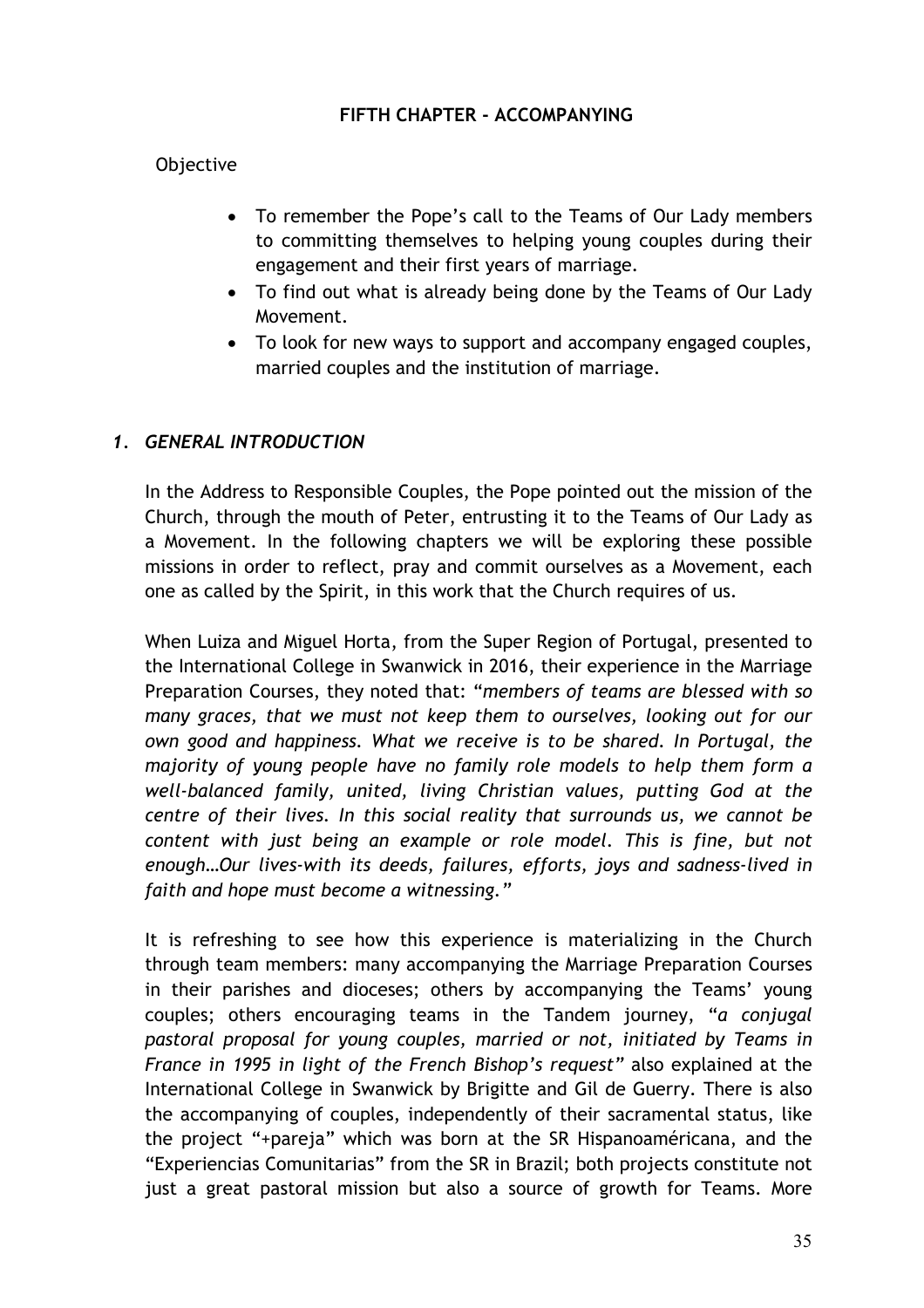#### **FIFTH CHAPTER - ACCOMPANYING**

#### Objective

- To remember the Pope's call to the Teams of Our Lady members to committing themselves to helping young couples during their engagement and their first years of marriage.
- To find out what is already being done by the Teams of Our Lady Movement.
- To look for new ways to support and accompany engaged couples, married couples and the institution of marriage.

#### *1. GENERAL INTRODUCTION*

In the Address to Responsible Couples, the Pope pointed out the mission of the Church, through the mouth of Peter, entrusting it to the Teams of Our Lady as a Movement. In the following chapters we will be exploring these possible missions in order to reflect, pray and commit ourselves as a Movement, each one as called by the Spirit, in this work that the Church requires of us.

When Luiza and Miguel Horta, from the Super Region of Portugal, presented to the International College in Swanwick in 2016, their experience in the Marriage Preparation Courses, they noted that: "*members of teams are blessed with so many graces, that we must not keep them to ourselves, looking out for our own good and happiness. What we receive is to be shared. In Portugal, the majority of young people have no family role models to help them form a well-balanced family, united, living Christian values, putting God at the centre of their lives. In this social reality that surrounds us, we cannot be content with just being an example or role model. This is fine, but not enough…Our lives-with its deeds, failures, efforts, joys and sadness-lived in faith and hope must become a witnessing."*

It is refreshing to see how this experience is materializing in the Church through team members: many accompanying the Marriage Preparation Courses in their parishes and dioceses; others by accompanying the Teams' young couples; others encouraging teams in the Tandem journey, "*a conjugal pastoral proposal for young couples, married or not, initiated by Teams in France in 1995 in light of the French Bishop's request"* also explained at the International College in Swanwick by Brigitte and Gil de Guerry. There is also the accompanying of couples, independently of their sacramental status, like the project "+pareja" which was born at the SR Hispanoaméricana, and the "Experiencias Comunitarias" from the SR in Brazil; both projects constitute not just a great pastoral mission but also a source of growth for Teams. More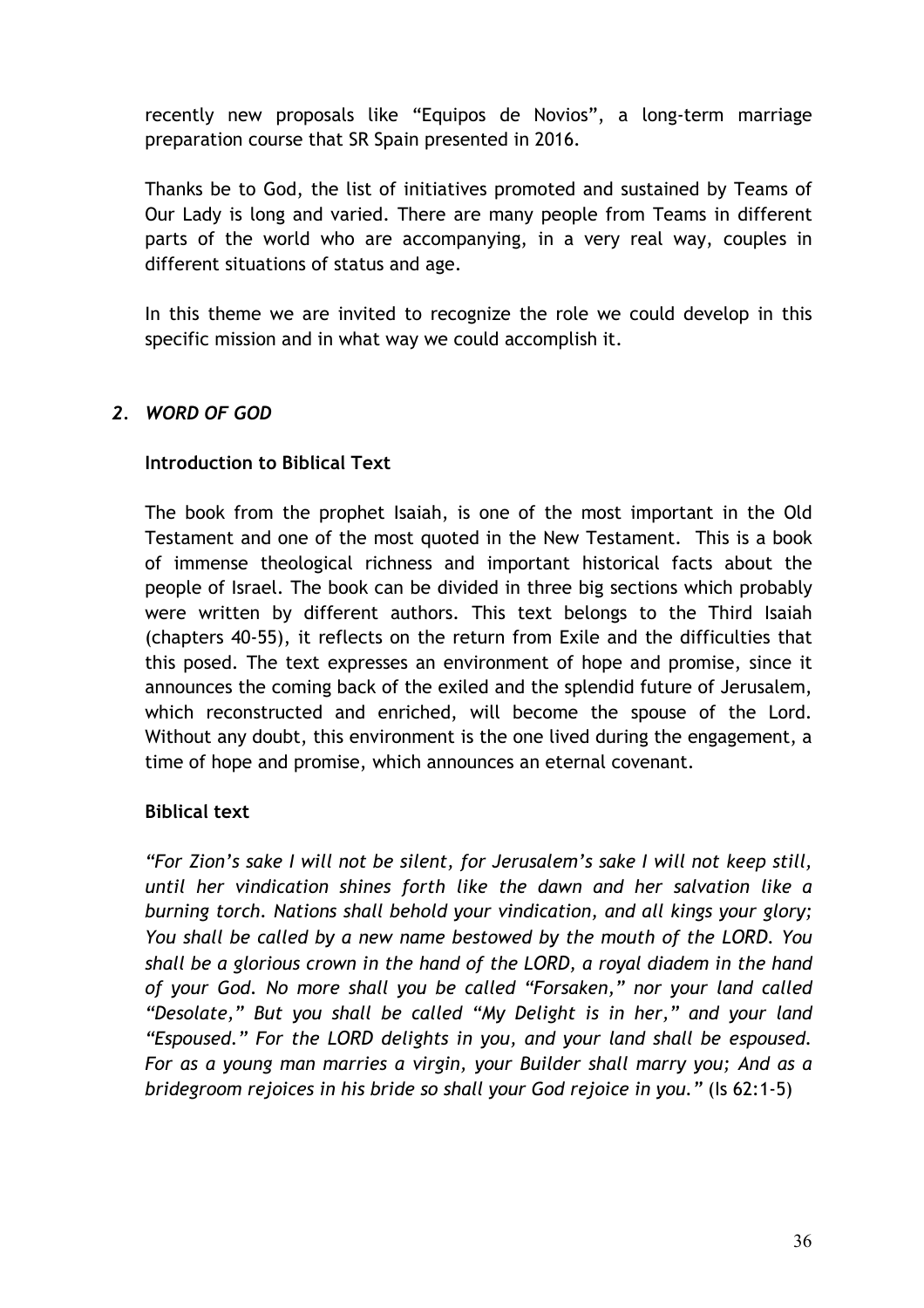recently new proposals like "Equipos de Novios", a long-term marriage preparation course that SR Spain presented in 2016.

Thanks be to God, the list of initiatives promoted and sustained by Teams of Our Lady is long and varied. There are many people from Teams in different parts of the world who are accompanying, in a very real way, couples in different situations of status and age.

In this theme we are invited to recognize the role we could develop in this specific mission and in what way we could accomplish it.

# *2. WORD OF GOD*

# **Introduction to Biblical Text**

The book from the prophet Isaiah, is one of the most important in the Old Testament and one of the most quoted in the New Testament. This is a book of immense theological richness and important historical facts about the people of Israel. The book can be divided in three big sections which probably were written by different authors. This text belongs to the Third Isaiah (chapters 40-55), it reflects on the return from Exile and the difficulties that this posed. The text expresses an environment of hope and promise, since it announces the coming back of the exiled and the splendid future of Jerusalem, which reconstructed and enriched, will become the spouse of the Lord. Without any doubt, this environment is the one lived during the engagement, a time of hope and promise, which announces an eternal covenant.

# **Biblical text**

*"For Zion's sake I will not be silent, for Jerusalem's sake I will not keep still, until her vindication shines forth like the dawn and her salvation like a burning torch. Nations shall behold your vindication, and all kings your glory; You shall be called by a new name bestowed by the mouth of the LORD. You shall be a glorious crown in the hand of the LORD, a royal diadem in the hand of your God. No more shall you be called "Forsaken," nor your land called "Desolate," But you shall be called "My Delight is in her," and your land "Espoused." For the LORD delights in you, and your land shall be espoused. For as a young man marries a virgin, your Builder shall marry you; And as a bridegroom rejoices in his bride so shall your God rejoice in you."* (Is 62:1-5)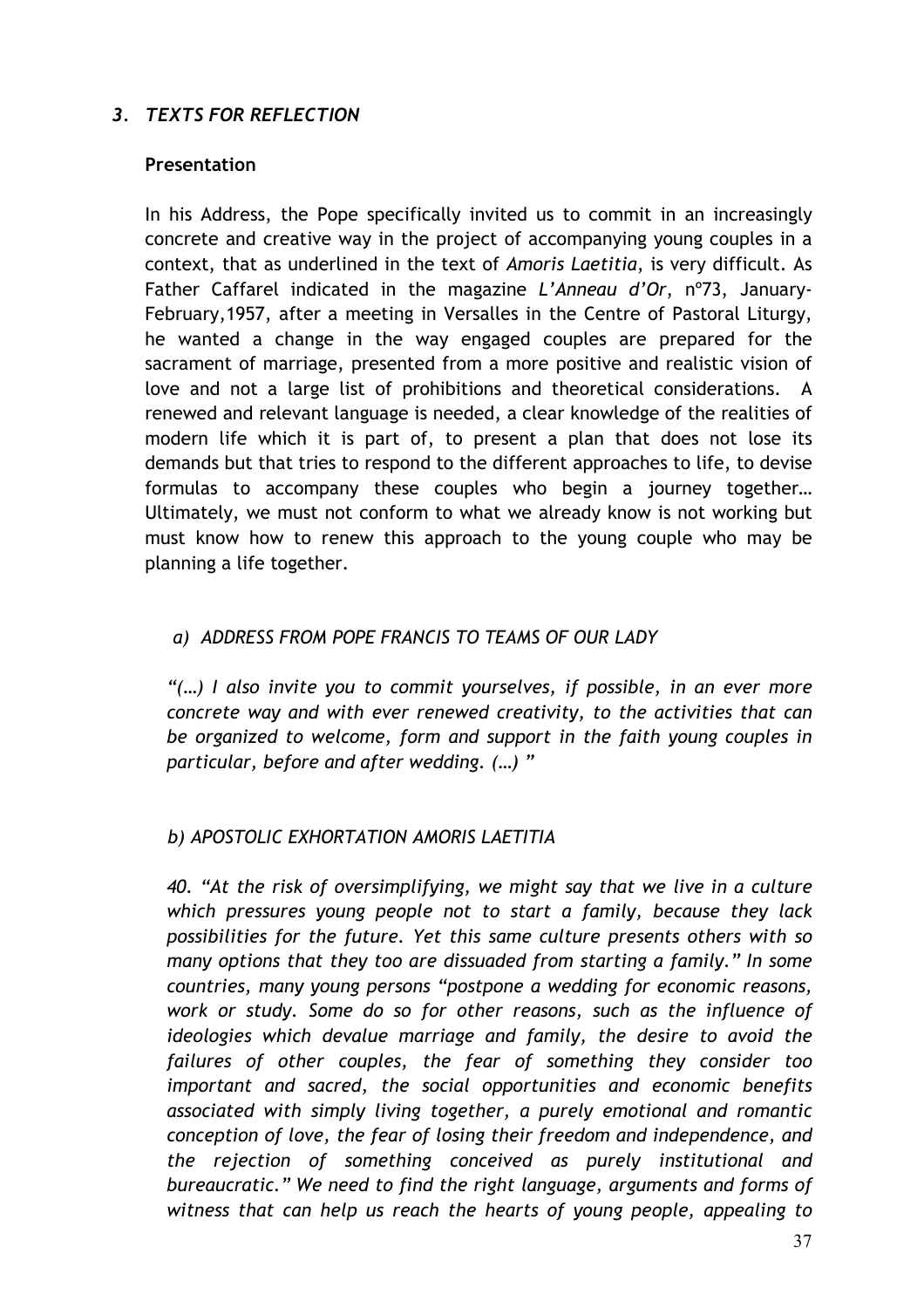# *3. TEXTS FOR REFLECTION*

#### **Presentation**

In his Address, the Pope specifically invited us to commit in an increasingly concrete and creative way in the project of accompanying young couples in a context, that as underlined in the text of *Amoris Laetitia*, is very difficult. As Father Caffarel indicated in the magazine *L'Anneau d'Or*, nº73, January-February,1957, after a meeting in Versalles in the Centre of Pastoral Liturgy, he wanted a change in the way engaged couples are prepared for the sacrament of marriage, presented from a more positive and realistic vision of love and not a large list of prohibitions and theoretical considerations. A renewed and relevant language is needed, a clear knowledge of the realities of modern life which it is part of, to present a plan that does not lose its demands but that tries to respond to the different approaches to life, to devise formulas to accompany these couples who begin a journey together… Ultimately, we must not conform to what we already know is not working but must know how to renew this approach to the young couple who may be planning a life together.

# *a) ADDRESS FROM POPE FRANCIS TO TEAMS OF OUR LADY*

*"(…) I also invite you to commit yourselves, if possible, in an ever more concrete way and with ever renewed creativity, to the activities that can be organized to welcome, form and support in the faith young couples in particular, before and after wedding. (…) "*

#### *b) APOSTOLIC EXHORTATION AMORIS LAETITIA*

*40. "At the risk of oversimplifying, we might say that we live in a culture which pressures young people not to start a family, because they lack possibilities for the future. Yet this same culture presents others with so many options that they too are dissuaded from starting a family." In some countries, many young persons "postpone a wedding for economic reasons, work or study. Some do so for other reasons, such as the influence of ideologies which devalue marriage and family, the desire to avoid the failures of other couples, the fear of something they consider too important and sacred, the social opportunities and economic benefits associated with simply living together, a purely emotional and romantic conception of love, the fear of losing their freedom and independence, and the rejection of something conceived as purely institutional and bureaucratic." We need to find the right language, arguments and forms of witness that can help us reach the hearts of young people, appealing to*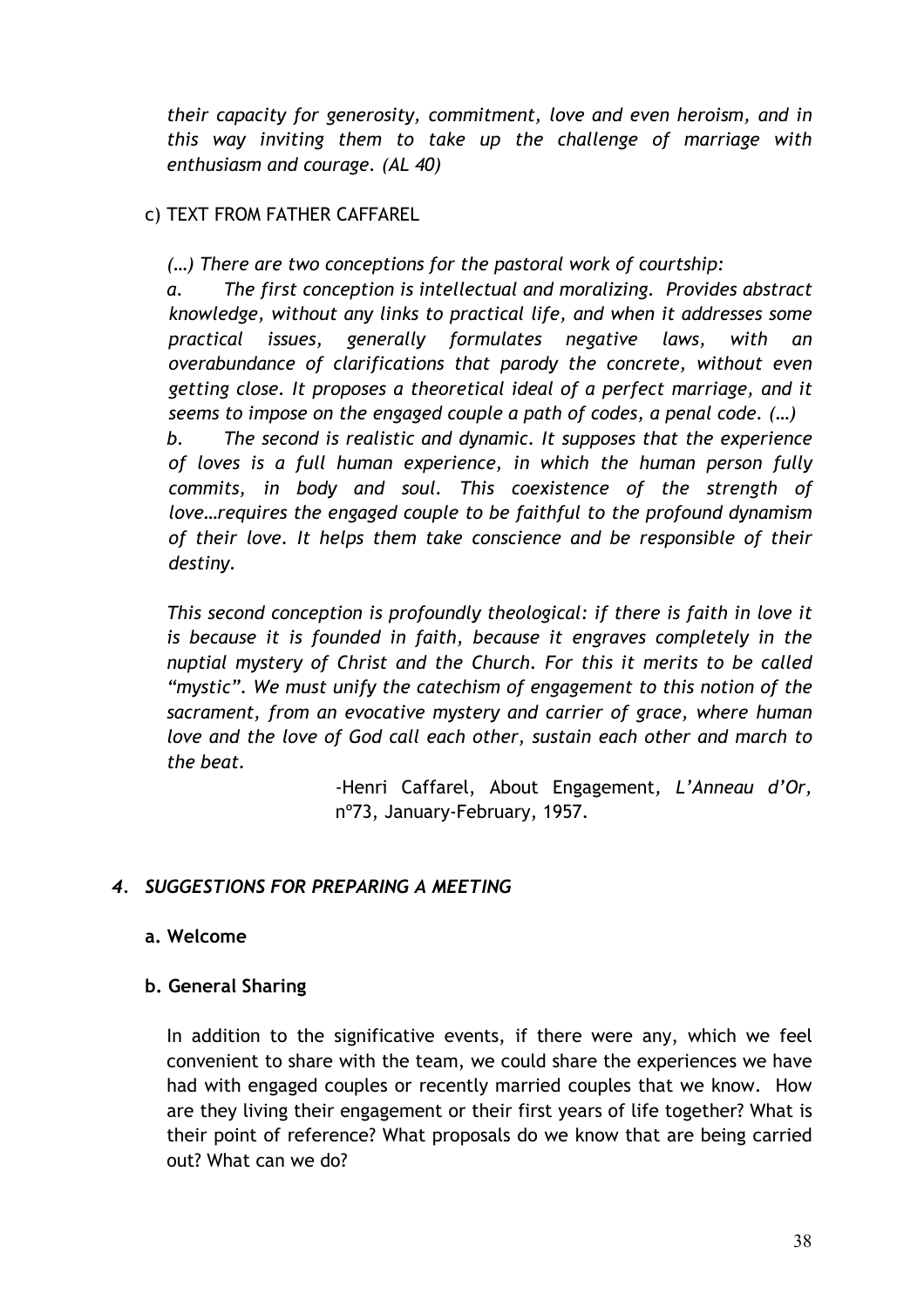*their capacity for generosity, commitment, love and even heroism, and in this way inviting them to take up the challenge of marriage with enthusiasm and courage. (AL 40)*

# c) TEXT FROM FATHER CAFFAREL

*(…) There are two conceptions for the pastoral work of courtship:*

*a. The first conception is intellectual and moralizing. Provides abstract knowledge, without any links to practical life, and when it addresses some practical issues, generally formulates negative laws, with an overabundance of clarifications that parody the concrete, without even getting close. It proposes a theoretical ideal of a perfect marriage, and it seems to impose on the engaged couple a path of codes, a penal code. (…) b. The second is realistic and dynamic. It supposes that the experience of loves is a full human experience, in which the human person fully commits, in body and soul. This coexistence of the strength of love…requires the engaged couple to be faithful to the profound dynamism of their love. It helps them take conscience and be responsible of their destiny.*

*This second conception is profoundly theological: if there is faith in love it is because it is founded in faith, because it engraves completely in the nuptial mystery of Christ and the Church. For this it merits to be called "mystic". We must unify the catechism of engagement to this notion of the sacrament, from an evocative mystery and carrier of grace, where human love and the love of God call each other, sustain each other and march to the beat.*

> -Henri Caffarel, About Engagement*, L'Anneau d'Or,* nº73, January-February, 1957.

# *4. SUGGESTIONS FOR PREPARING A MEETING*

# **a. Welcome**

# **b. General Sharing**

In addition to the significative events, if there were any, which we feel convenient to share with the team, we could share the experiences we have had with engaged couples or recently married couples that we know. How are they living their engagement or their first years of life together? What is their point of reference? What proposals do we know that are being carried out? What can we do?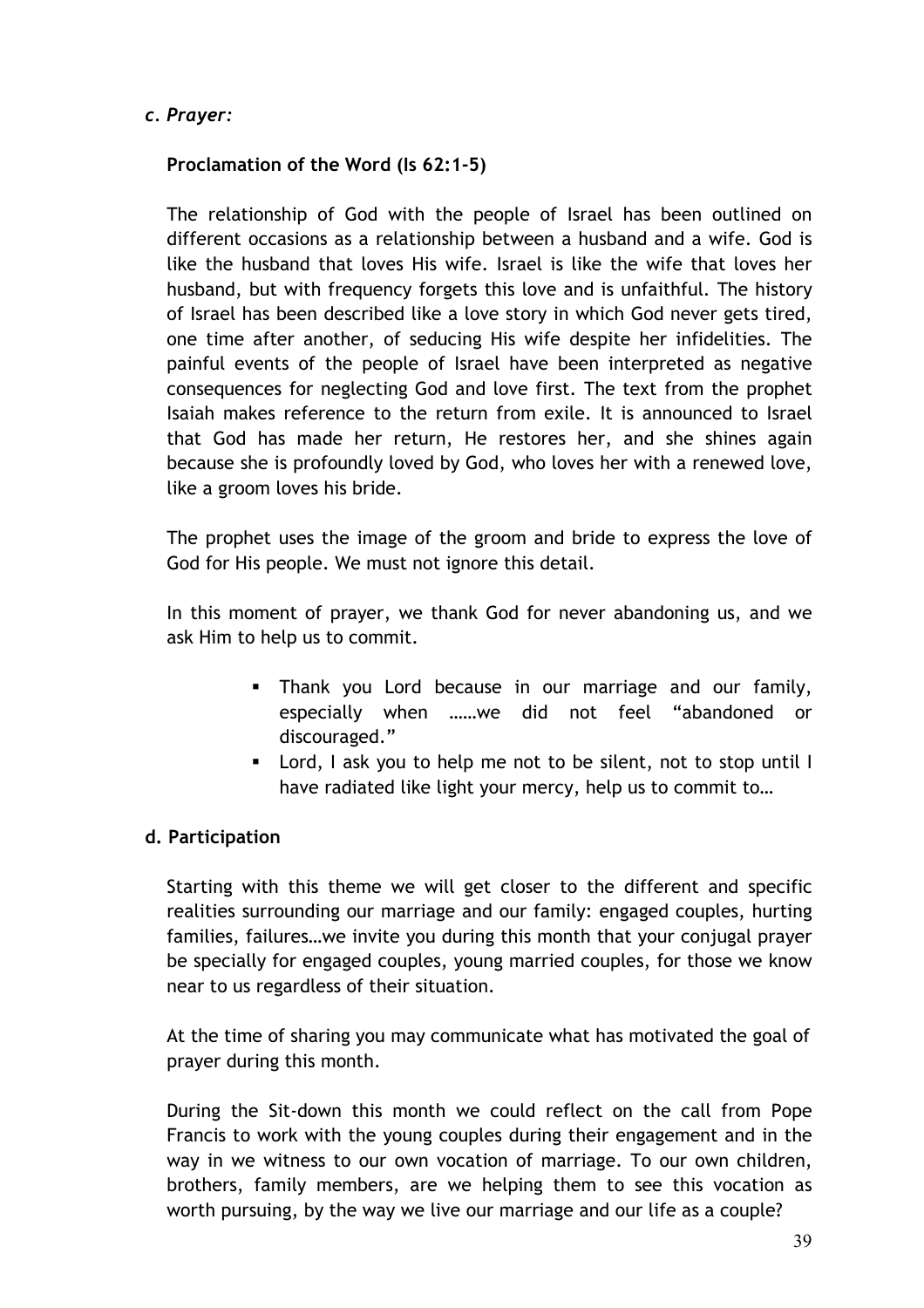# *c. Prayer:*

# **Proclamation of the Word (Is 62:1-5)**

The relationship of God with the people of Israel has been outlined on different occasions as a relationship between a husband and a wife. God is like the husband that loves His wife. Israel is like the wife that loves her husband, but with frequency forgets this love and is unfaithful. The history of Israel has been described like a love story in which God never gets tired, one time after another, of seducing His wife despite her infidelities. The painful events of the people of Israel have been interpreted as negative consequences for neglecting God and love first. The text from the prophet Isaiah makes reference to the return from exile. It is announced to Israel that God has made her return, He restores her, and she shines again because she is profoundly loved by God, who loves her with a renewed love, like a groom loves his bride.

The prophet uses the image of the groom and bride to express the love of God for His people. We must not ignore this detail.

In this moment of prayer, we thank God for never abandoning us, and we ask Him to help us to commit.

- Thank you Lord because in our marriage and our family, especially when ……we did not feel "abandoned or discouraged."
- Lord, I ask you to help me not to be silent, not to stop until I have radiated like light your mercy, help us to commit to…

# **d. Participation**

Starting with this theme we will get closer to the different and specific realities surrounding our marriage and our family: engaged couples, hurting families, failures…we invite you during this month that your conjugal prayer be specially for engaged couples, young married couples, for those we know near to us regardless of their situation.

At the time of sharing you may communicate what has motivated the goal of prayer during this month.

During the Sit-down this month we could reflect on the call from Pope Francis to work with the young couples during their engagement and in the way in we witness to our own vocation of marriage. To our own children, brothers, family members, are we helping them to see this vocation as worth pursuing, by the way we live our marriage and our life as a couple?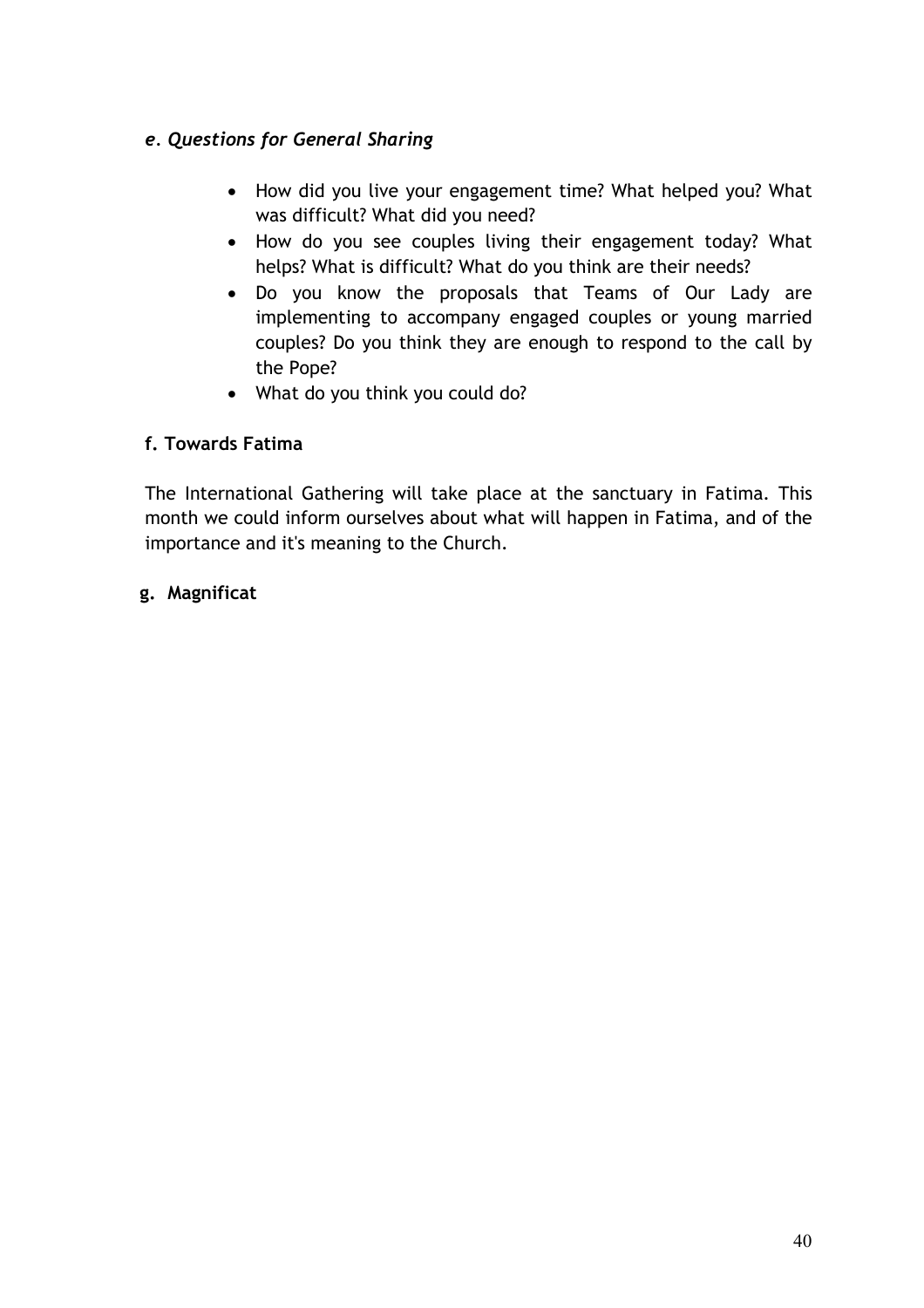# *e. Questions for General Sharing*

- How did you live your engagement time? What helped you? What was difficult? What did you need?
- How do you see couples living their engagement today? What helps? What is difficult? What do you think are their needs?
- Do you know the proposals that Teams of Our Lady are implementing to accompany engaged couples or young married couples? Do you think they are enough to respond to the call by the Pope?
- What do you think you could do?

# **f. Towards Fatima**

The International Gathering will take place at the sanctuary in Fatima. This month we could inform ourselves about what will happen in Fatima, and of the importance and it's meaning to the Church.

# **g. Magnificat**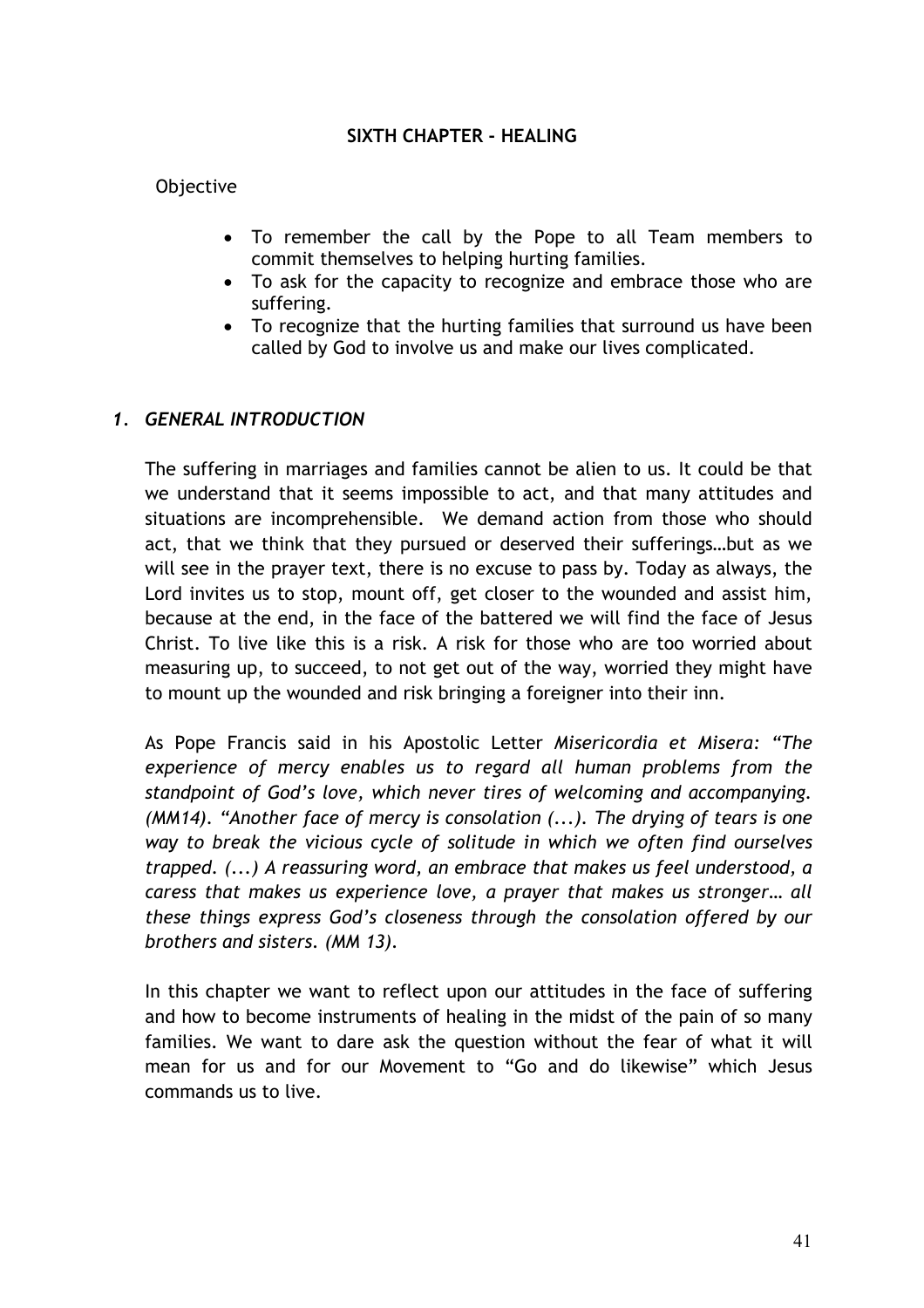#### **SIXTH CHAPTER - HEALING**

#### Objective

- To remember the call by the Pope to all Team members to commit themselves to helping hurting families.
- To ask for the capacity to recognize and embrace those who are suffering.
- To recognize that the hurting families that surround us have been called by God to involve us and make our lives complicated.

#### *1. GENERAL INTRODUCTION*

The suffering in marriages and families cannot be alien to us. It could be that we understand that it seems impossible to act, and that many attitudes and situations are incomprehensible. We demand action from those who should act, that we think that they pursued or deserved their sufferings…but as we will see in the prayer text, there is no excuse to pass by. Today as always, the Lord invites us to stop, mount off, get closer to the wounded and assist him, because at the end, in the face of the battered we will find the face of Jesus Christ. To live like this is a risk. A risk for those who are too worried about measuring up, to succeed, to not get out of the way, worried they might have to mount up the wounded and risk bringing a foreigner into their inn.

As Pope Francis said in his Apostolic Letter *Misericordia et Misera: "The experience of mercy enables us to regard all human problems from the standpoint of God's love, which never tires of welcoming and accompanying. (MM14). "Another face of mercy is consolation (...). The drying of tears is one way to break the vicious cycle of solitude in which we often find ourselves trapped. (...) A reassuring word, an embrace that makes us feel understood, a caress that makes us experience love, a prayer that makes us stronger… all these things express God's closeness through the consolation offered by our brothers and sisters. (MM 13).* 

In this chapter we want to reflect upon our attitudes in the face of suffering and how to become instruments of healing in the midst of the pain of so many families. We want to dare ask the question without the fear of what it will mean for us and for our Movement to "Go and do likewise" which Jesus commands us to live.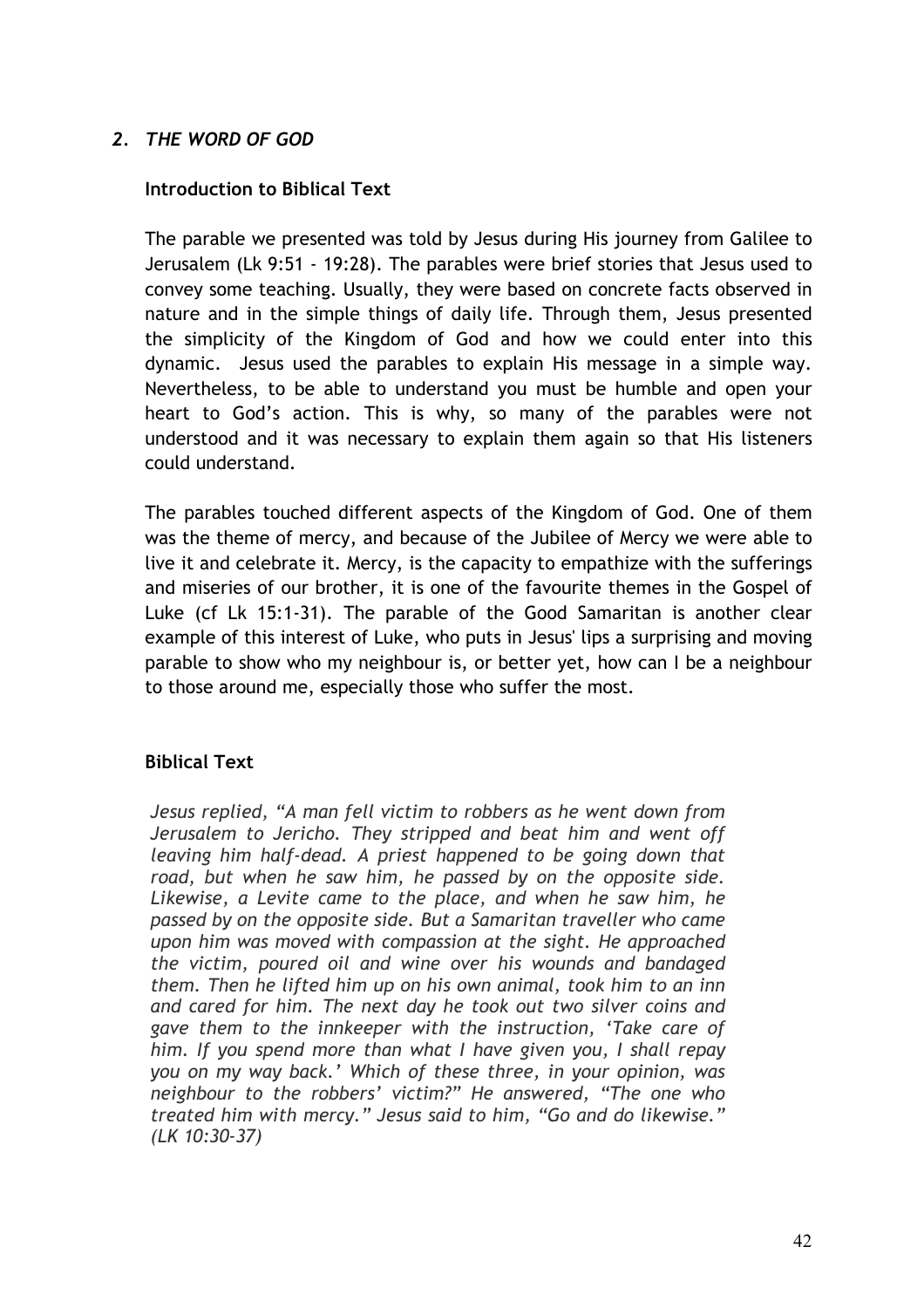# *2. THE WORD OF GOD*

# **Introduction to Biblical Text**

The parable we presented was told by Jesus during His journey from Galilee to Jerusalem (Lk 9:51 - 19:28). The parables were brief stories that Jesus used to convey some teaching. Usually, they were based on concrete facts observed in nature and in the simple things of daily life. Through them, Jesus presented the simplicity of the Kingdom of God and how we could enter into this dynamic. Jesus used the parables to explain His message in a simple way. Nevertheless, to be able to understand you must be humble and open your heart to God's action. This is why, so many of the parables were not understood and it was necessary to explain them again so that His listeners could understand.

The parables touched different aspects of the Kingdom of God. One of them was the theme of mercy, and because of the Jubilee of Mercy we were able to live it and celebrate it. Mercy, is the capacity to empathize with the sufferings and miseries of our brother, it is one of the favourite themes in the Gospel of Luke (cf Lk 15:1-31). The parable of the Good Samaritan is another clear example of this interest of Luke, who puts in Jesus' lips a surprising and moving parable to show who my neighbour is, or better yet, how can I be a neighbour to those around me, especially those who suffer the most.

# **Biblical Text**

*Jesus replied, "A man fell victim to robbers as he went down from Jerusalem to Jericho. They stripped and beat him and went off leaving him half-dead. A priest happened to be going down that road, but when he saw him, he passed by on the opposite side. Likewise, a Levite came to the place, and when he saw him, he passed by on the opposite side. But a Samaritan traveller who came upon him was moved with compassion at the sight. He approached the victim, poured oil and wine over his wounds and bandaged them. Then he lifted him up on his own animal, took him to an inn and cared for him. The next day he took out two silver coins and gave them to the innkeeper with the instruction, 'Take care of him. If you spend more than what I have given you, I shall repay you on my way back.' Which of these three, in your opinion, was neighbour to the robbers' victim?" He answered, "The one who treated him with mercy." Jesus said to him, "Go and do likewise." (LK 10:30-37)*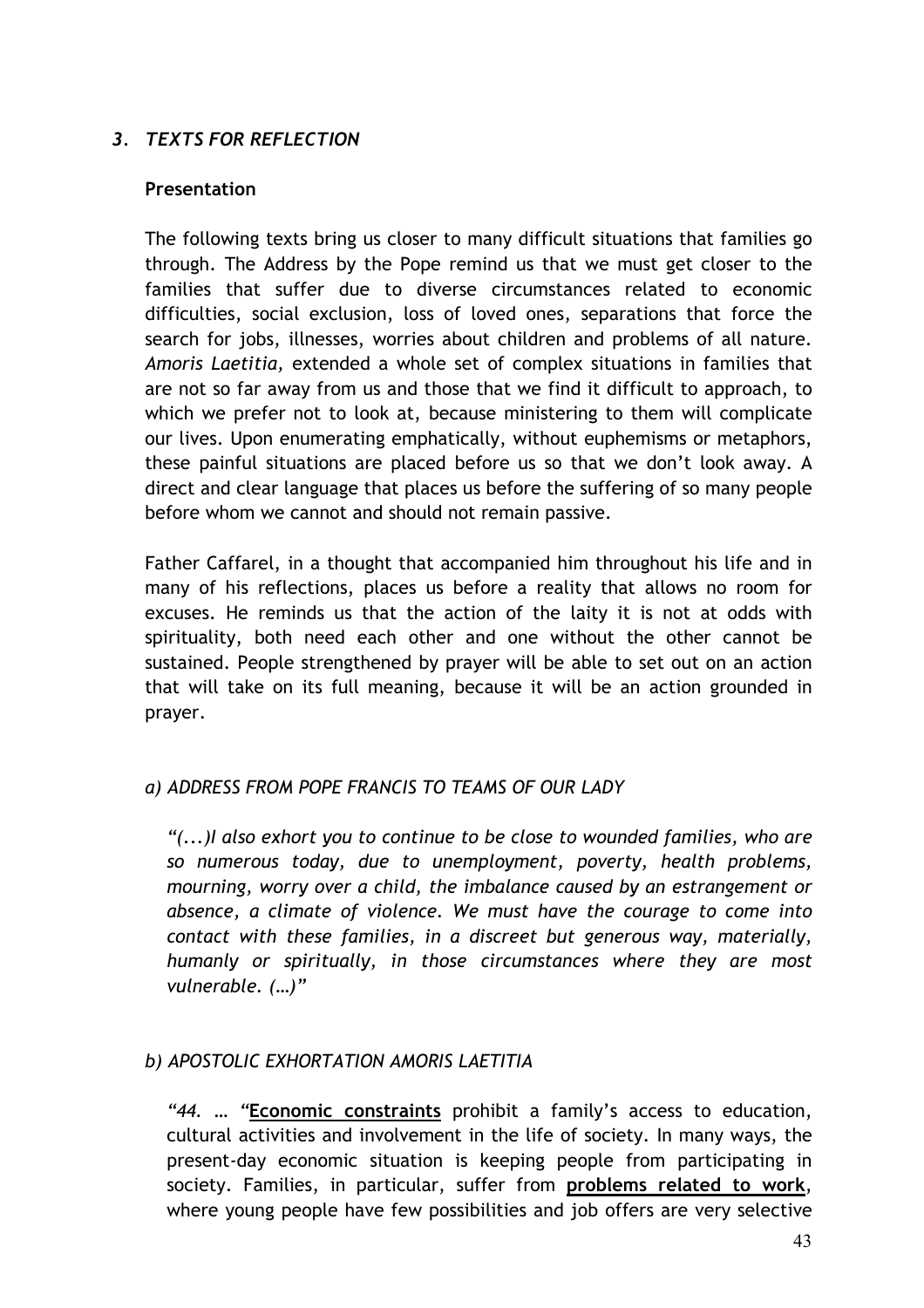# *3. TEXTS FOR REFLECTION*

#### **Presentation**

The following texts bring us closer to many difficult situations that families go through. The Address by the Pope remind us that we must get closer to the families that suffer due to diverse circumstances related to economic difficulties, social exclusion, loss of loved ones, separations that force the search for jobs, illnesses, worries about children and problems of all nature. *Amoris Laetitia,* extended a whole set of complex situations in families that are not so far away from us and those that we find it difficult to approach, to which we prefer not to look at, because ministering to them will complicate our lives. Upon enumerating emphatically, without euphemisms or metaphors, these painful situations are placed before us so that we don't look away. A direct and clear language that places us before the suffering of so many people before whom we cannot and should not remain passive.

Father Caffarel, in a thought that accompanied him throughout his life and in many of his reflections, places us before a reality that allows no room for excuses. He reminds us that the action of the laity it is not at odds with spirituality, both need each other and one without the other cannot be sustained. People strengthened by prayer will be able to set out on an action that will take on its full meaning, because it will be an action grounded in prayer.

# *a) ADDRESS FROM POPE FRANCIS TO TEAMS OF OUR LADY*

*"(...)I also exhort you to continue to be close to wounded families, who are so numerous today, due to unemployment, poverty, health problems, mourning, worry over a child, the imbalance caused by an estrangement or absence, a climate of violence. We must have the courage to come into contact with these families, in a discreet but generous way, materially, humanly or spiritually, in those circumstances where they are most vulnerable. (…)"*

# *b) APOSTOLIC EXHORTATION AMORIS LAETITIA*

*"44. … "***Economic constraints** prohibit a family's access to education, cultural activities and involvement in the life of society. In many ways, the present-day economic situation is keeping people from participating in society. Families, in particular, suffer from **problems related to work**, where young people have few possibilities and job offers are very selective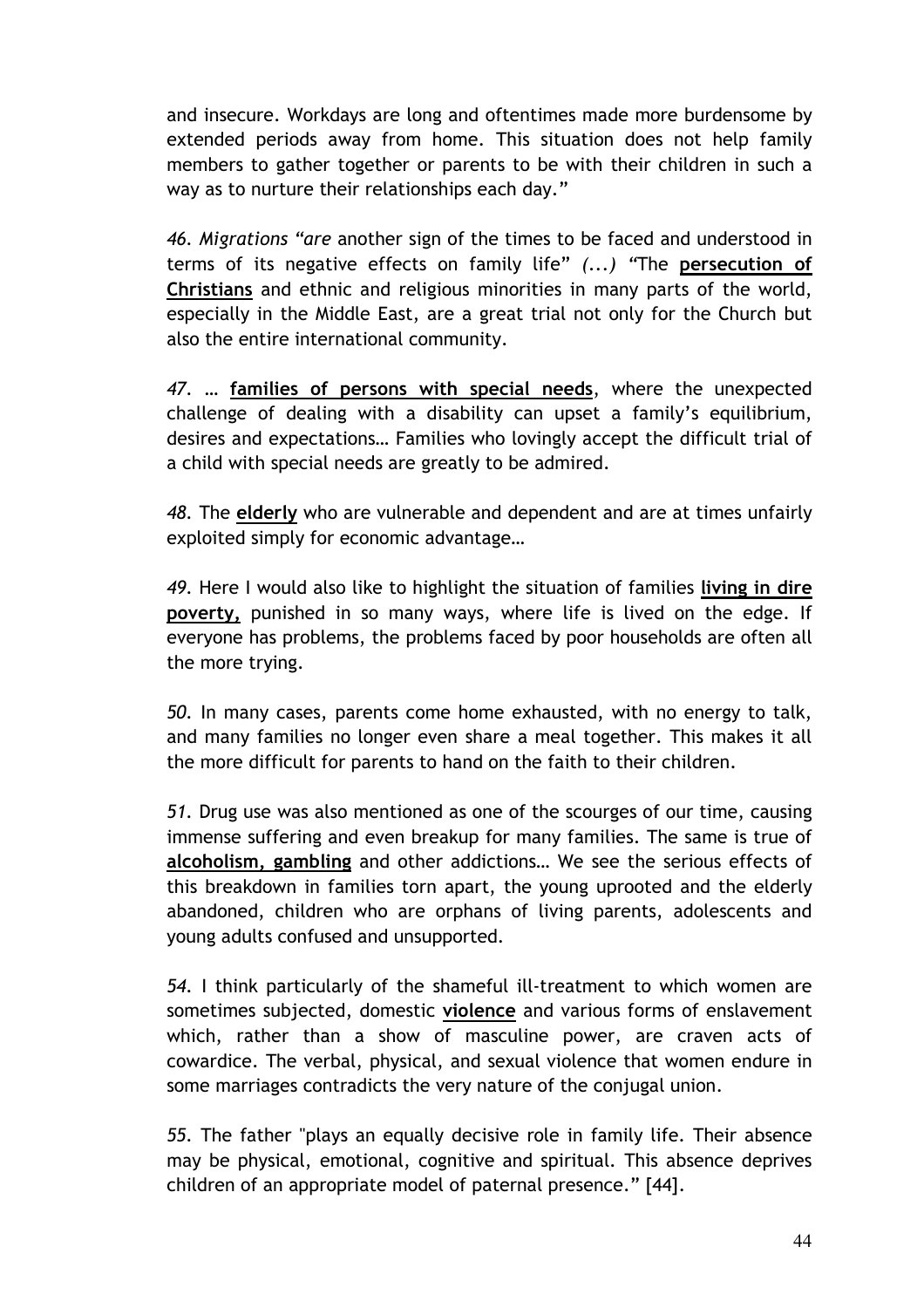and insecure. Workdays are long and oftentimes made more burdensome by extended periods away from home. This situation does not help family members to gather together or parents to be with their children in such a way as to nurture their relationships each day."

*46. Migrations "are* another sign of the times to be faced and understood in terms of its negative effects on family life" *(...) "*The **persecution of Christians** and ethnic and religious minorities in many parts of the world, especially in the Middle East, are a great trial not only for the Church but also the entire international community.

*47. …* **families of persons with special needs**, where the unexpected challenge of dealing with a disability can upset a family's equilibrium, desires and expectations… Families who lovingly accept the difficult trial of a child with special needs are greatly to be admired.

*48.* The **elderly** who are vulnerable and dependent and are at times unfairly exploited simply for economic advantage…

*49.* Here I would also like to highlight the situation of families **living in dire poverty,** punished in so many ways, where life is lived on the edge. If everyone has problems, the problems faced by poor households are often all the more trying.

*50.* In many cases, parents come home exhausted, with no energy to talk, and many families no longer even share a meal together. This makes it all the more difficult for parents to hand on the faith to their children.

*51.* Drug use was also mentioned as one of the scourges of our time, causing immense suffering and even breakup for many families. The same is true of **alcoholism, gambling** and other addictions… We see the serious effects of this breakdown in families torn apart, the young uprooted and the elderly abandoned, children who are orphans of living parents, adolescents and young adults confused and unsupported*.*

*54.* I think particularly of the shameful ill-treatment to which women are sometimes subjected, domestic **violence** and various forms of enslavement which, rather than a show of masculine power, are craven acts of cowardice. The verbal, physical, and sexual violence that women endure in some marriages contradicts the very nature of the conjugal union.

*55.* The father "plays an equally decisive role in family life. Their absence may be physical, emotional, cognitive and spiritual. This absence deprives children of an appropriate model of paternal presence." [44].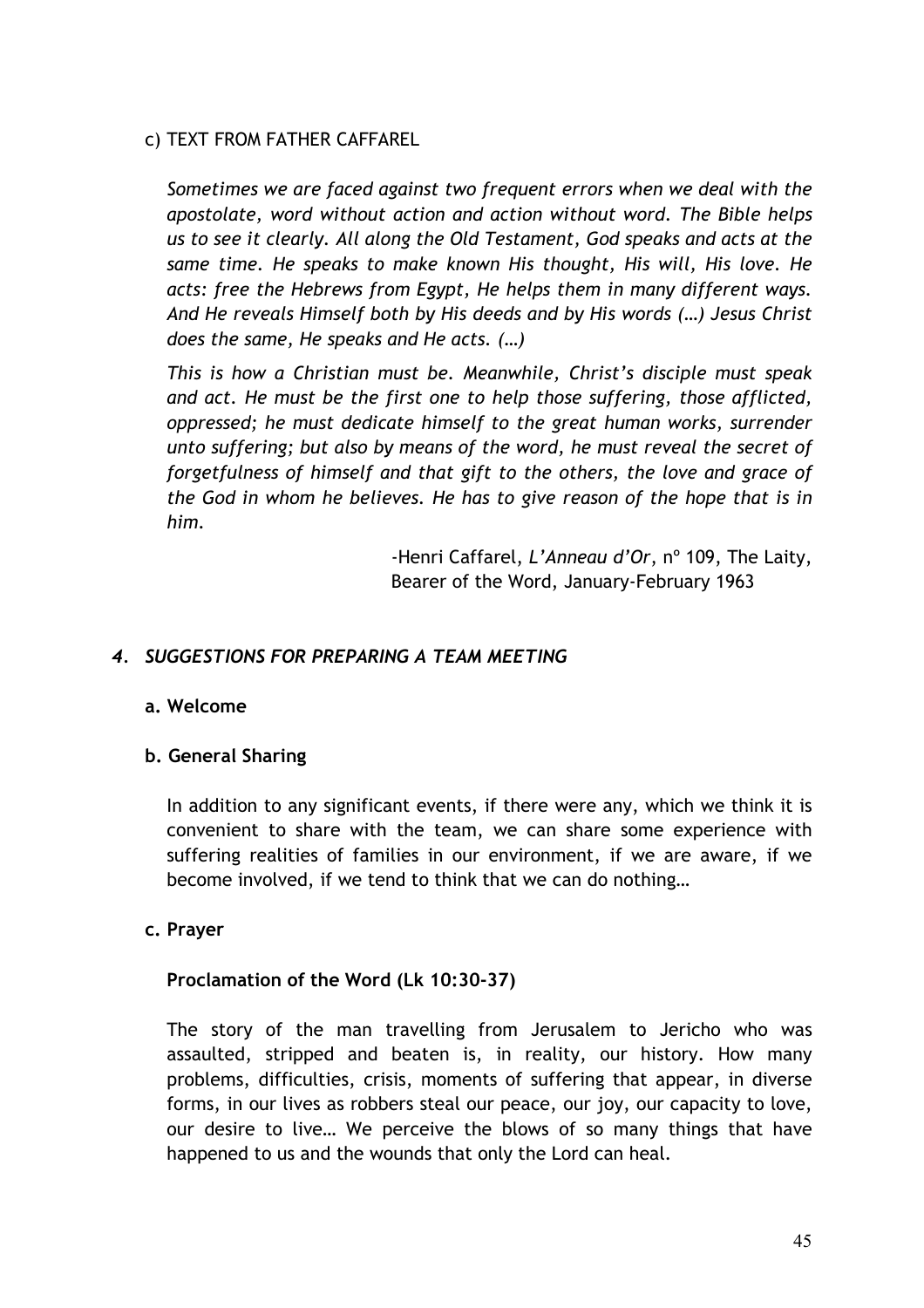# c) TEXT FROM FATHER CAFFAREL

*Sometimes we are faced against two frequent errors when we deal with the apostolate, word without action and action without word. The Bible helps us to see it clearly. All along the Old Testament, God speaks and acts at the same time. He speaks to make known His thought, His will, His love. He acts: free the Hebrews from Egypt, He helps them in many different ways. And He reveals Himself both by His deeds and by His words (…) Jesus Christ does the same, He speaks and He acts. (…)*

*This is how a Christian must be. Meanwhile, Christ's disciple must speak and act. He must be the first one to help those suffering, those afflicted, oppressed; he must dedicate himself to the great human works, surrender unto suffering; but also by means of the word, he must reveal the secret of forgetfulness of himself and that gift to the others, the love and grace of the God in whom he believes. He has to give reason of the hope that is in him.*

> -Henri Caffarel, *L'Anneau d'Or*, nº 109, The Laity, Bearer of the Word, January-February 1963

# *4. SUGGESTIONS FOR PREPARING A TEAM MEETING*

#### **a. Welcome**

# **b. General Sharing**

In addition to any significant events, if there were any, which we think it is convenient to share with the team, we can share some experience with suffering realities of families in our environment, if we are aware, if we become involved, if we tend to think that we can do nothing…

#### **c. Prayer**

#### **Proclamation of the Word (Lk 10:30-37)**

The story of the man travelling from Jerusalem to Jericho who was assaulted, stripped and beaten is, in reality, our history. How many problems, difficulties, crisis, moments of suffering that appear, in diverse forms, in our lives as robbers steal our peace, our joy, our capacity to love, our desire to live… We perceive the blows of so many things that have happened to us and the wounds that only the Lord can heal.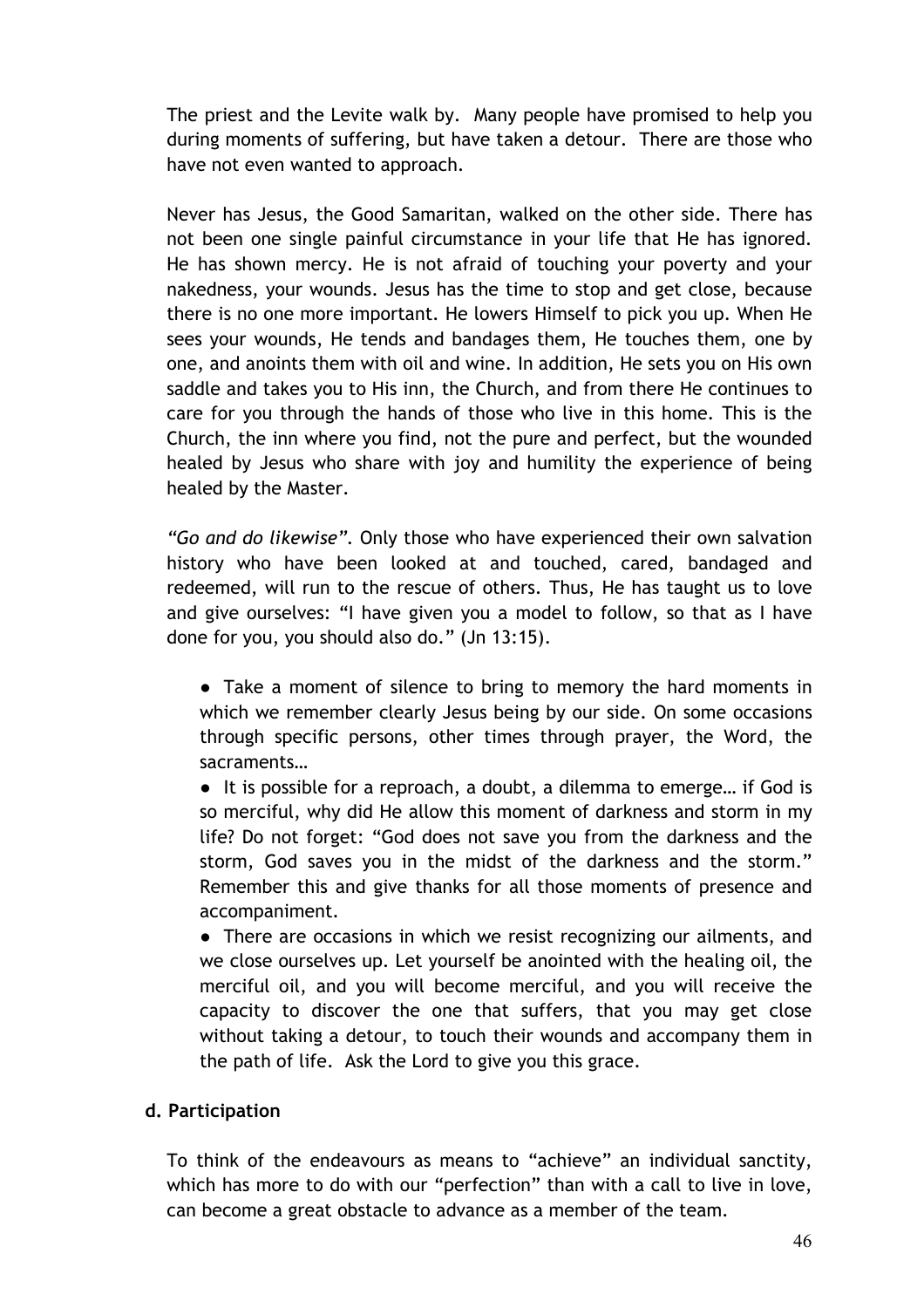The priest and the Levite walk by. Many people have promised to help you during moments of suffering, but have taken a detour. There are those who have not even wanted to approach.

Never has Jesus, the Good Samaritan, walked on the other side. There has not been one single painful circumstance in your life that He has ignored. He has shown mercy. He is not afraid of touching your poverty and your nakedness, your wounds. Jesus has the time to stop and get close, because there is no one more important. He lowers Himself to pick you up. When He sees your wounds, He tends and bandages them, He touches them, one by one, and anoints them with oil and wine. In addition, He sets you on His own saddle and takes you to His inn, the Church, and from there He continues to care for you through the hands of those who live in this home. This is the Church, the inn where you find, not the pure and perfect, but the wounded healed by Jesus who share with joy and humility the experience of being healed by the Master.

*"Go and do likewise".* Only those who have experienced their own salvation history who have been looked at and touched, cared, bandaged and redeemed, will run to the rescue of others. Thus, He has taught us to love and give ourselves: "I have given you a model to follow, so that as I have done for you, you should also do." (Jn 13:15).

● Take a moment of silence to bring to memory the hard moments in which we remember clearly Jesus being by our side. On some occasions through specific persons, other times through prayer, the Word, the sacraments…

● It is possible for a reproach, a doubt, a dilemma to emerge... if God is so merciful, why did He allow this moment of darkness and storm in my life? Do not forget: "God does not save you from the darkness and the storm, God saves you in the midst of the darkness and the storm." Remember this and give thanks for all those moments of presence and accompaniment.

• There are occasions in which we resist recognizing our ailments, and we close ourselves up. Let yourself be anointed with the healing oil, the merciful oil, and you will become merciful, and you will receive the capacity to discover the one that suffers, that you may get close without taking a detour, to touch their wounds and accompany them in the path of life. Ask the Lord to give you this grace.

# **d. Participation**

To think of the endeavours as means to "achieve" an individual sanctity, which has more to do with our "perfection" than with a call to live in love, can become a great obstacle to advance as a member of the team.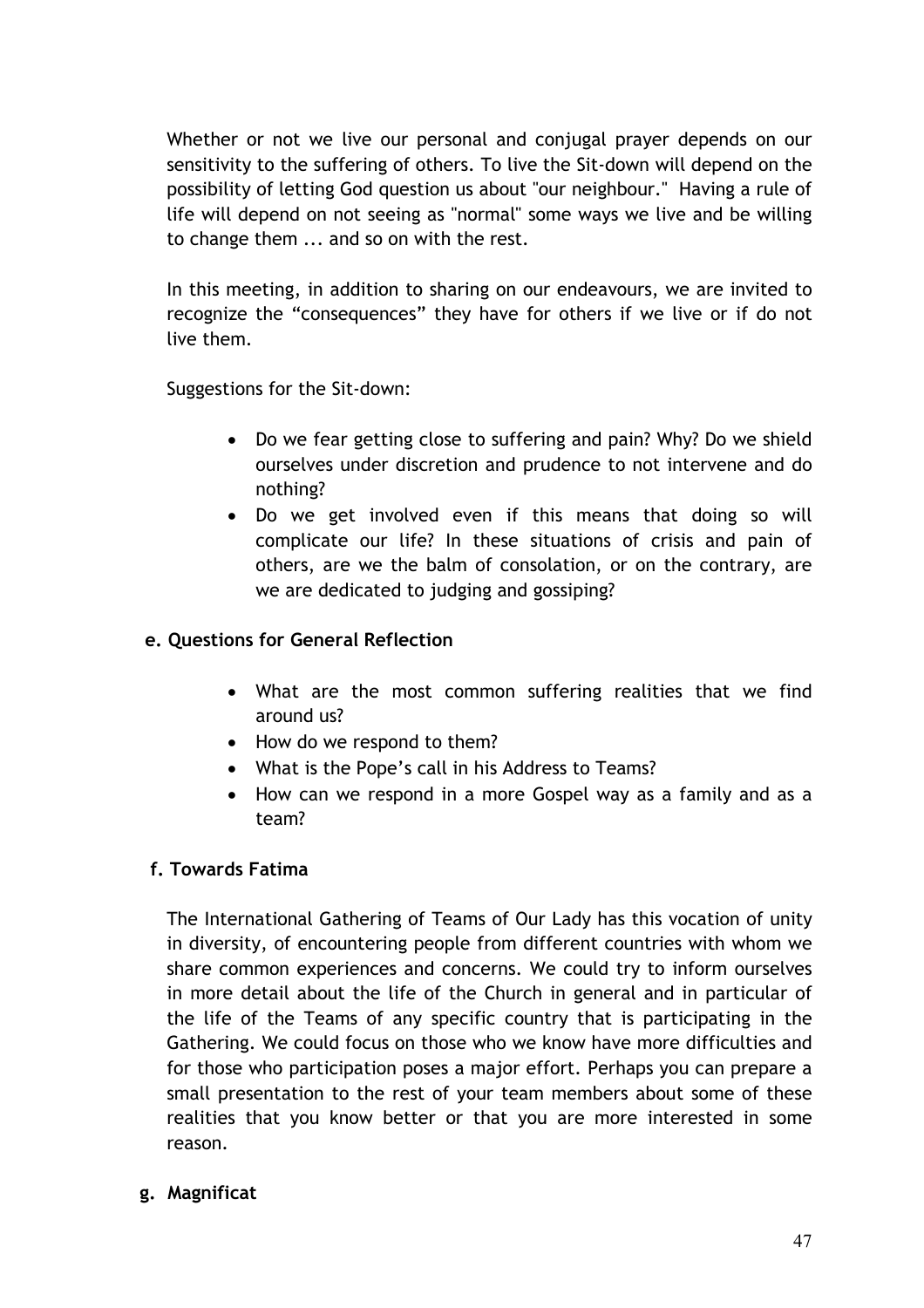Whether or not we live our personal and conjugal prayer depends on our sensitivity to the suffering of others. To live the Sit-down will depend on the possibility of letting God question us about "our neighbour." Having a rule of life will depend on not seeing as "normal" some ways we live and be willing to change them ... and so on with the rest.

In this meeting, in addition to sharing on our endeavours, we are invited to recognize the "consequences" they have for others if we live or if do not live them.

Suggestions for the Sit-down:

- Do we fear getting close to suffering and pain? Why? Do we shield ourselves under discretion and prudence to not intervene and do nothing?
- Do we get involved even if this means that doing so will complicate our life? In these situations of crisis and pain of others, are we the balm of consolation, or on the contrary, are we are dedicated to judging and gossiping?

# **e. Questions for General Reflection**

- What are the most common suffering realities that we find around us?
- How do we respond to them?
- What is the Pope's call in his Address to Teams?
- How can we respond in a more Gospel way as a family and as a team?

# **f. Towards Fatima**

The International Gathering of Teams of Our Lady has this vocation of unity in diversity, of encountering people from different countries with whom we share common experiences and concerns. We could try to inform ourselves in more detail about the life of the Church in general and in particular of the life of the Teams of any specific country that is participating in the Gathering. We could focus on those who we know have more difficulties and for those who participation poses a major effort. Perhaps you can prepare a small presentation to the rest of your team members about some of these realities that you know better or that you are more interested in some reason.

# **g. Magnificat**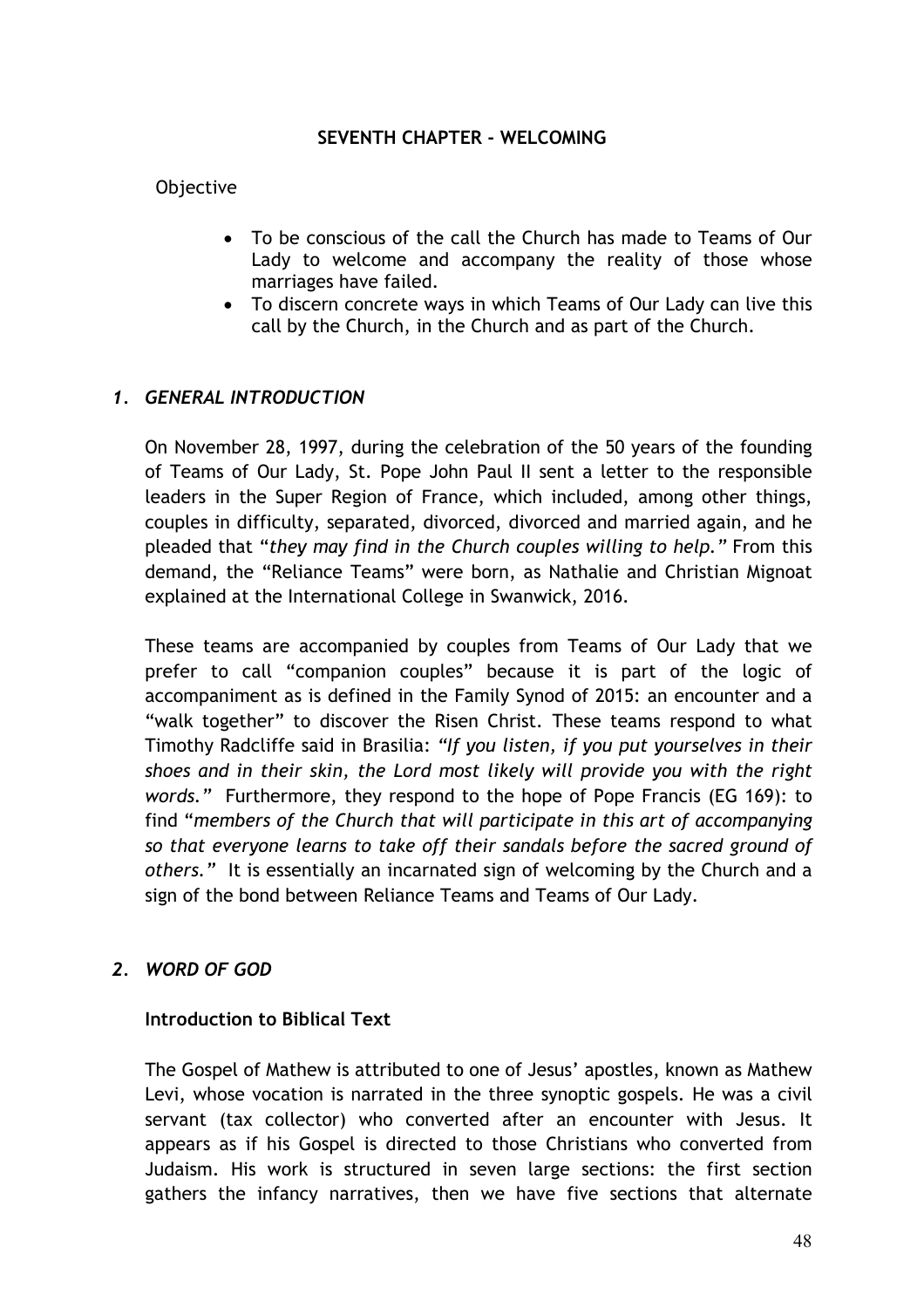#### **SEVENTH CHAPTER - WELCOMING**

# Objective

- To be conscious of the call the Church has made to Teams of Our Lady to welcome and accompany the reality of those whose marriages have failed.
- To discern concrete ways in which Teams of Our Lady can live this call by the Church, in the Church and as part of the Church.

# *1. GENERAL INTRODUCTION*

On November 28, 1997, during the celebration of the 50 years of the founding of Teams of Our Lady, St. Pope John Paul II sent a letter to the responsible leaders in the Super Region of France, which included, among other things, couples in difficulty, separated, divorced, divorced and married again, and he pleaded that "*they may find in the Church couples willing to help."* From this demand, the "Reliance Teams" were born, as Nathalie and Christian Mignoat explained at the International College in Swanwick, 2016.

These teams are accompanied by couples from Teams of Our Lady that we prefer to call "companion couples" because it is part of the logic of accompaniment as is defined in the Family Synod of 2015: an encounter and a "walk together" to discover the Risen Christ. These teams respond to what Timothy Radcliffe said in Brasilia: *"If you listen, if you put yourselves in their shoes and in their skin, the Lord most likely will provide you with the right words."* Furthermore, they respond to the hope of Pope Francis (EG 169): to find "*members of the Church that will participate in this art of accompanying so that everyone learns to take off their sandals before the sacred ground of others."* It is essentially an incarnated sign of welcoming by the Church and a sign of the bond between Reliance Teams and Teams of Our Lady.

# *2. WORD OF GOD*

#### **Introduction to Biblical Text**

The Gospel of Mathew is attributed to one of Jesus' apostles, known as Mathew Levi, whose vocation is narrated in the three synoptic gospels. He was a civil servant (tax collector) who converted after an encounter with Jesus. It appears as if his Gospel is directed to those Christians who converted from Judaism. His work is structured in seven large sections: the first section gathers the infancy narratives, then we have five sections that alternate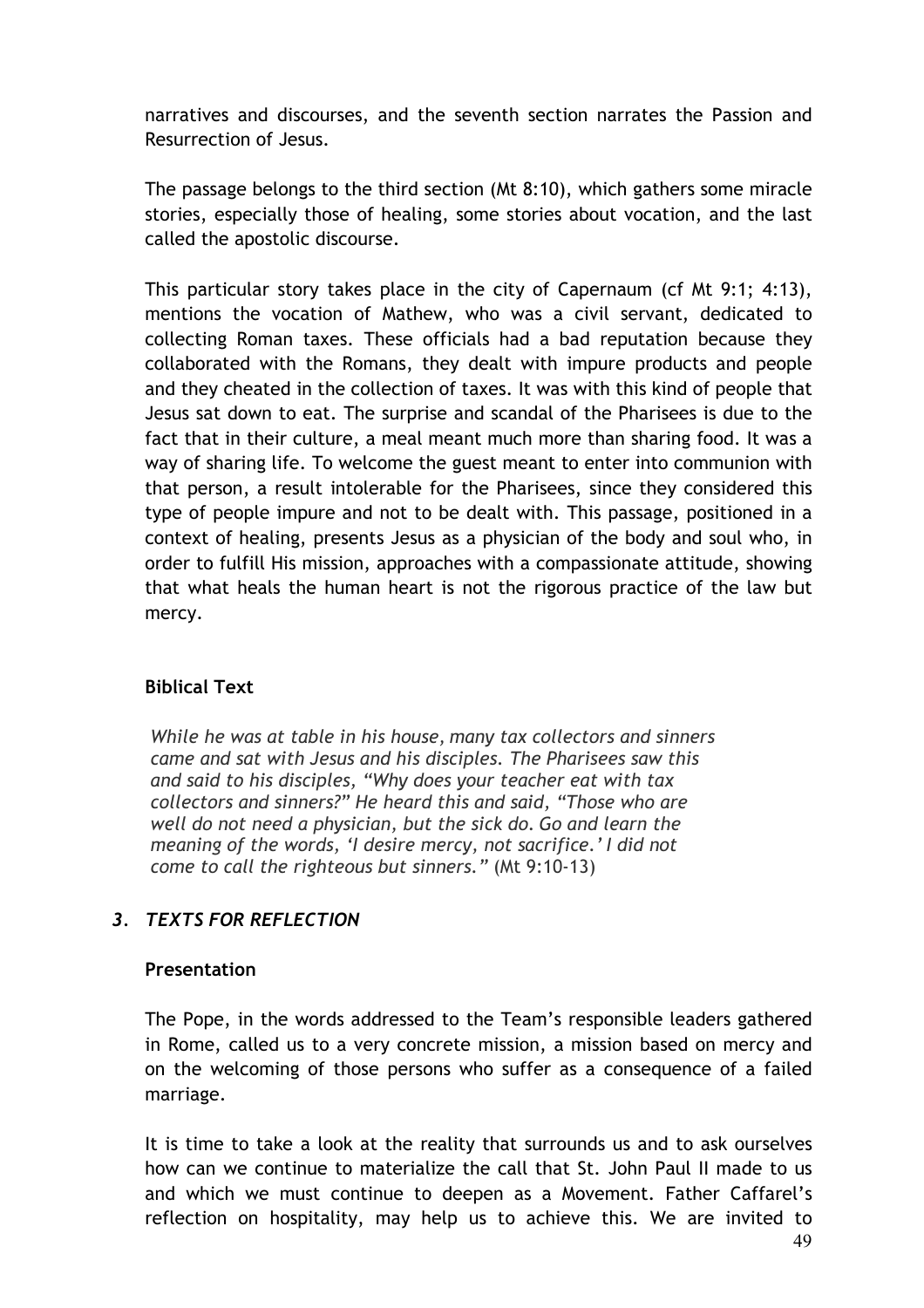narratives and discourses, and the seventh section narrates the Passion and Resurrection of Jesus.

The passage belongs to the third section (Mt 8:10), which gathers some miracle stories, especially those of healing, some stories about vocation, and the last called the apostolic discourse.

This particular story takes place in the city of Capernaum (cf Mt 9:1; 4:13), mentions the vocation of Mathew, who was a civil servant, dedicated to collecting Roman taxes. These officials had a bad reputation because they collaborated with the Romans, they dealt with impure products and people and they cheated in the collection of taxes. It was with this kind of people that Jesus sat down to eat. The surprise and scandal of the Pharisees is due to the fact that in their culture, a meal meant much more than sharing food. It was a way of sharing life. To welcome the guest meant to enter into communion with that person, a result intolerable for the Pharisees, since they considered this type of people impure and not to be dealt with. This passage, positioned in a context of healing, presents Jesus as a physician of the body and soul who, in order to fulfill His mission, approaches with a compassionate attitude, showing that what heals the human heart is not the rigorous practice of the law but mercy.

# **Biblical Text**

*While he was at table in his house, many tax collectors and sinners came and sat with Jesus and his disciples. The Pharisees saw this and said to his disciples, "Why does your teacher eat with tax collectors and sinners?" He heard this and said, "Those who are well do not need a physician, but the sick do. Go and learn the meaning of the words, 'I desire mercy, not sacrifice.' I did not come to call the righteous but sinners."* (Mt 9:10-13)

# *3. TEXTS FOR REFLECTION*

#### **Presentation**

The Pope, in the words addressed to the Team's responsible leaders gathered in Rome, called us to a very concrete mission, a mission based on mercy and on the welcoming of those persons who suffer as a consequence of a failed marriage.

It is time to take a look at the reality that surrounds us and to ask ourselves how can we continue to materialize the call that St. John Paul II made to us and which we must continue to deepen as a Movement. Father Caffarel's reflection on hospitality, may help us to achieve this. We are invited to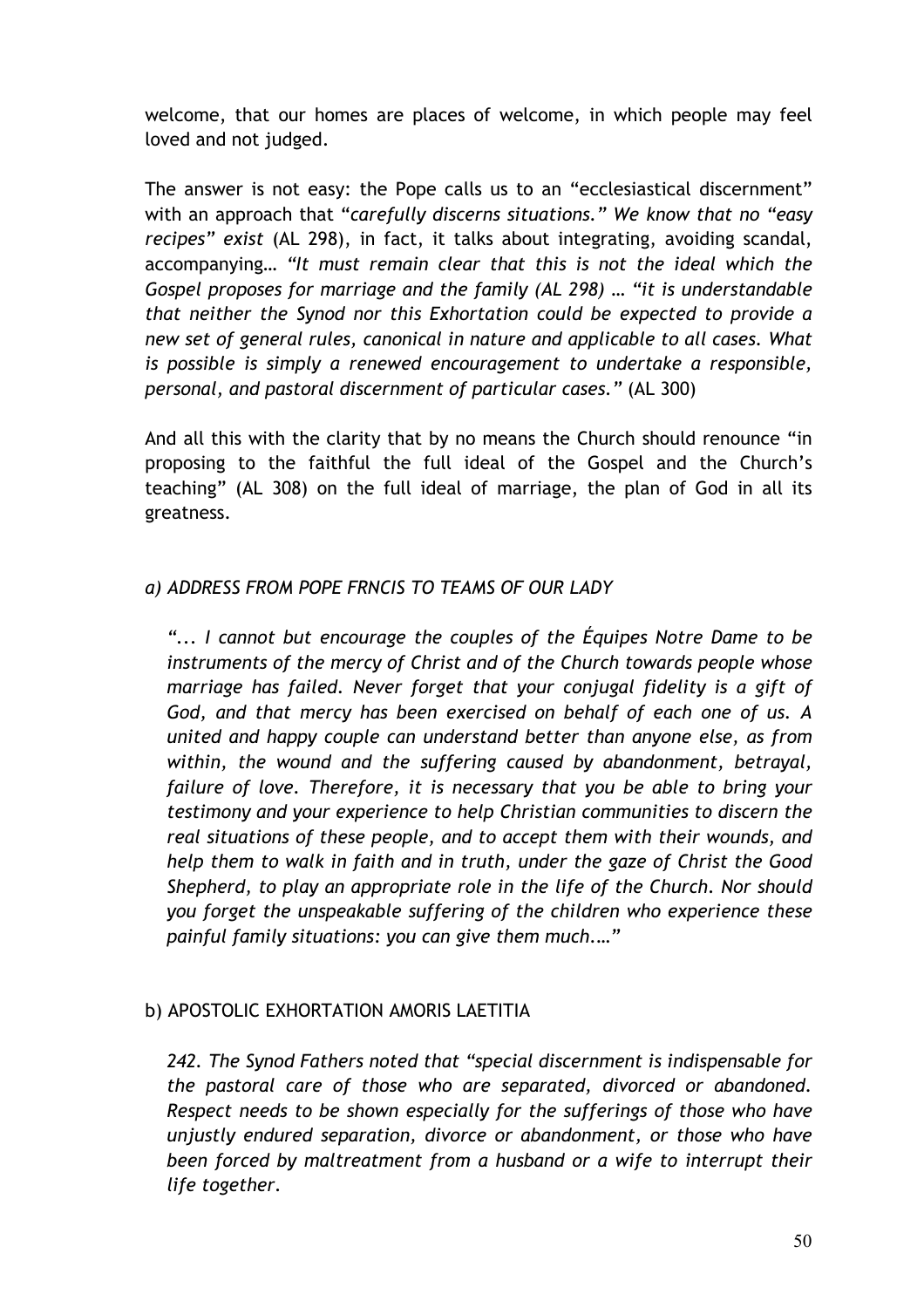welcome, that our homes are places of welcome, in which people may feel loved and not judged.

The answer is not easy: the Pope calls us to an "ecclesiastical discernment" with an approach that "*carefully discerns situations." We know that no "easy recipes" exist* (AL 298), in fact, it talks about integrating, avoiding scandal, accompanying… *"It must remain clear that this is not the ideal which the Gospel proposes for marriage and the family (AL 298) … "it is understandable that neither the Synod nor this Exhortation could be expected to provide a new set of general rules, canonical in nature and applicable to all cases. What is possible is simply a renewed encouragement to undertake a responsible, personal, and pastoral discernment of particular cases."* (AL 300)

And all this with the clarity that by no means the Church should renounce "in proposing to the faithful the full ideal of the Gospel and the Church's teaching" (AL 308) on the full ideal of marriage, the plan of God in all its greatness.

# *a) ADDRESS FROM POPE FRNCIS TO TEAMS OF OUR LADY*

*"... I cannot but encourage the couples of the Équipes Notre Dame to be instruments of the mercy of Christ and of the Church towards people whose marriage has failed. Never forget that your conjugal fidelity is a gift of God, and that mercy has been exercised on behalf of each one of us. A united and happy couple can understand better than anyone else, as from within, the wound and the suffering caused by abandonment, betrayal, failure of love. Therefore, it is necessary that you be able to bring your testimony and your experience to help Christian communities to discern the real situations of these people, and to accept them with their wounds, and help them to walk in faith and in truth, under the gaze of Christ the Good Shepherd, to play an appropriate role in the life of the Church. Nor should you forget the unspeakable suffering of the children who experience these painful family situations: you can give them much.…"*

# b) APOSTOLIC EXHORTATION AMORIS LAETITIA

*242. The Synod Fathers noted that "special discernment is indispensable for the pastoral care of those who are separated, divorced or abandoned. Respect needs to be shown especially for the sufferings of those who have unjustly endured separation, divorce or abandonment, or those who have been forced by maltreatment from a husband or a wife to interrupt their life together.*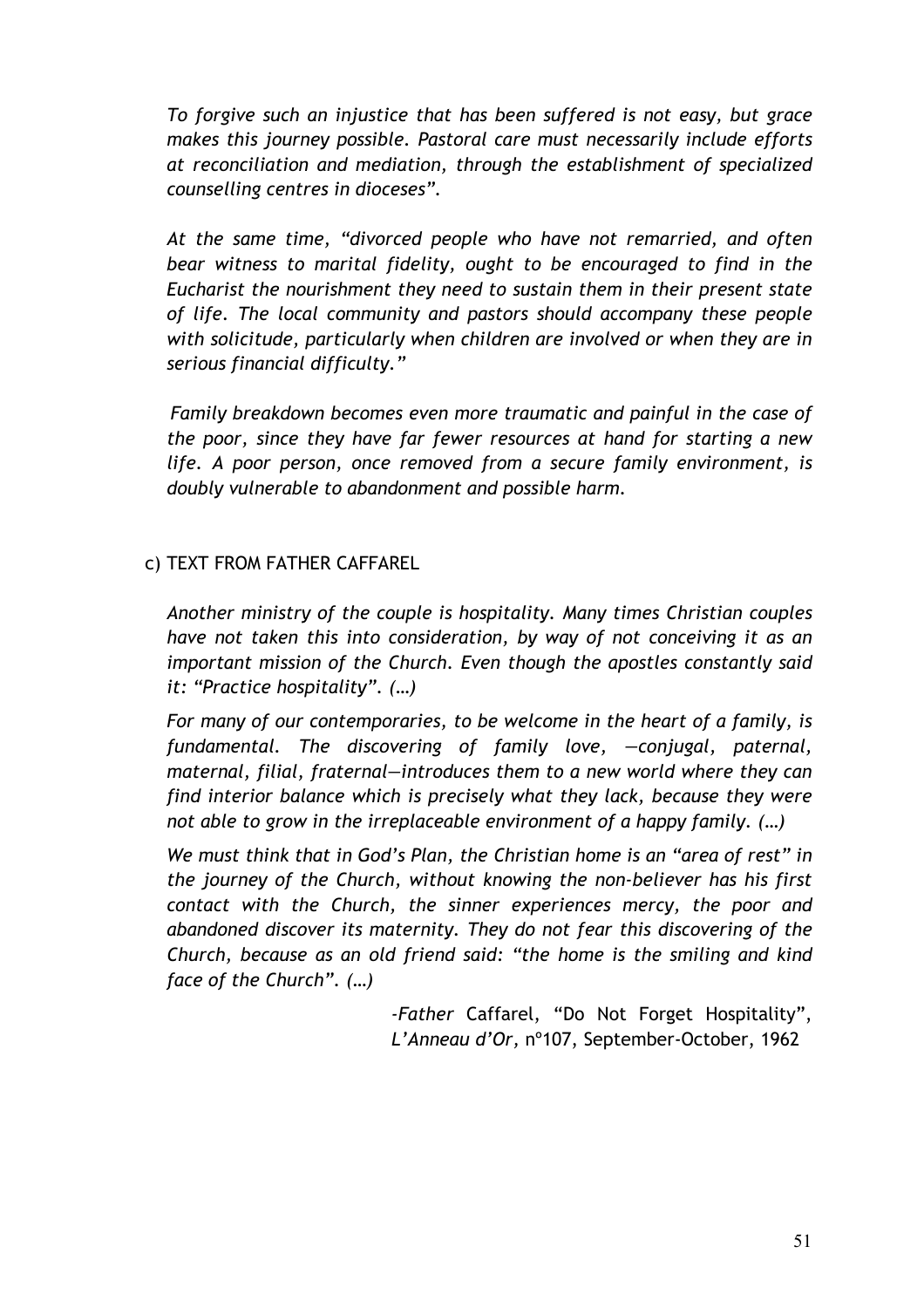*To forgive such an injustice that has been suffered is not easy, but grace makes this journey possible. Pastoral care must necessarily include efforts at reconciliation and mediation, through the establishment of specialized counselling centres in dioceses".*

*At the same time, "divorced people who have not remarried, and often bear witness to marital fidelity, ought to be encouraged to find in the Eucharist the nourishment they need to sustain them in their present state of life. The local community and pastors should accompany these people with solicitude, particularly when children are involved or when they are in serious financial difficulty."*

*Family breakdown becomes even more traumatic and painful in the case of the poor, since they have far fewer resources at hand for starting a new life. A poor person, once removed from a secure family environment, is doubly vulnerable to abandonment and possible harm.*

# c) TEXT FROM FATHER CAFFAREL

*Another ministry of the couple is hospitality. Many times Christian couples have not taken this into consideration, by way of not conceiving it as an important mission of the Church. Even though the apostles constantly said it: "Practice hospitality". (…)*

*For many of our contemporaries, to be welcome in the heart of a family, is fundamental. The discovering of family love, —conjugal, paternal, maternal, filial, fraternal—introduces them to a new world where they can find interior balance which is precisely what they lack, because they were not able to grow in the irreplaceable environment of a happy family. (…)*

*We must think that in God's Plan, the Christian home is an "area of rest" in the journey of the Church, without knowing the non-believer has his first contact with the Church, the sinner experiences mercy, the poor and abandoned discover its maternity. They do not fear this discovering of the Church, because as an old friend said: "the home is the smiling and kind face of the Church". (…)* 

> *-Father* Caffarel, "Do Not Forget Hospitality", *L'Anneau d'Or,* nº107, September-October, 1962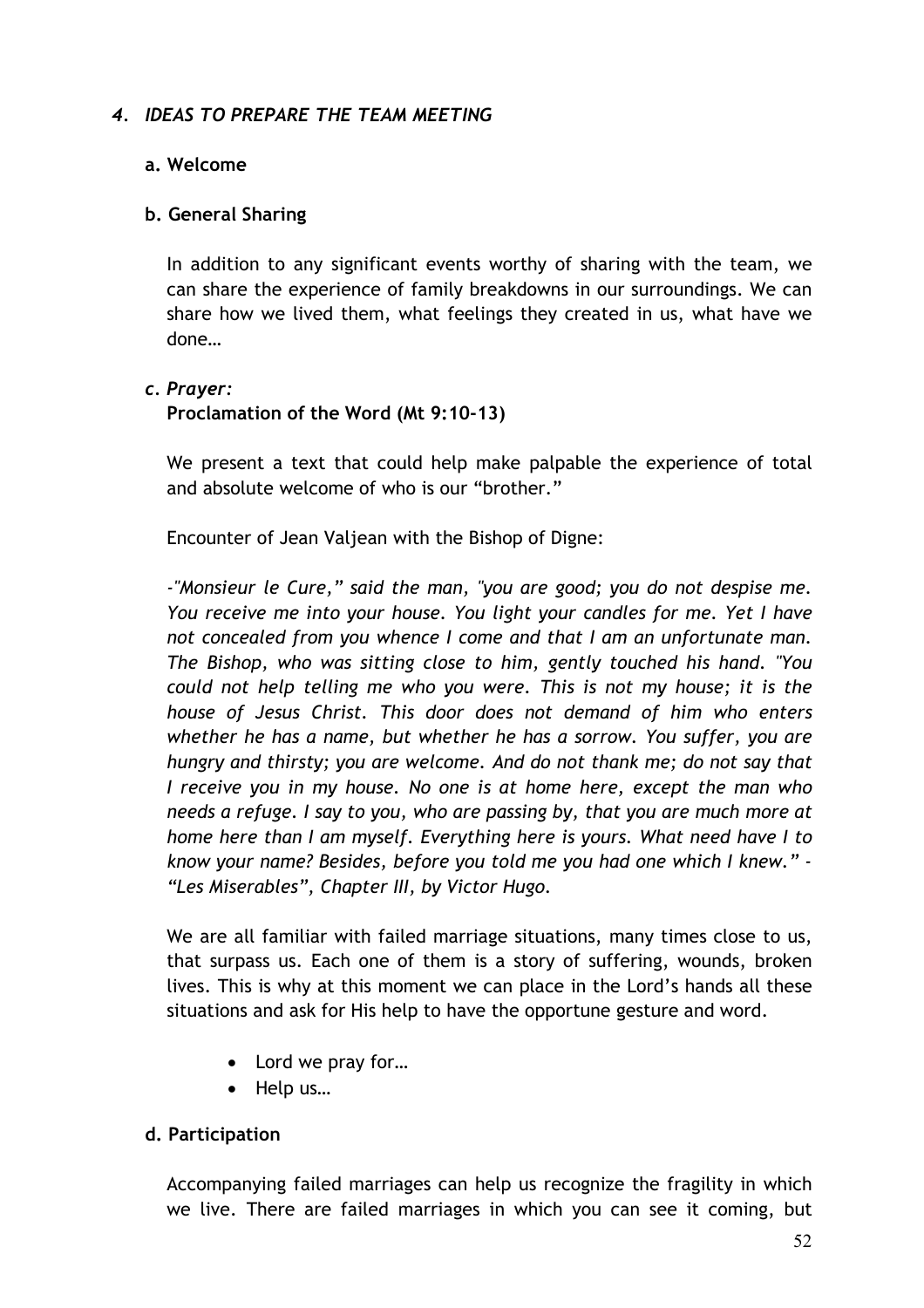#### *4. IDEAS TO PREPARE THE TEAM MEETING*

#### **a. Welcome**

#### **b. General Sharing**

In addition to any significant events worthy of sharing with the team, we can share the experience of family breakdowns in our surroundings. We can share how we lived them, what feelings they created in us, what have we done…

#### *c. Prayer:*

#### **Proclamation of the Word (Mt 9:10-13)**

We present a text that could help make palpable the experience of total and absolute welcome of who is our "brother."

Encounter of Jean Valjean with the Bishop of Digne:

*-"Monsieur le Cure," said the man, "you are good; you do not despise me. You receive me into your house. You light your candles for me. Yet I have not concealed from you whence I come and that I am an unfortunate man. The Bishop, who was sitting close to him, gently touched his hand. "You could not help telling me who you were. This is not my house; it is the house of Jesus Christ. This door does not demand of him who enters whether he has a name, but whether he has a sorrow. You suffer, you are hungry and thirsty; you are welcome. And do not thank me; do not say that I receive you in my house. No one is at home here, except the man who needs a refuge. I say to you, who are passing by, that you are much more at home here than I am myself. Everything here is yours. What need have I to know your name? Besides, before you told me you had one which I knew." - "Les Miserables", Chapter III, by Victor Hugo.*

We are all familiar with failed marriage situations, many times close to us, that surpass us. Each one of them is a story of suffering, wounds, broken lives. This is why at this moment we can place in the Lord's hands all these situations and ask for His help to have the opportune gesture and word.

- Lord we pray for...
- Help us…

# **d. Participation**

Accompanying failed marriages can help us recognize the fragility in which we live. There are failed marriages in which you can see it coming, but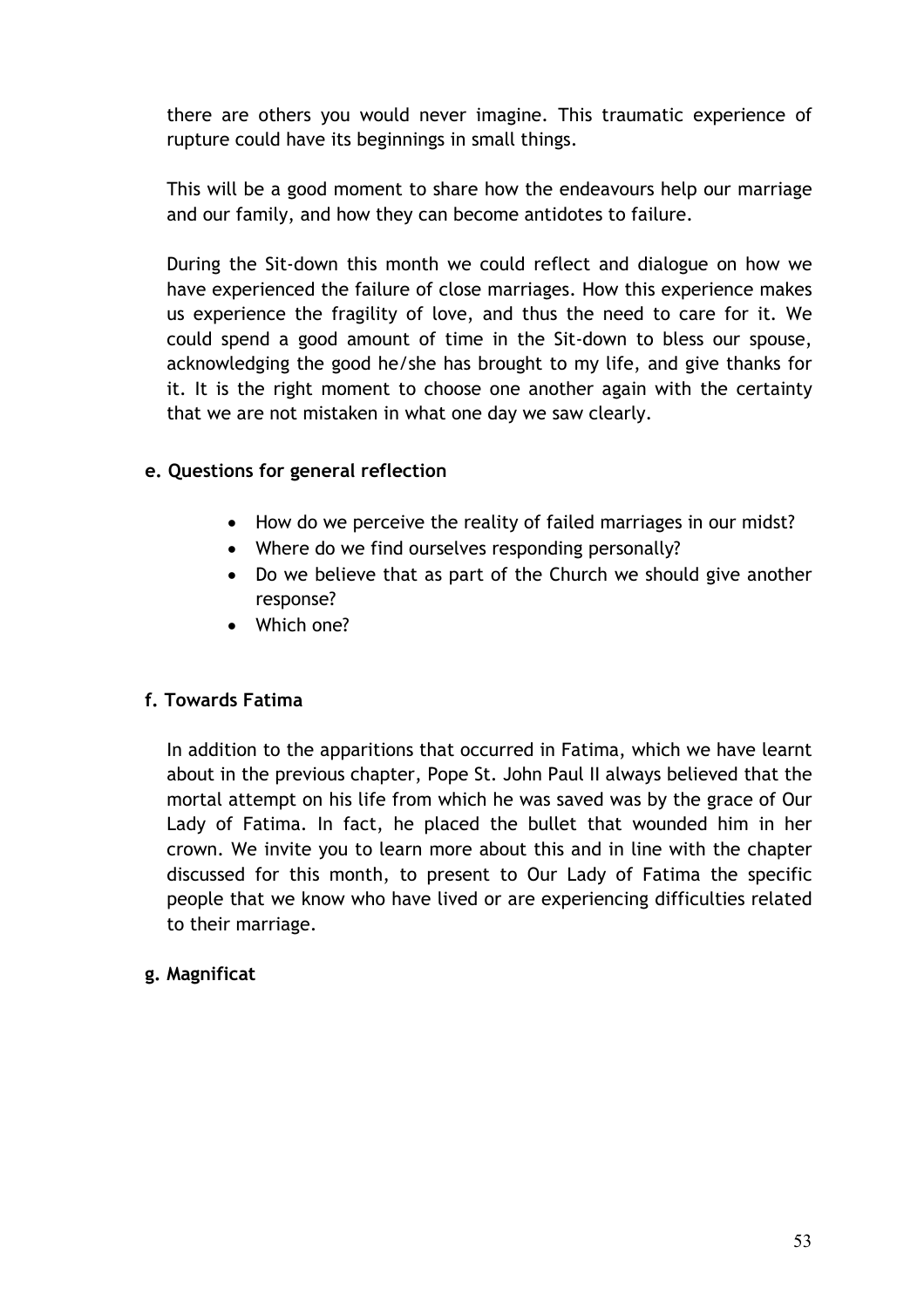there are others you would never imagine. This traumatic experience of rupture could have its beginnings in small things.

This will be a good moment to share how the endeavours help our marriage and our family, and how they can become antidotes to failure.

During the Sit-down this month we could reflect and dialogue on how we have experienced the failure of close marriages. How this experience makes us experience the fragility of love, and thus the need to care for it. We could spend a good amount of time in the Sit-down to bless our spouse, acknowledging the good he/she has brought to my life, and give thanks for it. It is the right moment to choose one another again with the certainty that we are not mistaken in what one day we saw clearly.

# **e. Questions for general reflection**

- How do we perceive the reality of failed marriages in our midst?
- Where do we find ourselves responding personally?
- Do we believe that as part of the Church we should give another response?
- Which one?

# **f. Towards Fatima**

In addition to the apparitions that occurred in Fatima, which we have learnt about in the previous chapter, Pope St. John Paul II always believed that the mortal attempt on his life from which he was saved was by the grace of Our Lady of Fatima. In fact, he placed the bullet that wounded him in her crown. We invite you to learn more about this and in line with the chapter discussed for this month, to present to Our Lady of Fatima the specific people that we know who have lived or are experiencing difficulties related to their marriage.

# **g. Magnificat**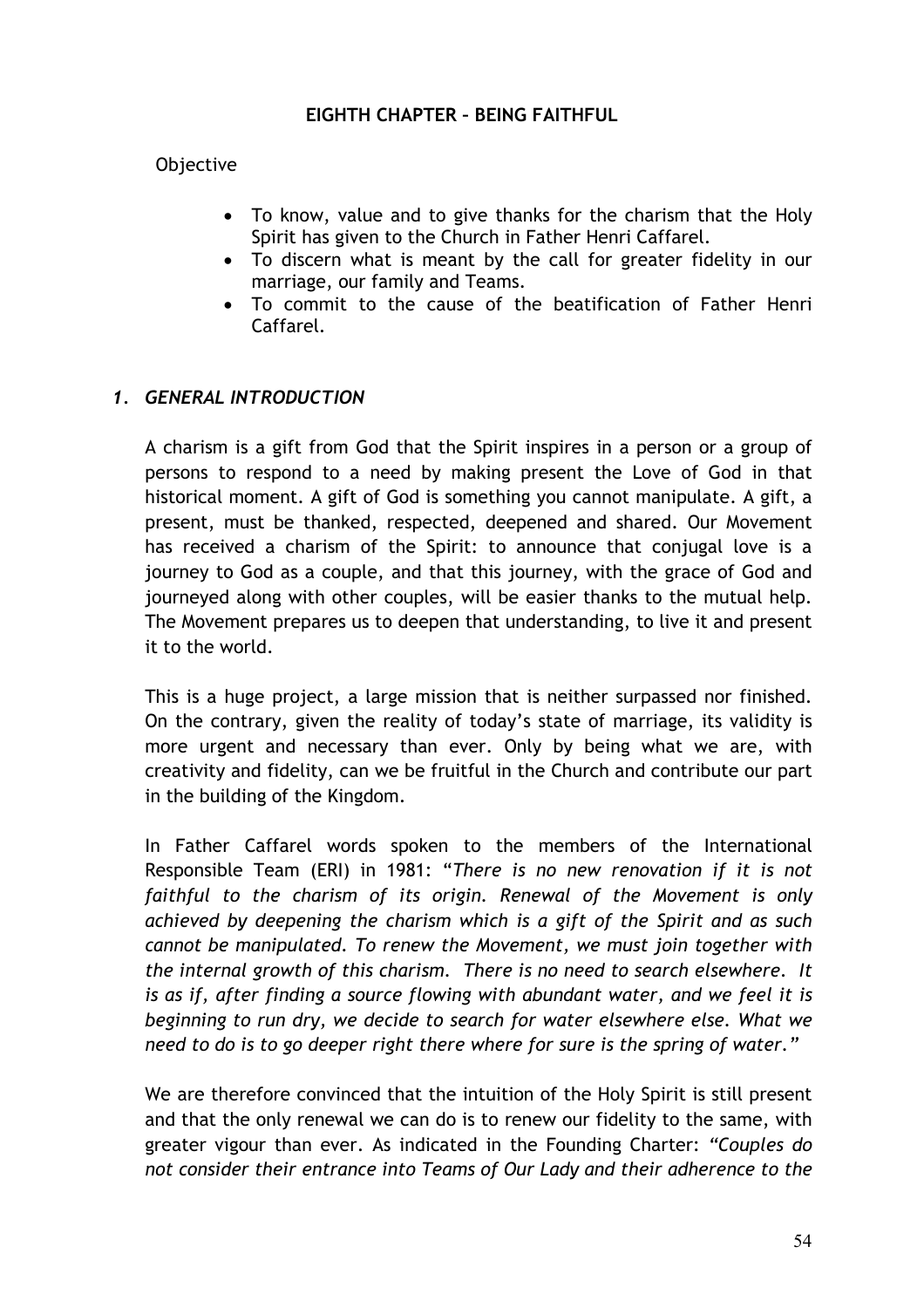#### **EIGHTH CHAPTER – BEING FAITHFUL**

#### Objective

- To know, value and to give thanks for the charism that the Holy Spirit has given to the Church in Father Henri Caffarel.
- To discern what is meant by the call for greater fidelity in our marriage, our family and Teams.
- To commit to the cause of the beatification of Father Henri Caffarel.

# *1. GENERAL INTRODUCTION*

A charism is a gift from God that the Spirit inspires in a person or a group of persons to respond to a need by making present the Love of God in that historical moment. A gift of God is something you cannot manipulate. A gift, a present, must be thanked, respected, deepened and shared. Our Movement has received a charism of the Spirit: to announce that conjugal love is a journey to God as a couple, and that this journey, with the grace of God and journeyed along with other couples, will be easier thanks to the mutual help. The Movement prepares us to deepen that understanding, to live it and present it to the world.

This is a huge project, a large mission that is neither surpassed nor finished. On the contrary, given the reality of today's state of marriage, its validity is more urgent and necessary than ever. Only by being what we are, with creativity and fidelity, can we be fruitful in the Church and contribute our part in the building of the Kingdom.

In Father Caffarel words spoken to the members of the International Responsible Team (ERI) in 1981: "*There is no new renovation if it is not faithful to the charism of its origin. Renewal of the Movement is only achieved by deepening the charism which is a gift of the Spirit and as such cannot be manipulated. To renew the Movement, we must join together with the internal growth of this charism. There is no need to search elsewhere. It is as if, after finding a source flowing with abundant water, and we feel it is beginning to run dry, we decide to search for water elsewhere else. What we need to do is to go deeper right there where for sure is the spring of water."* 

We are therefore convinced that the intuition of the Holy Spirit is still present and that the only renewal we can do is to renew our fidelity to the same, with greater vigour than ever. As indicated in the Founding Charter: *"Couples do not consider their entrance into Teams of Our Lady and their adherence to the*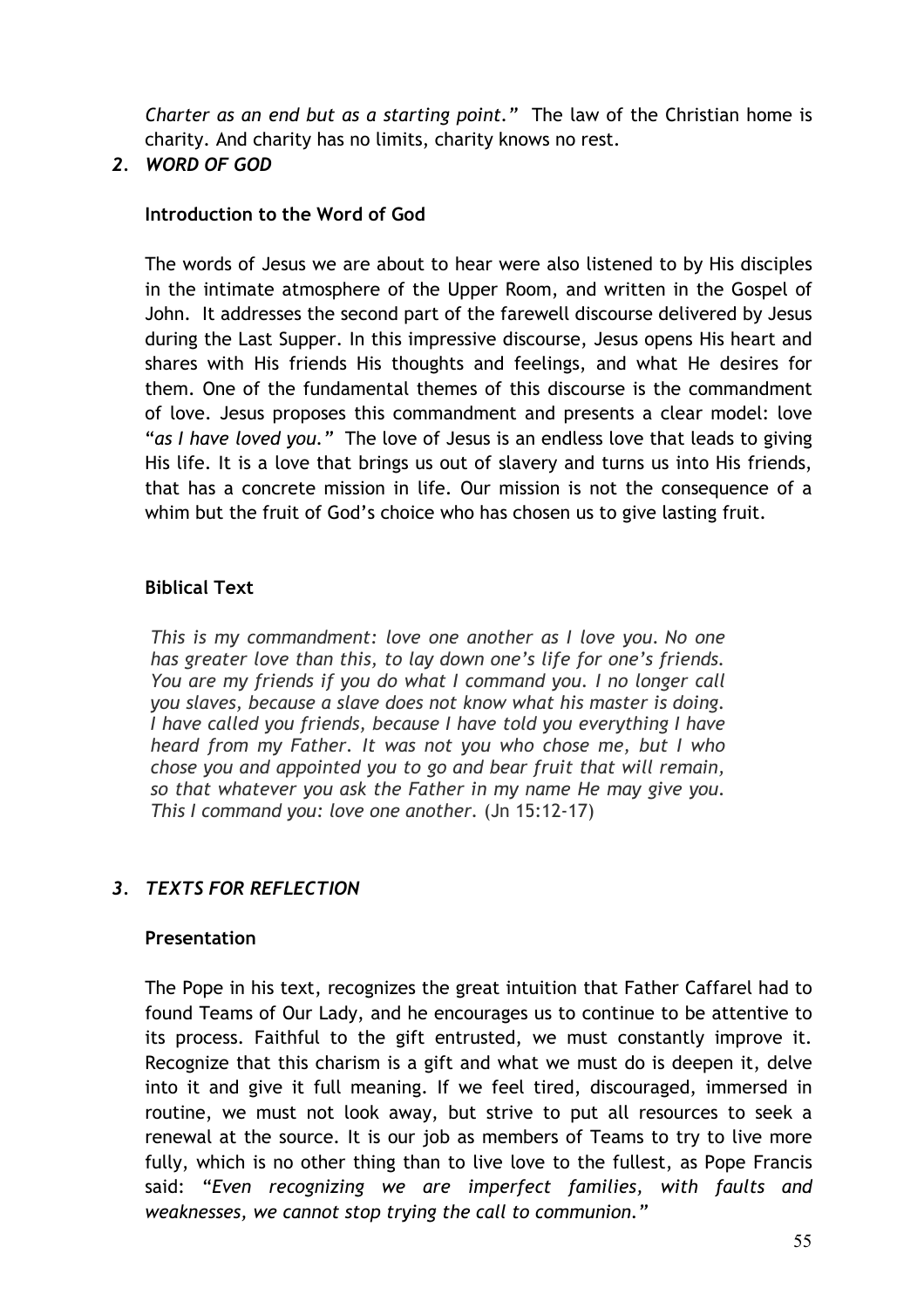*Charter as an end but as a starting point."* The law of the Christian home is charity. And charity has no limits, charity knows no rest.

# *2. WORD OF GOD*

# **Introduction to the Word of God**

The words of Jesus we are about to hear were also listened to by His disciples in the intimate atmosphere of the Upper Room, and written in the Gospel of John. It addresses the second part of the farewell discourse delivered by Jesus during the Last Supper. In this impressive discourse, Jesus opens His heart and shares with His friends His thoughts and feelings, and what He desires for them. One of the fundamental themes of this discourse is the commandment of love. Jesus proposes this commandment and presents a clear model: love "*as I have loved you."* The love of Jesus is an endless love that leads to giving His life. It is a love that brings us out of slavery and turns us into His friends, that has a concrete mission in life. Our mission is not the consequence of a whim but the fruit of God's choice who has chosen us to give lasting fruit.

# **Biblical Text**

*This is my commandment: love one another as I love you. No one has greater love than this, to lay down one's life for one's friends. You are my friends if you do what I command you. I no longer call you slaves, because a slave does not know what his master is doing. I have called you friends, because I have told you everything I have heard from my Father. It was not you who chose me, but I who chose you and appointed you to go and bear fruit that will remain, so that whatever you ask the Father in my name He may give you. This I command you: love one another.* (Jn 15:12-17)

# *3. TEXTS FOR REFLECTION*

# **Presentation**

The Pope in his text, recognizes the great intuition that Father Caffarel had to found Teams of Our Lady, and he encourages us to continue to be attentive to its process. Faithful to the gift entrusted, we must constantly improve it. Recognize that this charism is a gift and what we must do is deepen it, delve into it and give it full meaning. If we feel tired, discouraged, immersed in routine, we must not look away, but strive to put all resources to seek a renewal at the source. It is our job as members of Teams to try to live more fully, which is no other thing than to live love to the fullest, as Pope Francis said: "*Even recognizing we are imperfect families, with faults and weaknesses, we cannot stop trying the call to communion."*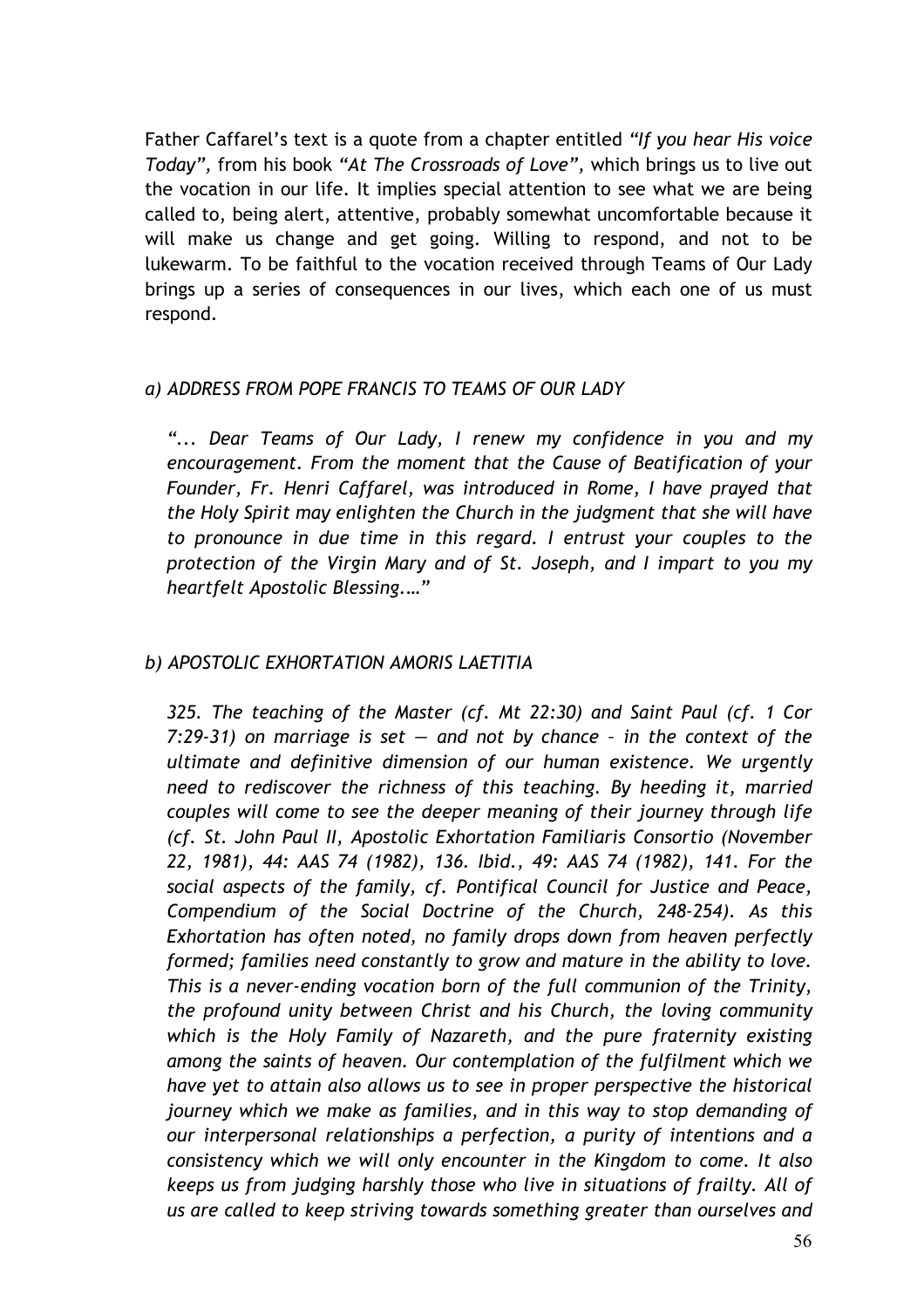Father Caffarel's text is a quote from a chapter entitled *"If you hear His voice Today",* from his book *"At The Crossroads of Love",* which brings us to live out the vocation in our life. It implies special attention to see what we are being called to, being alert, attentive, probably somewhat uncomfortable because it will make us change and get going. Willing to respond, and not to be lukewarm. To be faithful to the vocation received through Teams of Our Lady brings up a series of consequences in our lives, which each one of us must respond.

# *a) ADDRESS FROM POPE FRANCIS TO TEAMS OF OUR LADY*

*"... Dear Teams of Our Lady, I renew my confidence in you and my encouragement. From the moment that the Cause of Beatification of your Founder, Fr. Henri Caffarel, was introduced in Rome, I have prayed that the Holy Spirit may enlighten the Church in the judgment that she will have to pronounce in due time in this regard. I entrust your couples to the protection of the Virgin Mary and of St. Joseph, and I impart to you my heartfelt Apostolic Blessing.…"*

# *b) APOSTOLIC EXHORTATION AMORIS LAETITIA*

*325. The teaching of the Master (cf. Mt 22:30) and Saint Paul (cf. 1 Cor 7:29-31) on marriage is set — and not by chance – in the context of the ultimate and definitive dimension of our human existence. We urgently need to rediscover the richness of this teaching. By heeding it, married couples will come to see the deeper meaning of their journey through life (cf. St. John Paul II, Apostolic Exhortation Familiaris Consortio (November 22, 1981), 44: AAS 74 (1982), 136. Ibid., 49: AAS 74 (1982), 141. For the social aspects of the family, cf. Pontifical Council for Justice and Peace, Compendium of the Social Doctrine of the Church, 248-254). As this Exhortation has often noted, no family drops down from heaven perfectly formed; families need constantly to grow and mature in the ability to love. This is a never-ending vocation born of the full communion of the Trinity, the profound unity between Christ and his Church, the loving community which is the Holy Family of Nazareth, and the pure fraternity existing among the saints of heaven. Our contemplation of the fulfilment which we have yet to attain also allows us to see in proper perspective the historical journey which we make as families, and in this way to stop demanding of our interpersonal relationships a perfection, a purity of intentions and a consistency which we will only encounter in the Kingdom to come. It also keeps us from judging harshly those who live in situations of frailty. All of us are called to keep striving towards something greater than ourselves and*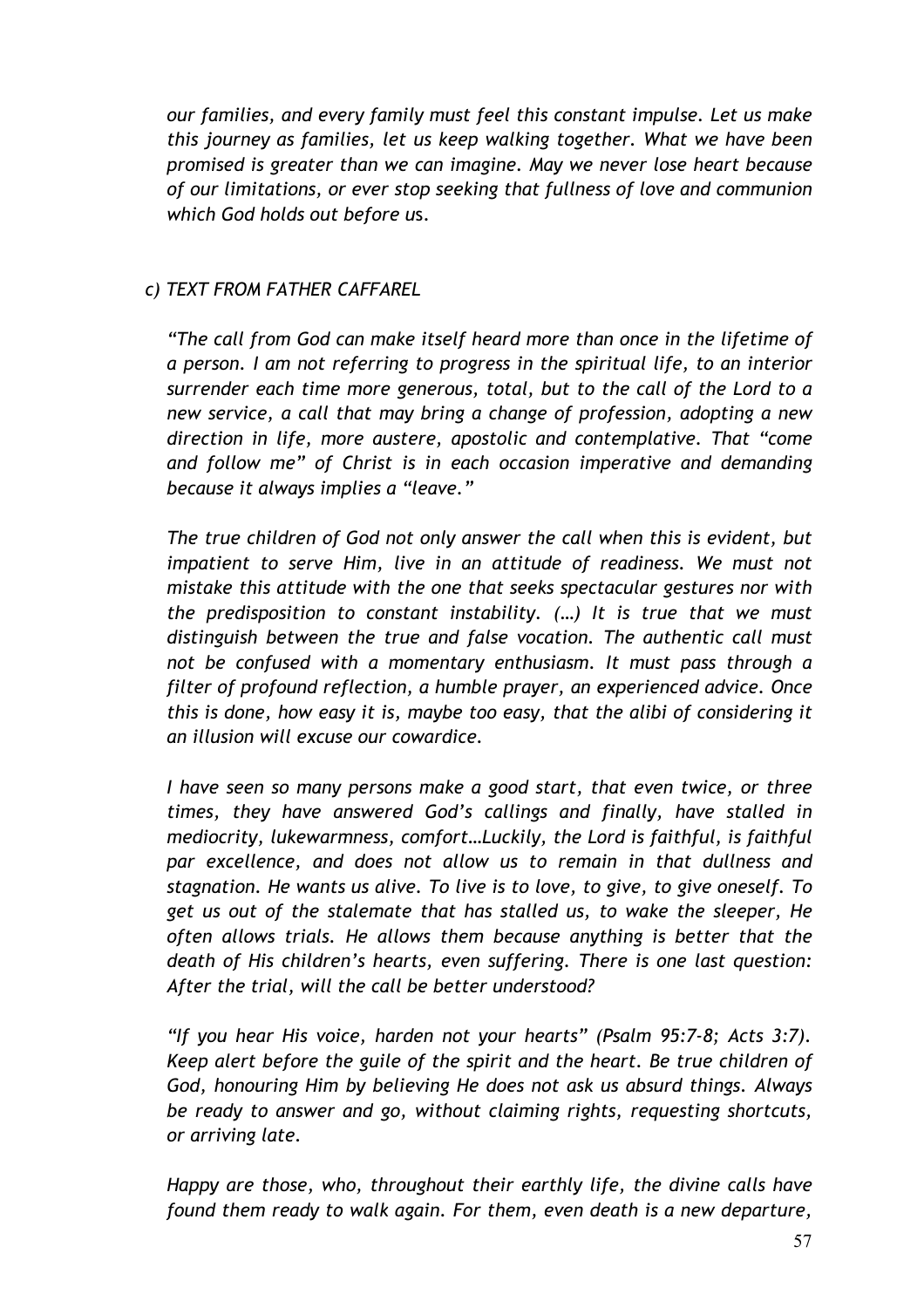*our families, and every family must feel this constant impulse. Let us make this journey as families, let us keep walking together. What we have been promised is greater than we can imagine. May we never lose heart because of our limitations, or ever stop seeking that fullness of love and communion which God holds out before u*s.

# *c) TEXT FROM FATHER CAFFAREL*

*"The call from God can make itself heard more than once in the lifetime of a person. I am not referring to progress in the spiritual life, to an interior surrender each time more generous, total, but to the call of the Lord to a new service, a call that may bring a change of profession, adopting a new direction in life, more austere, apostolic and contemplative. That "come and follow me" of Christ is in each occasion imperative and demanding because it always implies a "leave."* 

*The true children of God not only answer the call when this is evident, but*  impatient to serve Him, live in an attitude of readiness. We must not *mistake this attitude with the one that seeks spectacular gestures nor with the predisposition to constant instability. (…) It is true that we must distinguish between the true and false vocation. The authentic call must not be confused with a momentary enthusiasm. It must pass through a filter of profound reflection, a humble prayer, an experienced advice. Once this is done, how easy it is, maybe too easy, that the alibi of considering it an illusion will excuse our cowardice.*

*I have seen so many persons make a good start, that even twice, or three times, they have answered God's callings and finally, have stalled in mediocrity, lukewarmness, comfort…Luckily, the Lord is faithful, is faithful par excellence, and does not allow us to remain in that dullness and stagnation. He wants us alive. To live is to love, to give, to give oneself. To get us out of the stalemate that has stalled us, to wake the sleeper, He often allows trials. He allows them because anything is better that the death of His children's hearts, even suffering. There is one last question: After the trial, will the call be better understood?*

*"If you hear His voice, harden not your hearts" (Psalm 95:7-8; Acts 3:7). Keep alert before the guile of the spirit and the heart. Be true children of God, honouring Him by believing He does not ask us absurd things. Always be ready to answer and go, without claiming rights, requesting shortcuts, or arriving late.*

*Happy are those, who, throughout their earthly life, the divine calls have found them ready to walk again. For them, even death is a new departure,*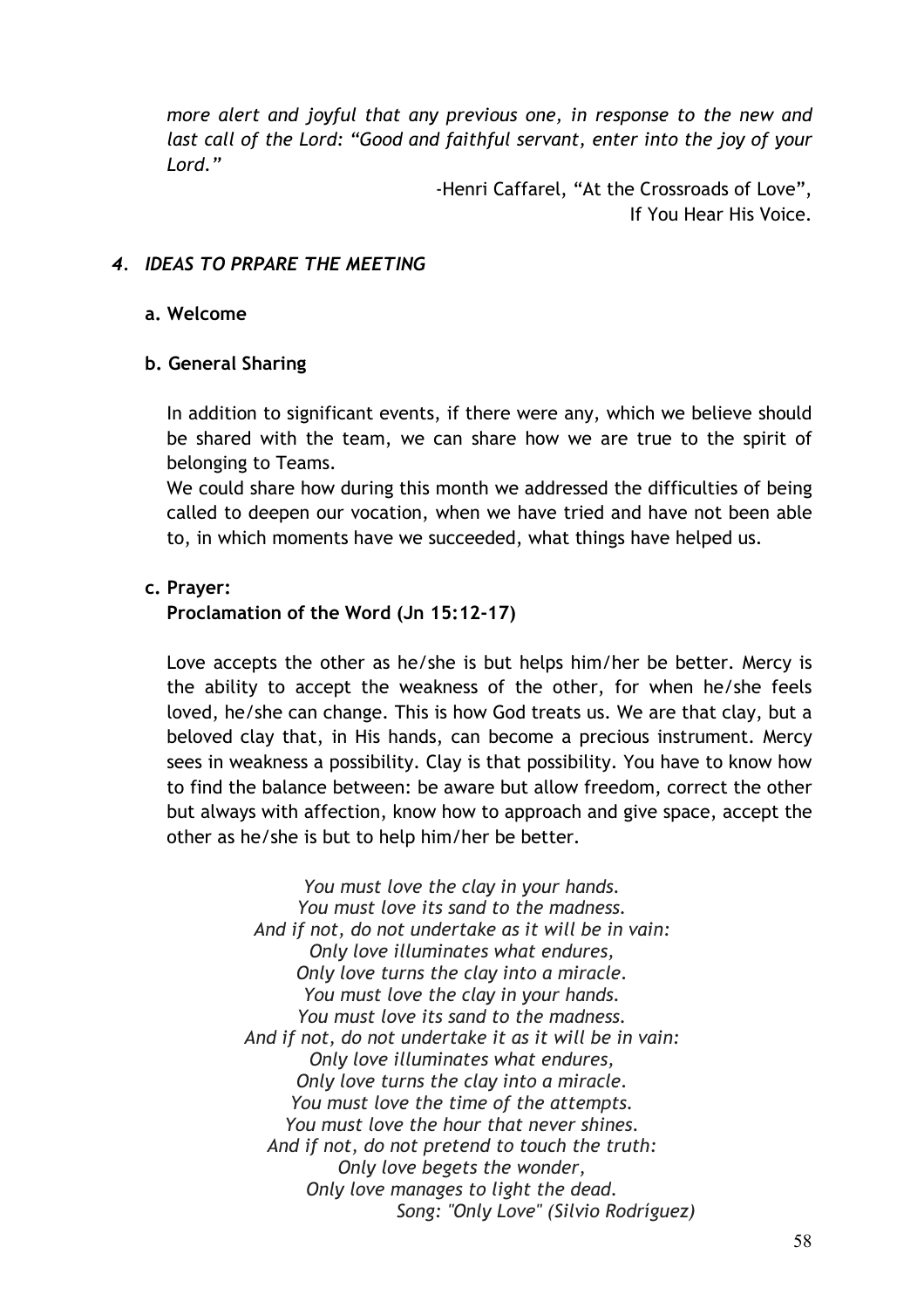*more alert and joyful that any previous one, in response to the new and*  last call of the Lord: "Good and faithful servant, enter into the joy of your *Lord."* 

> -Henri Caffarel, "At the Crossroads of Love", If You Hear His Voice.

# *4. IDEAS TO PRPARE THE MEETING*

#### **a. Welcome**

#### **b. General Sharing**

In addition to significant events, if there were any, which we believe should be shared with the team, we can share how we are true to the spirit of belonging to Teams.

We could share how during this month we addressed the difficulties of being called to deepen our vocation, when we have tried and have not been able to, in which moments have we succeeded, what things have helped us.

#### **c. Prayer:**

#### **Proclamation of the Word (Jn 15:12-17)**

Love accepts the other as he/she is but helps him/her be better. Mercy is the ability to accept the weakness of the other, for when he/she feels loved, he/she can change. This is how God treats us. We are that clay, but a beloved clay that, in His hands, can become a precious instrument. Mercy sees in weakness a possibility. Clay is that possibility. You have to know how to find the balance between: be aware but allow freedom, correct the other but always with affection, know how to approach and give space, accept the other as he/she is but to help him/her be better.

> *You must love the clay in your hands. You must love its sand to the madness. And if not, do not undertake as it will be in vain: Only love illuminates what endures, Only love turns the clay into a miracle. You must love the clay in your hands. You must love its sand to the madness. And if not, do not undertake it as it will be in vain: Only love illuminates what endures, Only love turns the clay into a miracle. You must love the time of the attempts. You must love the hour that never shines. And if not, do not pretend to touch the truth: Only love begets the wonder, Only love manages to light the dead. Song: "Only Love" (Silvio Rodríguez)*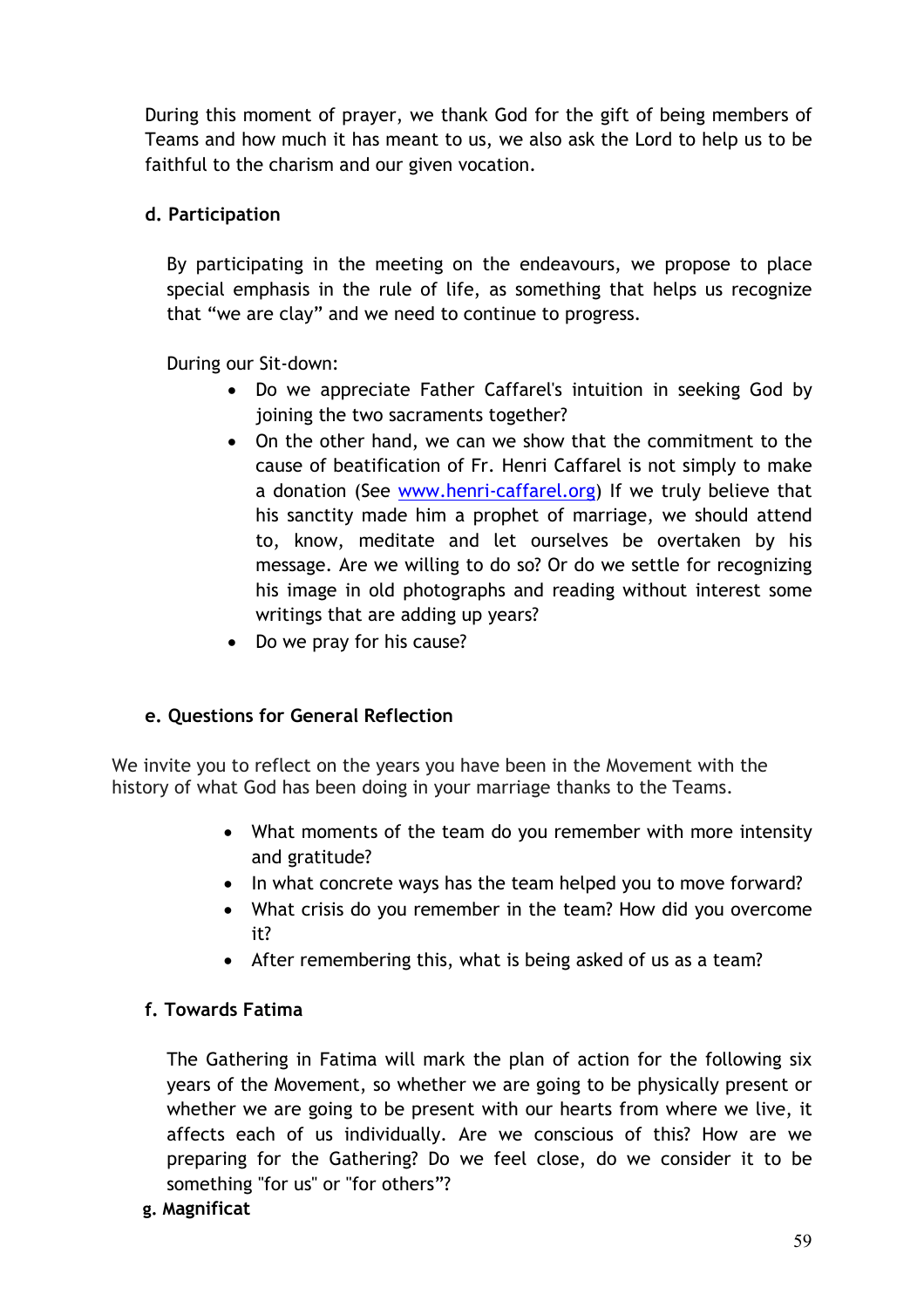During this moment of prayer, we thank God for the gift of being members of Teams and how much it has meant to us, we also ask the Lord to help us to be faithful to the charism and our given vocation.

# **d. Participation**

By participating in the meeting on the endeavours, we propose to place special emphasis in the rule of life, as something that helps us recognize that "we are clay" and we need to continue to progress.

During our Sit-down:

- Do we appreciate Father Caffarel's intuition in seeking God by joining the two sacraments together?
- On the other hand, we can we show that the commitment to the cause of beatification of Fr. Henri Caffarel is not simply to make a donation (See [www.henri-caffarel.org\)](http://www.henri-caffarel.org/) If we truly believe that his sanctity made him a prophet of marriage, we should attend to, know, meditate and let ourselves be overtaken by his message. Are we willing to do so? Or do we settle for recognizing his image in old photographs and reading without interest some writings that are adding up years?
- Do we pray for his cause?

# **e. Questions for General Reflection**

We invite you to reflect on the years you have been in the Movement with the history of what God has been doing in your marriage thanks to the Teams.

- What moments of the team do you remember with more intensity and gratitude?
- In what concrete ways has the team helped you to move forward?
- What crisis do you remember in the team? How did you overcome it?
- After remembering this, what is being asked of us as a team?

# **f. Towards Fatima**

The Gathering in Fatima will mark the plan of action for the following six years of the Movement, so whether we are going to be physically present or whether we are going to be present with our hearts from where we live, it affects each of us individually. Are we conscious of this? How are we preparing for the Gathering? Do we feel close, do we consider it to be something "for us" or "for others"?

#### **g. Magnificat**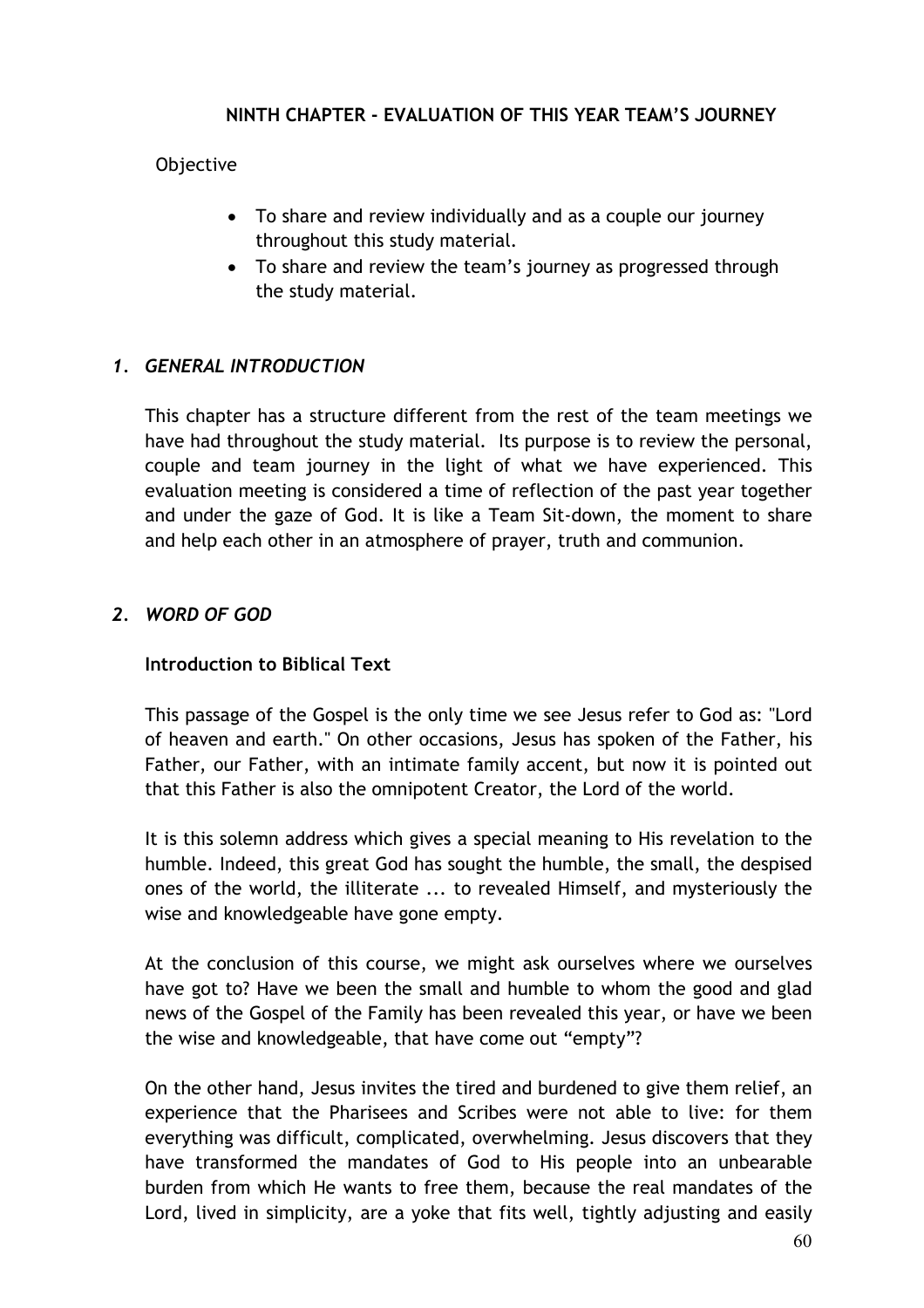#### **NINTH CHAPTER - EVALUATION OF THIS YEAR TEAM'S JOURNEY**

#### **Objective**

- To share and review individually and as a couple our journey throughout this study material.
- To share and review the team's journey as progressed through the study material.

# *1. GENERAL INTRODUCTION*

This chapter has a structure different from the rest of the team meetings we have had throughout the study material. Its purpose is to review the personal, couple and team journey in the light of what we have experienced. This evaluation meeting is considered a time of reflection of the past year together and under the gaze of God. It is like a Team Sit-down, the moment to share and help each other in an atmosphere of prayer, truth and communion.

#### *2. WORD OF GOD*

#### **Introduction to Biblical Text**

This passage of the Gospel is the only time we see Jesus refer to God as: "Lord of heaven and earth." On other occasions, Jesus has spoken of the Father, his Father, our Father, with an intimate family accent, but now it is pointed out that this Father is also the omnipotent Creator, the Lord of the world.

It is this solemn address which gives a special meaning to His revelation to the humble. Indeed, this great God has sought the humble, the small, the despised ones of the world, the illiterate ... to revealed Himself, and mysteriously the wise and knowledgeable have gone empty.

At the conclusion of this course, we might ask ourselves where we ourselves have got to? Have we been the small and humble to whom the good and glad news of the Gospel of the Family has been revealed this year, or have we been the wise and knowledgeable, that have come out "empty"?

On the other hand, Jesus invites the tired and burdened to give them relief, an experience that the Pharisees and Scribes were not able to live: for them everything was difficult, complicated, overwhelming. Jesus discovers that they have transformed the mandates of God to His people into an unbearable burden from which He wants to free them, because the real mandates of the Lord, lived in simplicity, are a yoke that fits well, tightly adjusting and easily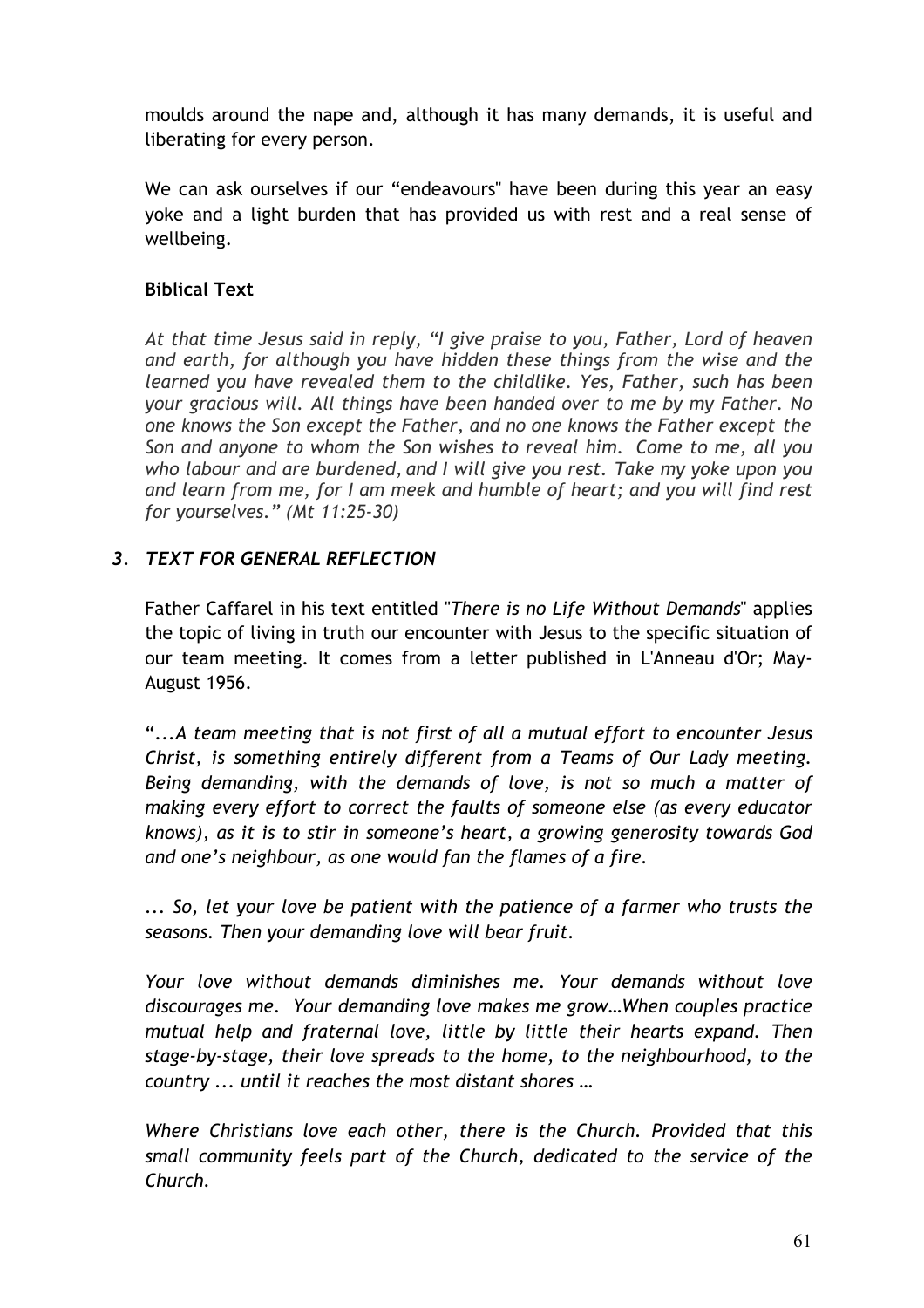moulds around the nape and, although it has many demands, it is useful and liberating for every person.

We can ask ourselves if our "endeavours" have been during this year an easy yoke and a light burden that has provided us with rest and a real sense of wellbeing.

# **Biblical Text**

*At that time Jesus said in reply, "I give praise to you, Father, Lord of heaven and earth, for although you have hidden these things from the wise and the learned you have revealed them to the childlike. Yes, Father, such has been your gracious will. All things have been handed over to me by my Father. No one knows the Son except the Father, and no one knows the Father except the Son and anyone to whom the Son wishes to reveal him. Come to me, all you who labour and are burdened, and I will give you rest. Take my yoke upon you and learn from me, for I am meek and humble of heart; and you will find rest for yourselves." (Mt 11:25-30)*

# *3. TEXT FOR GENERAL REFLECTION*

Father Caffarel in his text entitled "*There is no Life Without Demands*" applies the topic of living in truth our encounter with Jesus to the specific situation of our team meeting. It comes from a letter published in L'Anneau d'Or; May-August 1956.

"...*A team meeting that is not first of all a mutual effort to encounter Jesus Christ, is something entirely different from a Teams of Our Lady meeting. Being demanding, with the demands of love, is not so much a matter of making every effort to correct the faults of someone else (as every educator knows), as it is to stir in someone's heart, a growing generosity towards God and one's neighbour, as one would fan the flames of a fire.*

*... So, let your love be patient with the patience of a farmer who trusts the seasons. Then your demanding love will bear fruit.*

*Your love without demands diminishes me. Your demands without love discourages me. Your demanding love makes me grow…When couples practice mutual help and fraternal love, little by little their hearts expand. Then stage-by-stage, their love spreads to the home, to the neighbourhood, to the country ... until it reaches the most distant shores …*

*Where Christians love each other, there is the Church. Provided that this small community feels part of the Church, dedicated to the service of the Church.*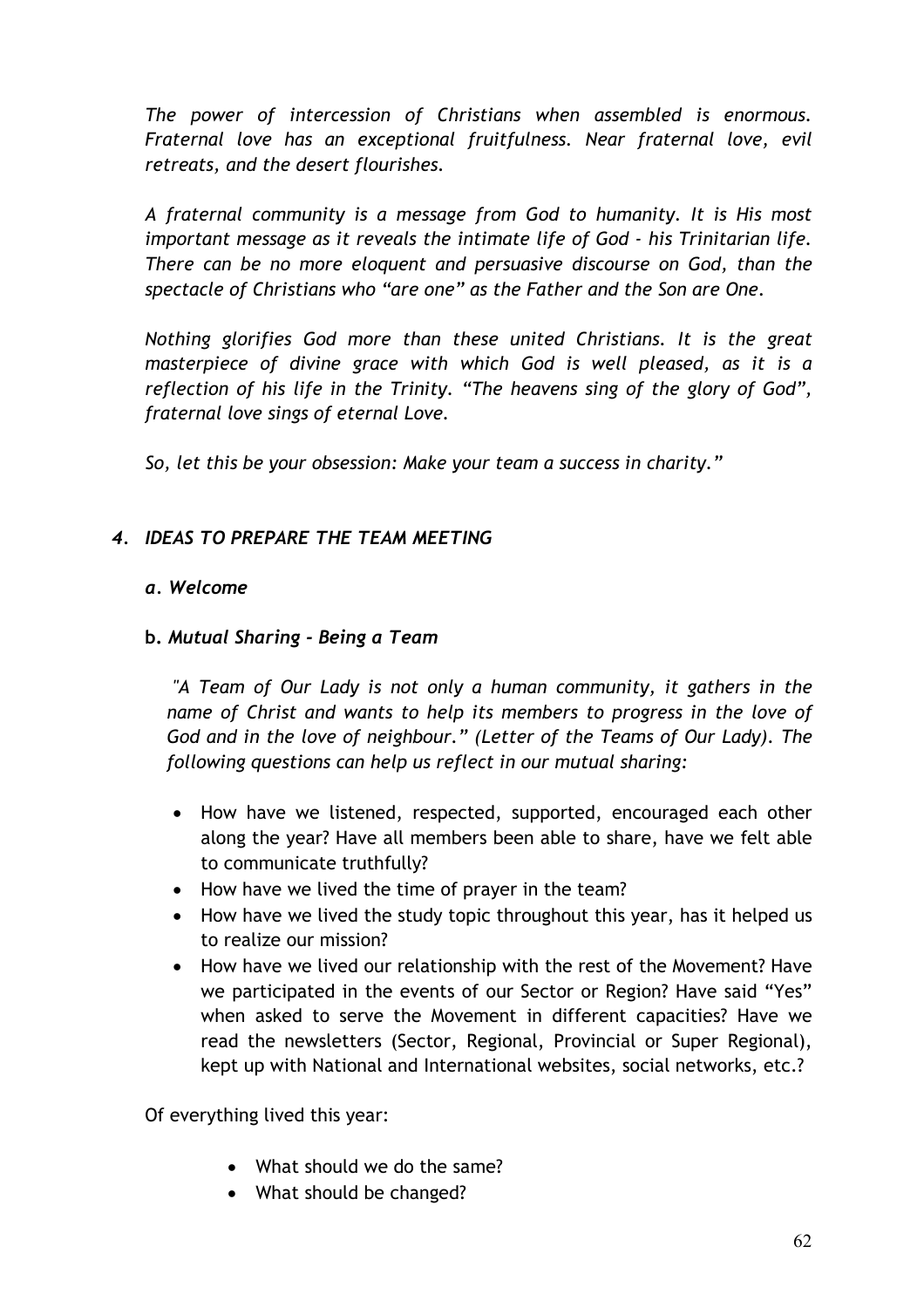*The power of intercession of Christians when assembled is enormous. Fraternal love has an exceptional fruitfulness. Near fraternal love, evil retreats, and the desert flourishes.*

*A fraternal community is a message from God to humanity. It is His most important message as it reveals the intimate life of God - his Trinitarian life. There can be no more eloquent and persuasive discourse on God, than the spectacle of Christians who "are one" as the Father and the Son are One.*

*Nothing glorifies God more than these united Christians. It is the great masterpiece of divine grace with which God is well pleased, as it is a reflection of his life in the Trinity. "The heavens sing of the glory of God", fraternal love sings of eternal Love.*

*So, let this be your obsession: Make your team a success in charity."* 

# *4. IDEAS TO PREPARE THE TEAM MEETING*

# *a. Welcome*

# **b.** *Mutual Sharing - Being a Team*

*"A Team of Our Lady is not only a human community, it gathers in the name of Christ and wants to help its members to progress in the love of God and in the love of neighbour." (Letter of the Teams of Our Lady). The following questions can help us reflect in our mutual sharing:* 

- How have we listened, respected, supported, encouraged each other along the year? Have all members been able to share, have we felt able to communicate truthfully?
- How have we lived the time of prayer in the team?
- How have we lived the study topic throughout this year, has it helped us to realize our mission?
- How have we lived our relationship with the rest of the Movement? Have we participated in the events of our Sector or Region? Have said "Yes" when asked to serve the Movement in different capacities? Have we read the newsletters (Sector, Regional, Provincial or Super Regional), kept up with National and International websites, social networks, etc.?

Of everything lived this year:

- What should we do the same?
- What should be changed?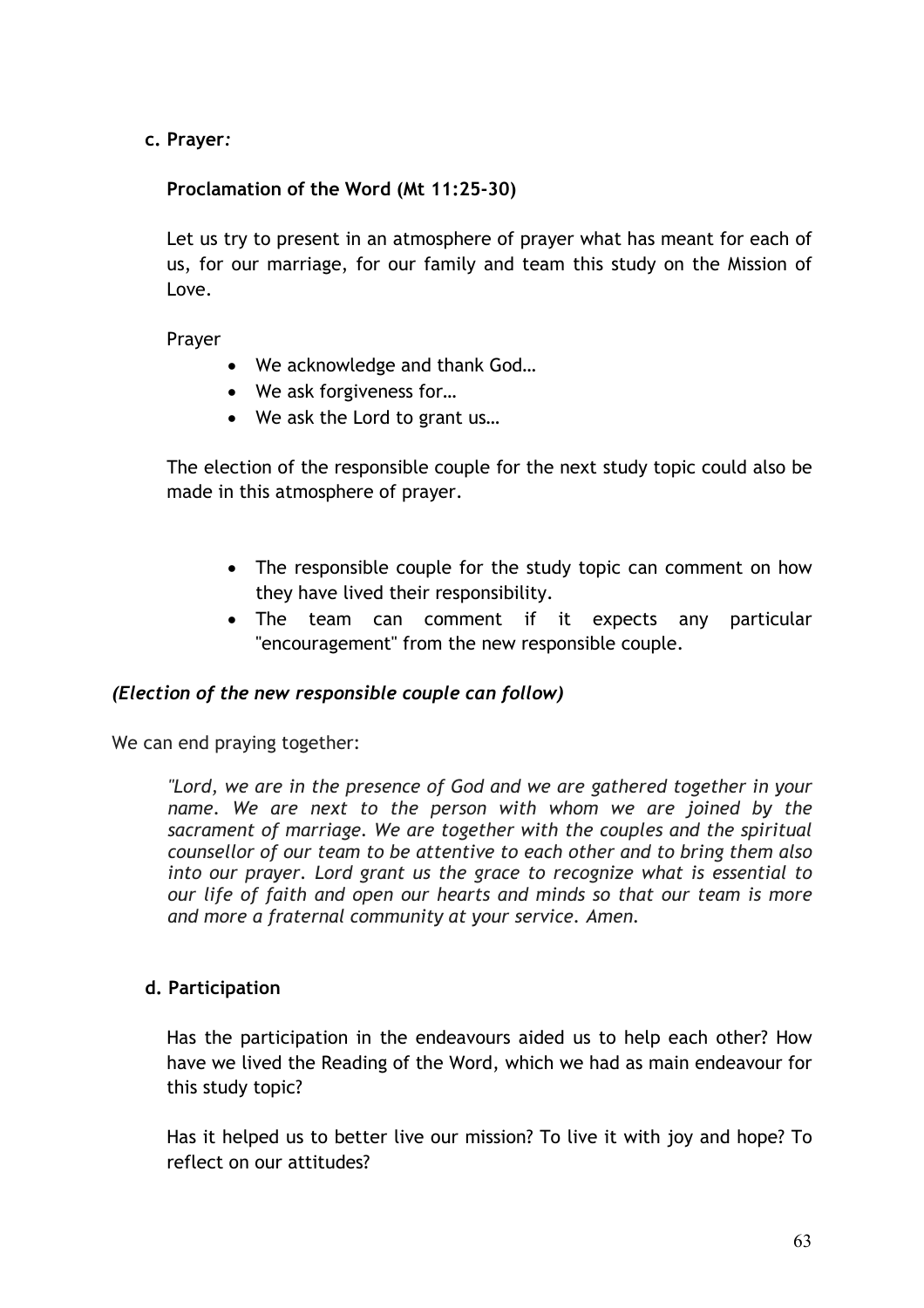**c. Prayer***:*

# **Proclamation of the Word (Mt 11:25-30)**

Let us try to present in an atmosphere of prayer what has meant for each of us, for our marriage, for our family and team this study on the Mission of Love.

Prayer

- We acknowledge and thank God…
- We ask forgiveness for…
- We ask the Lord to grant us…

The election of the responsible couple for the next study topic could also be made in this atmosphere of prayer.

- The responsible couple for the study topic can comment on how they have lived their responsibility.
- The team can comment if it expects any particular "encouragement" from the new responsible couple.

# *(Election of the new responsible couple can follow)*

We can end praying together:

*"Lord, we are in the presence of God and we are gathered together in your name. We are next to the person with whom we are joined by the sacrament of marriage. We are together with the couples and the spiritual counsellor of our team to be attentive to each other and to bring them also into our prayer. Lord grant us the grace to recognize what is essential to our life of faith and open our hearts and minds so that our team is more and more a fraternal community at your service. Amen.*

# **d. Participation**

Has the participation in the endeavours aided us to help each other? How have we lived the Reading of the Word, which we had as main endeavour for this study topic?

Has it helped us to better live our mission? To live it with joy and hope? To reflect on our attitudes?